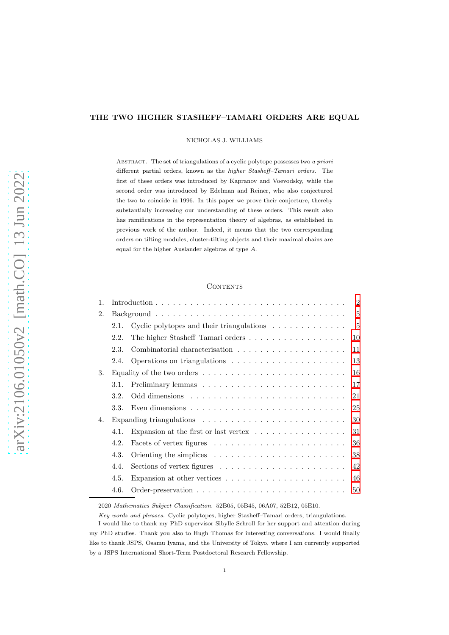# THE TWO HIGHER STASHEFF–TAMARI ORDERS ARE EQUAL

NICHOLAS J. WILLIAMS

ABSTRACT. The set of triangulations of a cyclic polytope possesses two a priori different partial orders, known as the higher Stasheff–Tamari orders. The first of these orders was introduced by Kapranov and Voevodsky, while the second order was introduced by Edelman and Reiner, who also conjectured the two to coincide in 1996. In this paper we prove their conjecture, thereby substantially increasing our understanding of these orders. This result also has ramifications in the representation theory of algebras, as established in previous work of the author. Indeed, it means that the two corresponding orders on tilting modules, cluster-tilting objects and their maximal chains are equal for the higher Auslander algebras of type A.

## **CONTENTS**

| $\mathbf{1}$ . |      |                                                                                          | $\overline{2}$ |
|----------------|------|------------------------------------------------------------------------------------------|----------------|
| 2.             |      |                                                                                          | $\overline{5}$ |
|                | 2.1. | Cyclic polytopes and their triangulations $\ldots \ldots \ldots \ldots$                  | $\overline{5}$ |
|                | 2.2. | The higher Stasheff-Tamari orders<br>10                                                  |                |
|                | 2.3. | 11                                                                                       |                |
|                | 2.4. | 13                                                                                       |                |
| 3.             |      | Equality of the two orders $\dots \dots \dots \dots \dots \dots \dots \dots \dots$<br>16 |                |
|                | 3.1. | 17                                                                                       |                |
|                | 3.2. | 21                                                                                       |                |
|                | 3.3. | Even dimensions $\dots \dots \dots \dots \dots \dots \dots \dots \dots \dots$<br>25      |                |
| 4.             |      | 30                                                                                       |                |
|                | 4.1. | Expansion at the first or last vertex $\dots \dots \dots \dots \dots$<br>31              |                |
|                | 4.2. | 36                                                                                       |                |
|                | 4.3. | 38                                                                                       |                |
|                | 4.4. | Sections of vertex figures $\dots \dots \dots \dots \dots \dots \dots$<br>42             |                |
|                | 4.5. | Expansion at other vertices $\ldots \ldots \ldots \ldots \ldots \ldots \ldots$<br>46     |                |
|                | 4.6. | 50                                                                                       |                |
|                |      |                                                                                          |                |

2020 Mathematics Subject Classification. 52B05, 05B45, 06A07, 52B12, 05E10.

Key words and phrases. Cyclic polytopes, higher Stasheff–Tamari orders, triangulations.

I would like to thank my PhD supervisor Sibylle Schroll for her support and attention during my PhD studies. Thank you also to Hugh Thomas for interesting conversations. I would finally like to thank JSPS, Osamu Iyama, and the University of Tokyo, where I am currently supported by a JSPS International Short-Term Postdoctoral Research Fellowship.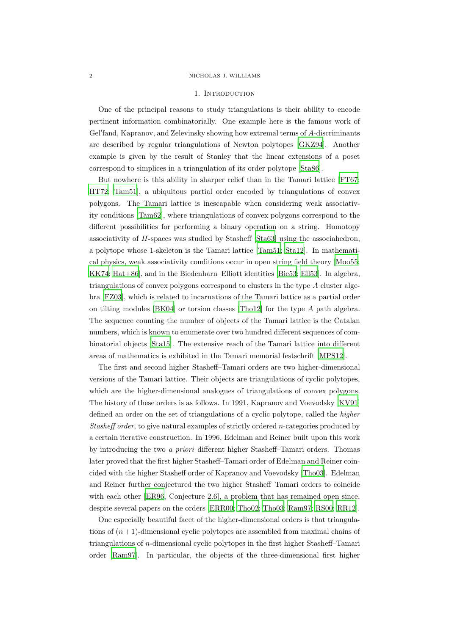### <span id="page-1-0"></span>2 NICHOLAS J. WILLIAMS

## 1. INTRODUCTION

One of the principal reasons to study triangulations is their ability to encode pertinent information combinatorially. One example here is the famous work of Gel′ fand, Kapranov, and Zelevinsky showing how extremal terms of A-discriminants are described by regular triangulations of Newton polytopes [\[GKZ94\]](#page-52-0). Another example is given by the result of Stanley that the linear extensions of a poset correspond to simplices in a triangulation of its order polytope [\[Sta86\]](#page-54-0).

But nowhere is this ability in sharper relief than in the Tamari lattice [\[FT67](#page-51-0); [HT72;](#page-52-1) [Tam51](#page-54-1)], a ubiquitous partial order encoded by triangulations of convex polygons. The Tamari lattice is inescapable when considering weak associativity conditions [\[Tam62](#page-54-2)], where triangulations of convex polygons correspond to the different possibilities for performing a binary operation on a string. Homotopy associativity of H-spaces was studied by Stasheff [\[Sta63\]](#page-54-3) using the associahedron, a polytope whose 1-skeleton is the Tamari lattice [\[Tam51;](#page-54-1) [Sta12\]](#page-54-4). In mathematical physics, weak associativity conditions occur in open string field theory [\[Moo55](#page-53-0); [KK74;](#page-52-2) [Hat+86\]](#page-52-3), and in the Biedenharn–Elliott identities [\[Bie53;](#page-50-0) [Ell53\]](#page-51-1). In algebra, triangulations of convex polygons correspond to clusters in the type A cluster algebra [\[FZ03](#page-51-2)], which is related to incarnations of the Tamari lattice as a partial order on tilting modules [\[BK04\]](#page-50-1) or torsion classes [\[Tho12](#page-55-0)] for the type A path algebra. The sequence counting the number of objects of the Tamari lattice is the Catalan numbers, which is known to enumerate over two hundred different sequences of combinatorial objects [\[Sta15](#page-54-5)]. The extensive reach of the Tamari lattice into different areas of mathematics is exhibited in the Tamari memorial festschrift [\[MPS12\]](#page-53-1).

The first and second higher Stasheff–Tamari orders are two higher-dimensional versions of the Tamari lattice. Their objects are triangulations of cyclic polytopes, which are the higher-dimensional analogues of triangulations of convex polygons. The history of these orders is as follows. In 1991, Kapranov and Voevodsky [\[KV91](#page-52-4)] defined an order on the set of triangulations of a cyclic polytope, called the higher Stasheff order, to give natural examples of strictly ordered n-categories produced by a certain iterative construction. In 1996, Edelman and Reiner built upon this work by introducing the two a priori different higher Stasheff–Tamari orders. Thomas later proved that the first higher Stasheff–Tamari order of Edelman and Reiner coincided with the higher Stasheff order of Kapranov and Voevodsky [\[Tho03\]](#page-54-6). Edelman and Reiner further conjectured the two higher Stasheff–Tamari orders to coincide with each other [\[ER96,](#page-51-3) Conjecture 2.6], a problem that has remained open since, despite several papers on the orders [\[ERR00](#page-51-4); [Tho02;](#page-54-7) [Tho03](#page-54-6); [Ram97;](#page-53-2) [RS00](#page-54-8); [RR12](#page-54-9)].

One especially beautiful facet of the higher-dimensional orders is that triangulations of  $(n + 1)$ -dimensional cyclic polytopes are assembled from maximal chains of triangulations of n-dimensional cyclic polytopes in the first higher Stasheff–Tamari order [\[Ram97\]](#page-53-2). In particular, the objects of the three-dimensional first higher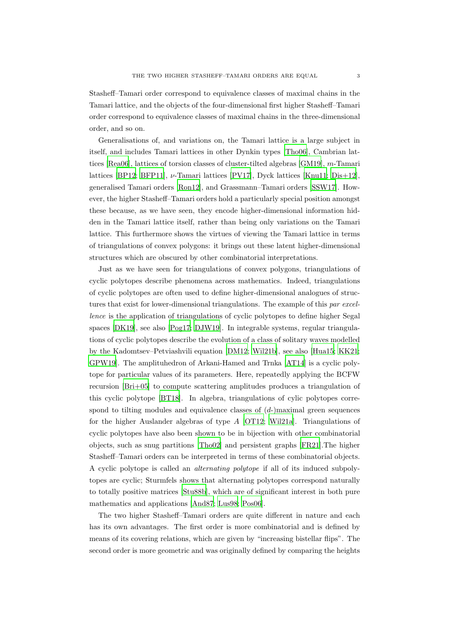Stasheff–Tamari order correspond to equivalence classes of maximal chains in the Tamari lattice, and the objects of the four-dimensional first higher Stasheff–Tamari order correspond to equivalence classes of maximal chains in the three-dimensional order, and so on.

Generalisations of, and variations on, the Tamari lattice is a large subject in itself, and includes Tamari lattices in other Dynkin types [\[Tho06\]](#page-54-10), Cambrian lattices [\[Rea06](#page-53-3)], lattices of torsion classes of cluster-tilted algebras [\[GM19](#page-52-5)], m-Tamari lattices [\[BP12;](#page-50-2) [BFP11\]](#page-50-3),  $\nu$ -Tamari lattices [\[PV17\]](#page-53-4), Dyck lattices [\[Knu11;](#page-52-6) [Dis+12\]](#page-51-5), generalised Tamari orders [\[Ron12](#page-53-5)], and Grassmann–Tamari orders [\[SSW17](#page-54-11)]. However, the higher Stasheff–Tamari orders hold a particularly special position amongst these because, as we have seen, they encode higher-dimensional information hidden in the Tamari lattice itself, rather than being only variations on the Tamari lattice. This furthermore shows the virtues of viewing the Tamari lattice in terms of triangulations of convex polygons: it brings out these latent higher-dimensional structures which are obscured by other combinatorial interpretations.

Just as we have seen for triangulations of convex polygons, triangulations of cyclic polytopes describe phenomena across mathematics. Indeed, triangulations of cyclic polytopes are often used to define higher-dimensional analogues of structures that exist for lower-dimensional triangulations. The example of this par excellence is the application of triangulations of cyclic polytopes to define higher Segal spaces [\[DK19](#page-51-6)], see also [\[Pog17;](#page-53-6) [DJW19\]](#page-51-7). In integrable systems, regular triangulations of cyclic polytopes describe the evolution of a class of solitary waves modelled by the Kadomtsev–Petviashvili equation [\[DM12](#page-51-8); [Wil21b\]](#page-55-1), see also [\[Hua15](#page-52-7); [KK21](#page-52-8); [GPW19](#page-52-9)]. The amplituhedron of Arkani-Hamed and Trnka [\[AT14](#page-50-4)] is a cyclic polytope for particular values of its parameters. Here, repeatedly applying the BCFW recursion [\[Bri+05](#page-50-5)] to compute scattering amplitudes produces a triangulation of this cyclic polytope [\[BT18](#page-50-6)]. In algebra, triangulations of cylic polytopes correspond to tilting modules and equivalence classes of  $(d)$ -)maximal green sequences for the higher Auslander algebras of type A [\[OT12](#page-53-7); [Wil21a\]](#page-55-2). Triangulations of cyclic polytopes have also been shown to be in bijection with other combinatorial objects, such as snug partitions [\[Tho02\]](#page-54-7) and persistent graphs [\[FR21](#page-51-9)].The higher Stasheff–Tamari orders can be interpreted in terms of these combinatorial objects. A cyclic polytope is called an alternating polytope if all of its induced subpolytopes are cyclic; Sturmfels shows that alternating polytopes correspond naturally to totally positive matrices [\[Stu88b\]](#page-54-12), which are of significant interest in both pure mathematics and applications [\[And87](#page-50-7); [Lus98;](#page-53-8) [Pos06\]](#page-53-9).

The two higher Stasheff–Tamari orders are quite different in nature and each has its own advantages. The first order is more combinatorial and is defined by means of its covering relations, which are given by "increasing bistellar flips". The second order is more geometric and was originally defined by comparing the heights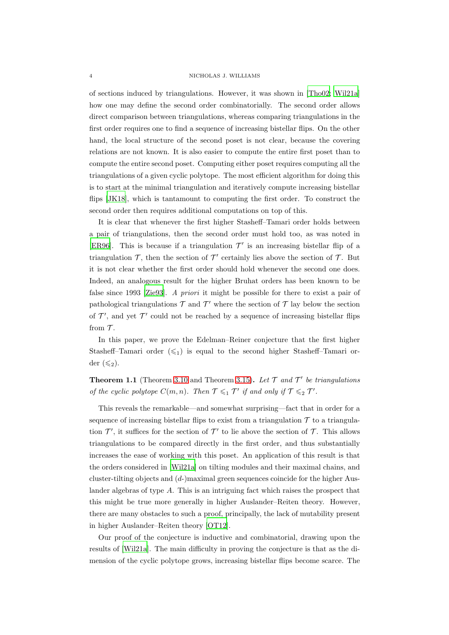### 4 NICHOLAS J. WILLIAMS

of sections induced by triangulations. However, it was shown in [\[Tho02;](#page-54-7) [Wil21a](#page-55-2)] how one may define the second order combinatorially. The second order allows direct comparison between triangulations, whereas comparing triangulations in the first order requires one to find a sequence of increasing bistellar flips. On the other hand, the local structure of the second poset is not clear, because the covering relations are not known. It is also easier to compute the entire first poset than to compute the entire second poset. Computing either poset requires computing all the triangulations of a given cyclic polytope. The most efficient algorithm for doing this is to start at the minimal triangulation and iteratively compute increasing bistellar flips [\[JK18\]](#page-52-10), which is tantamount to computing the first order. To construct the second order then requires additional computations on top of this.

It is clear that whenever the first higher Stasheff–Tamari order holds between a pair of triangulations, then the second order must hold too, as was noted in [\[ER96](#page-51-3)]. This is because if a triangulation  $\mathcal{T}'$  is an increasing bistellar flip of a triangulation  $\mathcal{T}$ , then the section of  $\mathcal{T}'$  certainly lies above the section of  $\mathcal{T}$ . But it is not clear whether the first order should hold whenever the second one does. Indeed, an analogous result for the higher Bruhat orders has been known to be false since 1993 [\[Zie93](#page-55-3)]. A priori it might be possible for there to exist a pair of pathological triangulations  $\mathcal T$  and  $\mathcal T'$  where the section of  $\mathcal T$  lay below the section of  $\mathcal{T}'$ , and yet  $\mathcal{T}'$  could not be reached by a sequence of increasing bistellar flips from  $\mathcal T$ .

In this paper, we prove the Edelman–Reiner conjecture that the first higher Stasheff–Tamari order  $(\leq_1)$  is equal to the second higher Stasheff–Tamari order  $(\leqslant_2)$ .

**Theorem 1.1** (Theorem [3.10](#page-23-0) and Theorem [3.15\)](#page-26-0). Let  $\mathcal{T}$  and  $\mathcal{T}'$  be triangulations of the cyclic polytope  $C(m, n)$ . Then  $\mathcal{T} \leqslant_1 \mathcal{T}'$  if and only if  $\mathcal{T} \leqslant_2 \mathcal{T}'$ .

This reveals the remarkable—and somewhat surprising—fact that in order for a sequence of increasing bistellar flips to exist from a triangulation  $\mathcal T$  to a triangulation  $\mathcal{T}'$ , it suffices for the section of  $\mathcal{T}'$  to lie above the section of  $\mathcal{T}$ . This allows triangulations to be compared directly in the first order, and thus substantially increases the ease of working with this poset. An application of this result is that the orders considered in [\[Wil21a\]](#page-55-2) on tilting modules and their maximal chains, and cluster-tilting objects and  $(d)$ -)maximal green sequences coincide for the higher Auslander algebras of type A. This is an intriguing fact which raises the prospect that this might be true more generally in higher Auslander–Reiten theory. However, there are many obstacles to such a proof, principally, the lack of mutability present in higher Auslander–Reiten theory [\[OT12](#page-53-7)].

Our proof of the conjecture is inductive and combinatorial, drawing upon the results of [\[Wil21a\]](#page-55-2). The main difficulty in proving the conjecture is that as the dimension of the cyclic polytope grows, increasing bistellar flips become scarce. The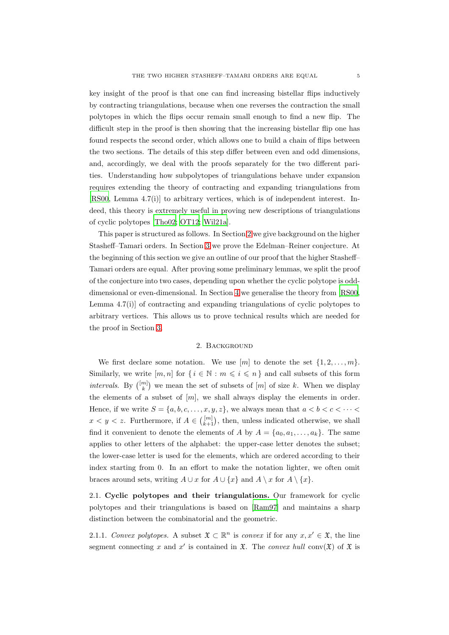key insight of the proof is that one can find increasing bistellar flips inductively by contracting triangulations, because when one reverses the contraction the small polytopes in which the flips occur remain small enough to find a new flip. The difficult step in the proof is then showing that the increasing bistellar flip one has found respects the second order, which allows one to build a chain of flips between the two sections. The details of this step differ between even and odd dimensions, and, accordingly, we deal with the proofs separately for the two different parities. Understanding how subpolytopes of triangulations behave under expansion requires extending the theory of contracting and expanding triangulations from [\[RS00,](#page-54-8) Lemma 4.7(i)] to arbitrary vertices, which is of independent interest. Indeed, this theory is extremely useful in proving new descriptions of triangulations of cyclic polytopes [\[Tho02;](#page-54-7) [OT12;](#page-53-7) [Wil21a\]](#page-55-2).

This paper is structured as follows. In Section [2](#page-4-0) we give background on the higher Stasheff–Tamari orders. In Section [3](#page-15-0) we prove the Edelman–Reiner conjecture. At the beginning of this section we give an outline of our proof that the higher Stasheff– Tamari orders are equal. After proving some preliminary lemmas, we split the proof of the conjecture into two cases, depending upon whether the cyclic polytope is odddimensional or even-dimensional. In Section [4](#page-29-0) we generalise the theory from [\[RS00](#page-54-8), Lemma 4.7(i)] of contracting and expanding triangulations of cyclic polytopes to arbitrary vertices. This allows us to prove technical results which are needed for the proof in Section [3.](#page-15-0)

# 2. BACKGROUND

<span id="page-4-0"></span>We first declare some notation. We use  $[m]$  to denote the set  $\{1, 2, \ldots, m\}$ . Similarly, we write  $[m, n]$  for  $\{i \in \mathbb{N} : m \leq i \leq n\}$  and call subsets of this form intervals. By  $\binom{[m]}{k}$  we mean the set of subsets of  $[m]$  of size k. When we display the elements of a subset of  $[m]$ , we shall always display the elements in order. Hence, if we write  $S = \{a, b, c, \ldots, x, y, z\}$ , we always mean that  $a < b < c < \cdots$  $x < y < z$ . Furthermore, if  $A \in \binom{[m]}{k+1}$ , then, unless indicated otherwise, we shall find it convenient to denote the elements of A by  $A = \{a_0, a_1, \ldots, a_k\}$ . The same applies to other letters of the alphabet: the upper-case letter denotes the subset; the lower-case letter is used for the elements, which are ordered according to their index starting from 0. In an effort to make the notation lighter, we often omit braces around sets, writing  $A \cup x$  for  $A \cup \{x\}$  and  $A \setminus x$  for  $A \setminus \{x\}$ .

<span id="page-4-1"></span>2.1. Cyclic polytopes and their triangulations. Our framework for cyclic polytopes and their triangulations is based on [\[Ram97\]](#page-53-2) and maintains a sharp distinction between the combinatorial and the geometric.

<span id="page-4-2"></span>2.1.1. Convex polytopes. A subset  $\mathfrak{X} \subset \mathbb{R}^n$  is convex if for any  $x, x' \in \mathfrak{X}$ , the line segment connecting x and x' is contained in  $\mathfrak{X}$ . The convex hull conv $(\mathfrak{X})$  of  $\mathfrak{X}$  is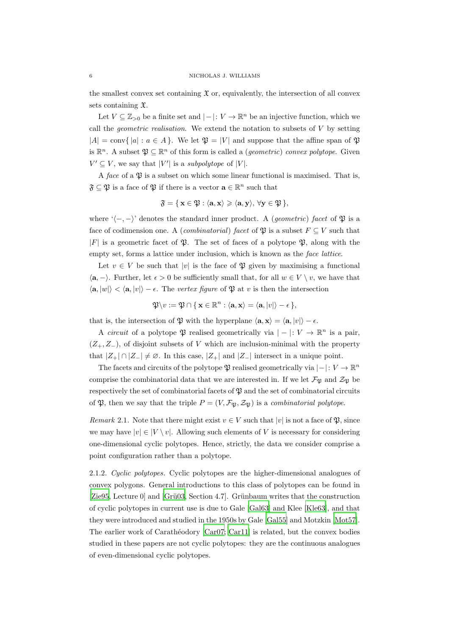the smallest convex set containing  $\mathfrak X$  or, equivalently, the intersection of all convex sets containing X.

Let  $V \subseteq \mathbb{Z}_{\geq 0}$  be a finite set and  $|-|: V \to \mathbb{R}^n$  be an injective function, which we call the *geometric realisation*. We extend the notation to subsets of  $V$  by setting  $|A| = \text{conv}\{|a| : a \in A\}$ . We let  $\mathfrak{P} = |V|$  and suppose that the affine span of  $\mathfrak{P}$ is  $\mathbb{R}^n$ . A subset  $\mathfrak{P} \subseteq \mathbb{R}^n$  of this form is called a *(geometric) convex polytope*. Given  $V' \subseteq V$ , we say that  $|V'|$  is a *subpolytope* of  $|V|$ .

A face of a  $\mathfrak P$  is a subset on which some linear functional is maximised. That is,  $\mathfrak{F} \subseteq \mathfrak{P}$  is a face of  $\mathfrak{P}$  if there is a vector  $\mathbf{a} \in \mathbb{R}^n$  such that

$$
\mathfrak{F} = \{ \mathbf{x} \in \mathfrak{P} : \langle \mathbf{a}, \mathbf{x} \rangle \geqslant \langle \mathbf{a}, \mathbf{y} \rangle, \ \forall \mathbf{y} \in \mathfrak{P} \},
$$

where ' $\langle -,-\rangle$ ' denotes the standard inner product. A (*geometric*) facet of  $\mathfrak{P}$  is a face of codimension one. A (*combinatorial*) facet of  $\mathfrak{P}$  is a subset  $F \subseteq V$  such that |F| is a geometric facet of  $\mathfrak{P}$ . The set of faces of a polytope  $\mathfrak{P}$ , along with the empty set, forms a lattice under inclusion, which is known as the face lattice.

Let  $v \in V$  be such that |v| is the face of  $\mathfrak P$  given by maximising a functional  $\langle \mathbf{a}, - \rangle$ . Further, let  $\epsilon > 0$  be sufficiently small that, for all  $w \in V \setminus v$ , we have that  $\langle \mathbf{a}, |w| \rangle < \langle \mathbf{a}, |v| \rangle - \epsilon$ . The vertex figure of  $\mathfrak{P}$  at v is then the intersection

$$
\mathfrak{P}\backslash v:=\mathfrak{P}\cap\{\,\mathbf{x}\in\mathbb{R}^n:\langle\mathbf{a},\mathbf{x}\rangle=\langle\mathbf{a},|v|\rangle-\epsilon\,\},
$$

that is, the intersection of  $\mathfrak P$  with the hyperplane  $\langle \mathbf{a}, \mathbf{x} \rangle = \langle \mathbf{a}, |v| \rangle - \epsilon$ .

A *circuit* of a polytope  $\mathfrak P$  realised geometrically via  $|-|: V \to \mathbb{R}^n$  is a pair,  $(Z_+, Z_-)$ , of disjoint subsets of V which are inclusion-minimal with the property that  $|Z_+| \cap |Z_-| \neq \emptyset$ . In this case,  $|Z_+|$  and  $|Z_-|$  intersect in a unique point.

The facets and circuits of the polytope  $\mathfrak{P}$  realised geometrically via  $|-|: V \to \mathbb{R}^n$ comprise the combinatorial data that we are interested in. If we let  $\mathcal{F}_{\mathfrak{P}}$  and  $\mathcal{Z}_{\mathfrak{P}}$  be respectively the set of combinatorial facets of  $\mathfrak P$  and the set of combinatorial circuits of  $\mathfrak{P}$ , then we say that the triple  $P = (V, \mathcal{F}_{\mathfrak{P}}, \mathcal{Z}_{\mathfrak{P}})$  is a *combinatorial polytope.* 

Remark 2.1. Note that there might exist  $v \in V$  such that  $|v|$  is not a face of  $\mathfrak{P}$ , since we may have  $|v| \in |V \setminus v|$ . Allowing such elements of V is necessary for considering one-dimensional cyclic polytopes. Hence, strictly, the data we consider comprise a point configuration rather than a polytope.

2.1.2. Cyclic polytopes. Cyclic polytopes are the higher-dimensional analogues of convex polygons. General introductions to this class of polytopes can be found in [\[Zie95](#page-55-4), Lecture 0] and [Grü03, Section 4.7]. Grünbaum writes that the construction of cyclic polytopes in current use is due to Gale [\[Gal63\]](#page-52-12) and Klee [\[Kle63\]](#page-52-13), and that they were introduced and studied in the 1950s by Gale [\[Gal55](#page-52-14)] and Motzkin [\[Mot57\]](#page-53-10). The earlier work of Carathéodory [\[Car07;](#page-50-8) [Car11](#page-51-10)] is related, but the convex bodies studied in these papers are not cyclic polytopes: they are the continuous analogues of even-dimensional cyclic polytopes.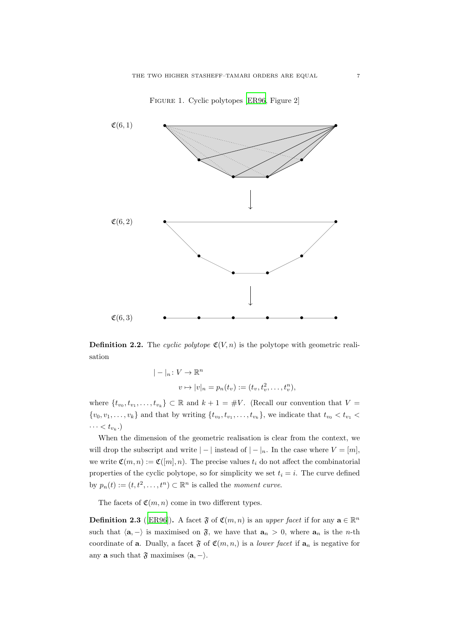

Figure 1. Cyclic polytopes [\[ER96,](#page-51-3) Figure 2]

<span id="page-6-0"></span>**Definition 2.2.** The cyclic polytope  $\mathfrak{C}(V, n)$  is the polytope with geometric realisation

$$
|-|_n: V \to \mathbb{R}^n
$$
  

$$
v \mapsto |v|_n = p_n(t_v) := (t_v, t_v^2, \dots, t_v^n),
$$

where  $\{t_{v_0}, t_{v_1}, \ldots, t_{v_k}\} \subset \mathbb{R}$  and  $k+1 = #V$ . (Recall our convention that  $V =$  $\{v_0, v_1, \ldots, v_k\}$  and that by writing  $\{t_{v_0}, t_{v_1}, \ldots, t_{v_k}\}$ , we indicate that  $t_{v_0} < t_{v_1}$  $\cdots < t_{v_k}$ .)

When the dimension of the geometric realisation is clear from the context, we will drop the subscript and write  $|-|$  instead of  $|-|_n$ . In the case where  $V = [m]$ , we write  $\mathfrak{C}(m,n) := \mathfrak{C}([m],n)$ . The precise values  $t_i$  do not affect the combinatorial properties of the cyclic polytope, so for simplicity we set  $t_i = i$ . The curve defined by  $p_n(t) := (t, t^2, \dots, t^n) \subset \mathbb{R}^n$  is called the moment curve.

The facets of  $\mathfrak{C}(m, n)$  come in two different types.

**Definition 2.3** ([\[ER96](#page-51-3)]). A facet  $\mathfrak{F}$  of  $\mathfrak{C}(m, n)$  is an upper facet if for any  $\mathbf{a} \in \mathbb{R}^n$ such that  $\langle \mathbf{a}, - \rangle$  is maximised on  $\mathfrak{F}$ , we have that  $\mathbf{a}_n > 0$ , where  $\mathbf{a}_n$  is the *n*-th coordinate of **a**. Dually, a facet  $\mathfrak{F}$  of  $\mathfrak{C}(m, n)$  is a *lower facet* if  $\mathbf{a}_n$  is negative for any **a** such that  $\mathfrak{F}$  maximises  $\langle \mathbf{a}, - \rangle$ .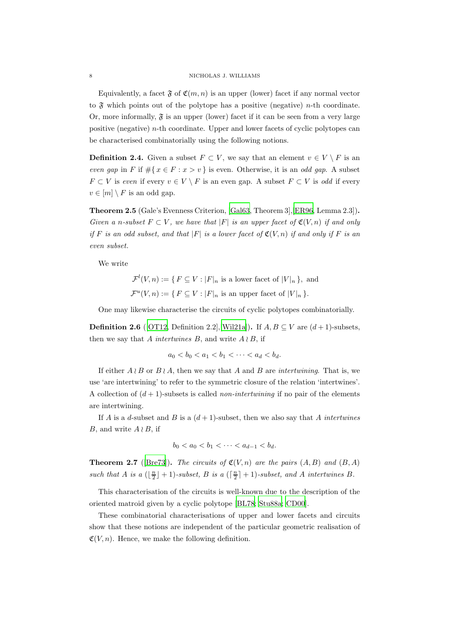### 8 NICHOLAS J. WILLIAMS

Equivalently, a facet  $\mathfrak F$  of  $\mathfrak C(m,n)$  is an upper (lower) facet if any normal vector to  $\mathfrak F$  which points out of the polytope has a positive (negative) *n*-th coordinate. Or, more informally,  $\mathfrak{F}$  is an upper (lower) facet if it can be seen from a very large positive (negative)  $n$ -th coordinate. Upper and lower facets of cyclic polytopes can be characterised combinatorially using the following notions.

**Definition 2.4.** Given a subset  $F \subset V$ , we say that an element  $v \in V \setminus F$  is an even gap in F if  $\#\{x \in F : x > v\}$  is even. Otherwise, it is an odd gap. A subset  $F \subset V$  is even if every  $v \in V \setminus F$  is an even gap. A subset  $F \subset V$  is odd if every  $v \in [m] \setminus F$  is an odd gap.

Theorem 2.5 (Gale's Evenness Criterion, [\[Gal63,](#page-52-12) Theorem 3],[\[ER96,](#page-51-3) Lemma 2.3]). Given a n-subset  $F \subset V$ , we have that  $|F|$  is an upper facet of  $\mathfrak{C}(V, n)$  if and only if F is an odd subset, and that  $|F|$  is a lower facet of  $\mathfrak{C}(V,n)$  if and only if F is an even subset.

We write

 $\mathcal{F}^l(V,n) := \{ F \subseteq V : |F|_n \text{ is a lower facet of } |V|_n \}, \text{ and}$  $\mathcal{F}^u(V,n) := \{ F \subseteq V : |F|_n \text{ is an upper facet of } |V|_n \}.$ 

One may likewise characterise the circuits of cyclic polytopes combinatorially.

**Definition 2.6** ([\[OT12,](#page-53-7) Definition 2.2],[\[Wil21a](#page-55-2)]). If  $A, B \subseteq V$  are  $(d+1)$ -subsets, then we say that A intertwines B, and write  $A \wr B$ , if

$$
a_0 < b_0 < a_1 < b_1 < \cdots < a_d < b_d.
$$

If either  $A \nmid B$  or  $B \nmid A$ , then we say that A and B are intertwining. That is, we use 'are intertwining' to refer to the symmetric closure of the relation 'intertwines'. A collection of  $(d + 1)$ -subsets is called *non-intertwining* if no pair of the elements are intertwining.

If A is a d-subset and B is a  $(d+1)$ -subset, then we also say that A intertwines B, and write  $A \nmid B$ , if

$$
b_0 < a_0 < b_1 < \cdots < a_{d-1} < b_d.
$$

**Theorem 2.7** ([\[Bre73\]](#page-50-9)). The circuits of  $\mathfrak{C}(V,n)$  are the pairs  $(A, B)$  and  $(B, A)$ such that A is a  $(\lfloor \frac{n}{2} \rfloor + 1)$ -subset, B is a  $(\lceil \frac{n}{2} \rceil + 1)$ -subset, and A intertwines B.

This characterisation of the circuits is well-known due to the description of the oriented matroid given by a cyclic polytope [\[BL78](#page-50-10); [Stu88a](#page-54-13); [CD00](#page-51-11)].

These combinatorial characterisations of upper and lower facets and circuits show that these notions are independent of the particular geometric realisation of  $\mathfrak{C}(V, n)$ . Hence, we make the following definition.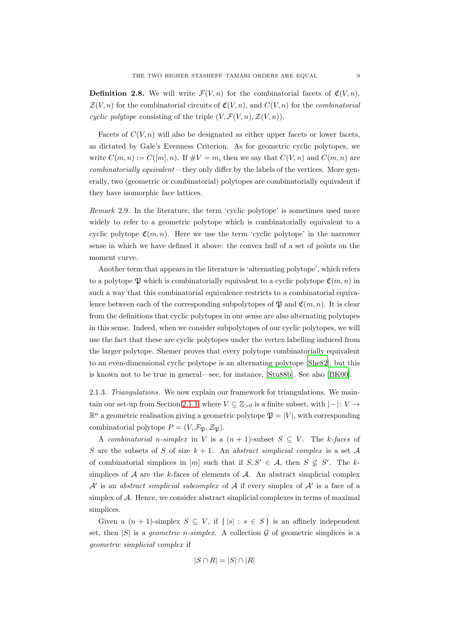<span id="page-8-1"></span>**Definition 2.8.** We will write  $\mathcal{F}(V, n)$  for the combinatorial facets of  $\mathfrak{C}(V, n)$ ,  $\mathcal{Z}(V,n)$  for the combinatorial circuits of  $\mathfrak{C}(V,n)$ , and  $C(V,n)$  for the *combinatorial* cyclic polytope consisting of the triple  $(V, \mathcal{F}(V, n), \mathcal{Z}(V, n)).$ 

Facets of  $C(V, n)$  will also be designated as either upper facets or lower facets, as dictated by Gale's Evenness Criterion. As for geometric cyclic polytopes, we write  $C(m, n) := C([m], n)$ . If  $\#V = m$ , then we say that  $C(V, n)$  and  $C(m, n)$  are combinatorially equivalent—they only differ by the labels of the vertices. More generally, two (geometric or combinatorial) polytopes are combinatorially equivalent if they have isomorphic face lattices.

Remark 2.9. In the literature, the term 'cyclic polytope' is sometimes used more widely to refer to a geometric polytope which is combinatorially equivalent to a cyclic polytope  $\mathfrak{C}(m, n)$ . Here we use the term 'cyclic polytope' in the narrower sense in which we have defined it above: the convex hull of a set of points on the moment curve.

Another term that appears in the literature is 'alternating polytope', which refers to a polytope  $\mathfrak P$  which is combinatorially equivalent to a cyclic polytope  $\mathfrak C(m,n)$  in such a way that this combinatorial equivalence restricts to a combinatorial equivalence between each of the corresponding subpolytopes of  $\mathfrak{P}$  and  $\mathfrak{C}(m, n)$ . It is clear from the definitions that cyclic polytopes in our sense are also alternating polytopes in this sense. Indeed, when we consider subpolytopes of our cyclic polytopes, we will use the fact that these are cyclic polytopes under the vertex labelling induced from the larger polytope. Shemer proves that every polytope combinatorially equivalent to an even-dimensional cyclic polytope is an alternating polytope [\[She82\]](#page-54-14), but this is known not to be true in general—see, for instance, [\[Stu88b\]](#page-54-12). See also [\[BK00](#page-50-11)].

<span id="page-8-0"></span>2.1.3. Triangulations. We now explain our framework for triangulations. We main-tain our set-up from Section [2.1.1,](#page-4-2) where  $V \subseteq \mathbb{Z}_{>0}$  is a finite subset, with  $|-|: V \rightarrow$  $\mathbb{R}^n$  a geometric realisation giving a geometric polytope  $\mathfrak{P} = |V|$ , with corresponding combinatorial polytope  $P = (V, \mathcal{F}_\mathfrak{N}, \mathcal{Z}_\mathfrak{N}).$ 

A combinatorial n-simplex in V is a  $(n + 1)$ -subset  $S \subseteq V$ . The k-faces of S are the subsets of S of size  $k + 1$ . An abstract simplicial complex is a set A of combinatorial simplices in [m] such that if  $S, S' \in \mathcal{A}$ , then  $S \nsubseteq S'$ . The ksimplices of  $A$  are the k-faces of elements of  $A$ . An abstract simplicial complex  $\mathcal{A}'$  is an abstract simplicial subcomplex of  $\mathcal A$  if every simplex of  $\mathcal A'$  is a face of a simplex of A. Hence, we consider abstract simplicial complexes in terms of maximal simplices.

Given a  $(n + 1)$ -simplex  $S \subseteq V$ , if  $\{|s| : s \in S\}$  is an affinely independent set, then |S| is a *geometric n-simplex*. A collection G of geometric simplices is a geometric simplicial complex if

$$
|S \cap R| = |S| \cap |R|
$$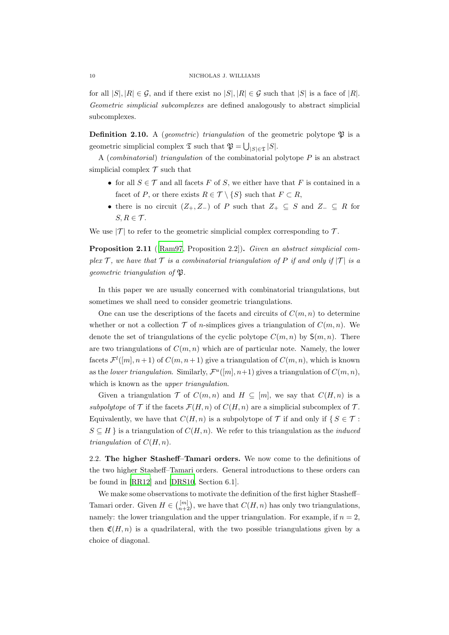for all  $|S|, |R| \in \mathcal{G}$ , and if there exist no  $|S|, |R| \in \mathcal{G}$  such that  $|S|$  is a face of  $|R|$ . Geometric simplicial subcomplexes are defined analogously to abstract simplicial subcomplexes.

<span id="page-9-1"></span>**Definition 2.10.** A *(geometric)* triangulation of the geometric polytope  $\mathfrak{P}$  is a geometric simplicial complex  $\mathfrak{T}$  such that  $\mathfrak{P} = \bigcup_{|S| \in \mathfrak{T}} |S|$ .

A (combinatorial) triangulation of the combinatorial polytope  $P$  is an abstract simplicial complex  $\mathcal T$  such that

- for all  $S \in \mathcal{T}$  and all facets F of S, we either have that F is contained in a facet of P, or there exists  $R \in \mathcal{T} \setminus \{S\}$  such that  $F \subset R$ ,
- there is no circuit  $(Z_+, Z_-)$  of P such that  $Z_+ \subseteq S$  and  $Z_- \subseteq R$  for  $S, R \in \mathcal{T}$ .

We use  $|\mathcal{T}|$  to refer to the geometric simplicial complex corresponding to  $\mathcal{T}$ .

Proposition 2.11 ([\[Ram97](#page-53-2), Proposition 2.2]). Given an abstract simplicial complex T, we have that T is a combinatorial triangulation of P if and only if  $|T|$  is a geometric triangulation of  $\mathfrak{P}.$ 

In this paper we are usually concerned with combinatorial triangulations, but sometimes we shall need to consider geometric triangulations.

One can use the descriptions of the facets and circuits of  $C(m, n)$  to determine whether or not a collection  $\mathcal T$  of *n*-simplices gives a triangulation of  $C(m, n)$ . We denote the set of triangulations of the cyclic polytope  $C(m, n)$  by  $S(m, n)$ . There are two triangulations of  $C(m, n)$  which are of particular note. Namely, the lower facets  $\mathcal{F}^l([m], n+1)$  of  $C(m, n+1)$  give a triangulation of  $C(m, n)$ , which is known as the lower triangulation. Similarly,  $\mathcal{F}^u([m], n+1)$  gives a triangulation of  $C(m, n)$ , which is known as the *upper triangulation*.

Given a triangulation  $\mathcal T$  of  $C(m, n)$  and  $H \subseteq [m]$ , we say that  $C(H, n)$  is a subpolytope of  $\mathcal T$  if the facets  $\mathcal F(H,n)$  of  $C(H,n)$  are a simplicial subcomplex of  $\mathcal T$ . Equivalently, we have that  $C(H, n)$  is a subpolytope of T if and only if  $\{S \in \mathcal{T} :$  $S \subseteq H$  is a triangulation of  $C(H, n)$ . We refer to this triangulation as the *induced* triangulation of  $C(H, n)$ .

<span id="page-9-0"></span>2.2. The higher Stasheff–Tamari orders. We now come to the definitions of the two higher Stasheff–Tamari orders. General introductions to these orders can be found in [\[RR12\]](#page-54-9) and [\[DRS10,](#page-51-12) Section 6.1].

We make some observations to motivate the definition of the first higher Stasheff– Tamari order. Given  $H \in \binom{[m]}{n+2}$ , we have that  $C(H, n)$  has only two triangulations, namely: the lower triangulation and the upper triangulation. For example, if  $n = 2$ , then  $\mathfrak{C}(H, n)$  is a quadrilateral, with the two possible triangulations given by a choice of diagonal.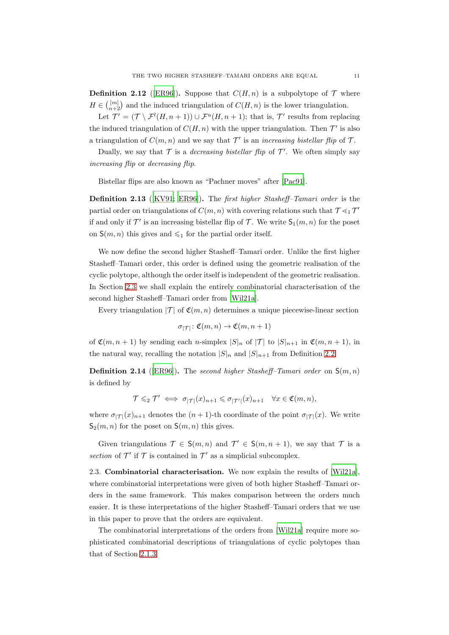**Definition 2.12** ([\[ER96\]](#page-51-3)). Suppose that  $C(H, n)$  is a subpolytope of  $\mathcal T$  where  $H \in \binom{[m]}{n+2}$  and the induced triangulation of  $C(H, n)$  is the lower triangulation.

Let  $\mathcal{T}' = (\mathcal{T} \setminus \mathcal{F}^l(H, n+1)) \cup \mathcal{F}^u(H, n+1)$ ; that is,  $\mathcal{T}'$  results from replacing the induced triangulation of  $C(H, n)$  with the upper triangulation. Then  $\mathcal{T}'$  is also a triangulation of  $C(m, n)$  and we say that  $\mathcal{T}'$  is an increasing bistellar flip of  $\mathcal{T}$ .

Dually, we say that  $\mathcal T$  is a *decreasing bistellar flip* of  $\mathcal T'$ . We often simply say increasing flip or decreasing flip.

Bistellar flips are also known as "Pachner moves" after [\[Pac91\]](#page-53-11).

Definition 2.13 ([\[KV91;](#page-52-4) [ER96\]](#page-51-3)). The first higher Stasheff–Tamari order is the partial order on triangulations of  $C(m, n)$  with covering relations such that  $\mathcal{T} \leq_1 \mathcal{T}'$ if and only if  $\mathcal{T}'$  is an increasing bistellar flip of  $\mathcal{T}$ . We write  $\mathsf{S}_1(m,n)$  for the poset on  $S(m, n)$  this gives and  $\leq 1$  for the partial order itself.

We now define the second higher Stasheff–Tamari order. Unlike the first higher Stasheff–Tamari order, this order is defined using the geometric realisation of the cyclic polytope, although the order itself is independent of the geometric realisation. In Section [2.3](#page-10-0) we shall explain the entirely combinatorial characterisation of the second higher Stasheff–Tamari order from [\[Wil21a\]](#page-55-2).

Every triangulation  $|\mathcal{T}|$  of  $\mathfrak{C}(m, n)$  determines a unique piecewise-linear section

$$
\sigma_{|\mathcal{T}|} \colon \mathfrak{C}(m, n) \to \mathfrak{C}(m, n+1)
$$

of  $\mathfrak{C}(m, n+1)$  by sending each *n*-simplex  $|S|_n$  of  $|T|$  to  $|S|_{n+1}$  in  $\mathfrak{C}(m, n+1)$ , in the natural way, recalling the notation  $|S|_n$  and  $|S|_{n+1}$  from Definition [2.2.](#page-6-0)

**Definition 2.14** ([\[ER96](#page-51-3)]). The second higher Stasheff–Tamari order on  $S(m, n)$ is defined by

$$
\mathcal{T} \leqslant_2 \mathcal{T}' \iff \sigma_{|\mathcal{T}|}(x)_{n+1} \leqslant \sigma_{|\mathcal{T}'|}(x)_{n+1} \quad \forall x \in \mathfrak{C}(m,n),
$$

where  $\sigma_{|\mathcal{T}|}(x)_{n+1}$  denotes the  $(n+1)$ -th coordinate of the point  $\sigma_{|\mathcal{T}|}(x)$ . We write  $S_2(m, n)$  for the poset on  $S(m, n)$  this gives.

Given triangulations  $\mathcal{T} \in \mathsf{S}(m,n)$  and  $\mathcal{T}' \in \mathsf{S}(m,n+1)$ , we say that  $\mathcal{T}$  is a section of  $\mathcal{T}'$  if  $\mathcal T$  is contained in  $\mathcal T'$  as a simplicial subcomplex.

<span id="page-10-0"></span>2.3. Combinatorial characterisation. We now explain the results of [\[Wil21a\]](#page-55-2), where combinatorial interpretations were given of both higher Stasheff–Tamari orders in the same framework. This makes comparison between the orders much easier. It is these interpretations of the higher Stasheff–Tamari orders that we use in this paper to prove that the orders are equivalent.

The combinatorial interpretations of the orders from [\[Wil21a](#page-55-2)] require more sophisticated combinatorial descriptions of triangulations of cyclic polytopes than that of Section [2.1.3.](#page-8-0)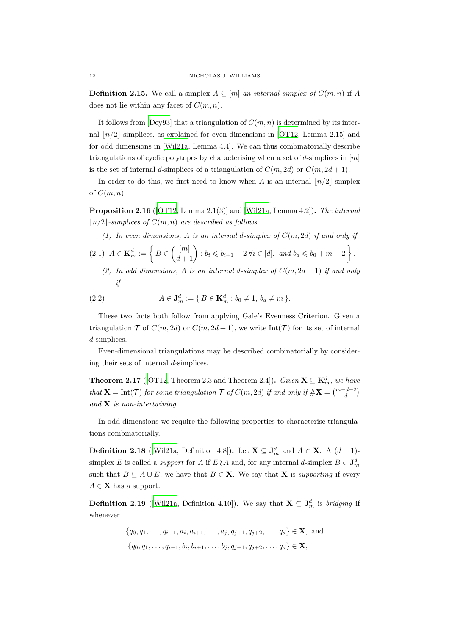**Definition 2.15.** We call a simplex  $A \subseteq [m]$  an internal simplex of  $C(m, n)$  if A does not lie within any facet of  $C(m, n)$ .

It follows from [\[Dey93](#page-51-13)] that a triangulation of  $C(m, n)$  is determined by its internal  $\lfloor n/2 \rfloor$ -simplices, as explained for even dimensions in [\[OT12,](#page-53-7) Lemma 2.15] and for odd dimensions in [\[Wil21a](#page-55-2), Lemma 4.4]. We can thus combinatorially describe triangulations of cyclic polytopes by characterising when a set of d-simplices in  $[m]$ is the set of internal d-simplices of a triangulation of  $C(m, 2d)$  or  $C(m, 2d + 1)$ .

In order to do this, we first need to know when A is an internal  $\lfloor n/2 \rfloor$ -simplex of  $C(m, n)$ .

Proposition 2.16 ([\[OT12](#page-53-7), Lemma 2.1(3)] and [\[Wil21a,](#page-55-2) Lemma 4.2]). The internal  $\lfloor n/2 \rfloor$ -simplices of  $C(m, n)$  are described as follows.

<span id="page-11-0"></span>(1) In even dimensions, A is an internal d-simplex of  $C(m, 2d)$  if and only if

$$
(2.1) \ \ A \in \mathbf{K}_m^d := \left\{ B \in \binom{[m]}{d+1} : b_i \leqslant b_{i+1} - 2 \ \forall i \in [d], \ \text{and} \ b_d \leqslant b_0 + m - 2 \right\}.
$$

<span id="page-11-1"></span>(2) In odd dimensions, A is an internal d-simplex of  $C(m, 2d + 1)$  if and only if

(2.2) 
$$
A \in \mathbf{J}_m^d := \{ B \in \mathbf{K}_m^d : b_0 \neq 1, \, b_d \neq m \}.
$$

These two facts both follow from applying Gale's Evenness Criterion. Given a triangulation  $\mathcal T$  of  $C(m, 2d)$  or  $C(m, 2d+1)$ , we write Int( $\mathcal T$ ) for its set of internal d-simplices.

Even-dimensional triangulations may be described combinatorially by considering their sets of internal d-simplices.

**Theorem 2.17** ([\[OT12](#page-53-7), Theorem 2.3 and Theorem 2.4]). Given  $\mathbf{X} \subseteq \mathbf{K}_m^d$ , we have that  $\mathbf{X} = \text{Int}(\mathcal{T})$  for some triangulation  $\mathcal{T}$  of  $C(m, 2d)$  if and only if  $\#\mathbf{X} = \binom{m-d-2}{d}$ and  $X$  is non-intertwining.

In odd dimensions we require the following properties to characterise triangulations combinatorially.

<span id="page-11-2"></span>**Definition 2.18** ([\[Wil21a](#page-55-2), Definition 4.8]). Let  $X \subseteq J_m^d$  and  $A \in X$ . A  $(d-1)$ simplex E is called a *support* for A if  $E \wr A$  and, for any internal d-simplex  $B \in J_m^d$ such that  $B \subseteq A \cup E$ , we have that  $B \in \mathbf{X}$ . We say that **X** is supporting if every  $A \in \mathbf{X}$  has a support.

<span id="page-11-3"></span>**Definition 2.19** ([\[Wil21a,](#page-55-2) Definition 4.10]). We say that  $X \subseteq J_m^d$  is *bridging* if whenever

$$
\{q_0, q_1, \dots, q_{i-1}, a_i, a_{i+1}, \dots, a_j, q_{j+1}, q_{j+2}, \dots, q_d\} \in \mathbf{X}, \text{ and}
$$
  

$$
\{q_0, q_1, \dots, q_{i-1}, b_i, b_{i+1}, \dots, b_j, q_{j+1}, q_{j+2}, \dots, q_d\} \in \mathbf{X},
$$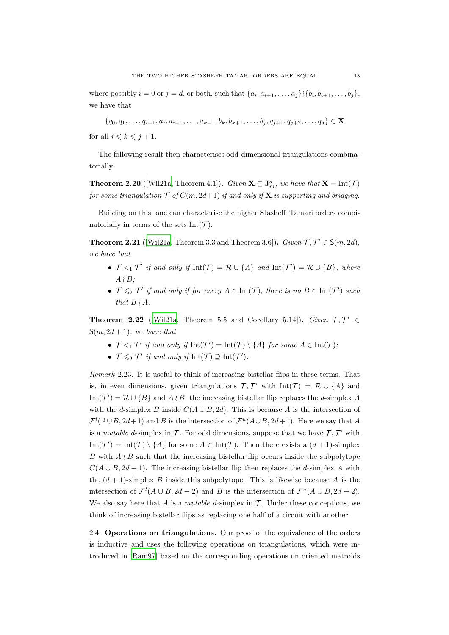where possibly  $i = 0$  or  $j = d$ , or both, such that  $\{a_i, a_{i+1}, \ldots, a_j\}$  { $\{b_i, b_{i+1}, \ldots, b_j\}$ , we have that

 $\{q_0, q_1, \ldots, q_{i-1}, a_i, a_{i+1}, \ldots, a_{k-1}, b_k, b_{k+1}, \ldots, b_j, q_{j+1}, q_{j+2}, \ldots, q_d\} \in \mathbf{X}$ 

for all  $i \leq k \leq j + 1$ .

The following result then characterises odd-dimensional triangulations combinatorially.

<span id="page-12-2"></span>**Theorem 2.20** ([\[Wil21a,](#page-55-2) Theorem 4.1]). Given  $\mathbf{X} \subseteq \mathbf{J}_m^d$ , we have that  $\mathbf{X} = \text{Int}(\mathcal{T})$ for some triangulation  $\mathcal T$  of  $C(m, 2d+1)$  if and only if **X** is supporting and bridging.

Building on this, one can characterise the higher Stasheff–Tamari orders combinatorially in terms of the sets Int $(\mathcal{T})$ .

<span id="page-12-3"></span>**Theorem 2.21** ([\[Wil21a](#page-55-2), Theorem 3.3 and Theorem 3.6]). *Given*  $\mathcal{T}, \mathcal{T}' \in S(m, 2d)$ , we have that

- $\mathcal{T} \leq_1 \mathcal{T}'$  if and only if  $\mathrm{Int}(\mathcal{T}) = \mathcal{R} \cup \{A\}$  and  $\mathrm{Int}(\mathcal{T}') = \mathcal{R} \cup \{B\}$ , where  $A \wr B$ :
- $\mathcal{T} \leqslant_2 \mathcal{T}'$  if and only if for every  $A \in \text{Int}(\mathcal{T})$ , there is no  $B \in \text{Int}(\mathcal{T}')$  such that  $B \wr A$ .

<span id="page-12-1"></span>**Theorem 2.22** ([\[Wil21a](#page-55-2), Theorem 5.5 and Corollary 5.14]). Given  $\mathcal{T}, \mathcal{T}' \in$  $S(m, 2d + 1)$ , we have that

- $\mathcal{T} \leq_1 \mathcal{T}'$  if and only if  $\mathrm{Int}(\mathcal{T}') = \mathrm{Int}(\mathcal{T}) \setminus \{A\}$  for some  $A \in \mathrm{Int}(\mathcal{T})$ ;
- $\mathcal{T} \leqslant_2 \mathcal{T}'$  if and only if  $\mathrm{Int}(\mathcal{T}) \supseteq \mathrm{Int}(\mathcal{T}')$ .

Remark 2.23. It is useful to think of increasing bistellar flips in these terms. That is, in even dimensions, given triangulations  $\mathcal{T}, \mathcal{T}'$  with  $\text{Int}(\mathcal{T}) = \mathcal{R} \cup \{A\}$  and Int $(\mathcal{T}') = \mathcal{R} \cup \{B\}$  and  $A \wr B$ , the increasing bistellar flip replaces the d-simplex A with the d-simplex B inside  $C(A \cup B, 2d)$ . This is because A is the intersection of  $\mathcal{F}^l(A\cup B, 2d+1)$  and B is the intersection of  $\mathcal{F}^u(A\cup B, 2d+1)$ . Here we say that A is a *mutable d*-simplex in  $\mathcal{T}$ . For odd dimensions, suppose that we have  $\mathcal{T}, \mathcal{T}'$  with  $Int(\mathcal{T}') = Int(\mathcal{T}) \setminus \{A\}$  for some  $A \in Int(\mathcal{T})$ . Then there exists a  $(d+1)$ -simplex B with  $A \wr B$  such that the increasing bistellar flip occurs inside the subpolytope  $C(A \cup B, 2d + 1)$ . The increasing bistellar flip then replaces the d-simplex A with the  $(d + 1)$ -simplex B inside this subpolytope. This is likewise because A is the intersection of  $\mathcal{F}^l(A \cup B, 2d + 2)$  and B is the intersection of  $\mathcal{F}^u(A \cup B, 2d + 2)$ . We also say here that A is a mutable d-simplex in  $\mathcal T$ . Under these conceptions, we think of increasing bistellar flips as replacing one half of a circuit with another.

<span id="page-12-0"></span>2.4. Operations on triangulations. Our proof of the equivalence of the orders is inductive and uses the following operations on triangulations, which were introduced in [\[Ram97\]](#page-53-2) based on the corresponding operations on oriented matroids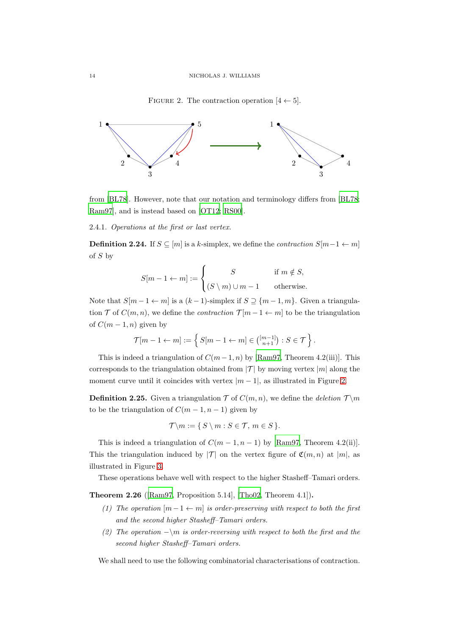<span id="page-13-0"></span>FIGURE 2. The contraction operation  $[4 \leftarrow 5]$ .



from [\[BL78\]](#page-50-10). However, note that our notation and terminology differs from [\[BL78](#page-50-10); [Ram97\]](#page-53-2), and is instead based on [\[OT12;](#page-53-7) [RS00\]](#page-54-8).

2.4.1. Operations at the first or last vertex.

**Definition 2.24.** If  $S \subseteq [m]$  is a k-simplex, we define the *contraction*  $S[m-1 \leftarrow m]$ of  $S$  by

$$
S[m-1 \leftarrow m] := \begin{cases} S & \text{if } m \notin S, \\ (S \setminus m) \cup m - 1 & \text{otherwise.} \end{cases}
$$

Note that  $S[m-1 \leftarrow m]$  is a  $(k-1)$ -simplex if  $S \supseteq \{m-1, m\}$ . Given a triangulation  $\mathcal T$  of  $C(m, n)$ , we define the *contraction*  $\mathcal T[m-1 \leftarrow m]$  to be the triangulation of  $C(m-1, n)$  given by

$$
\mathcal{T}[m-1 \leftarrow m] := \left\{ S[m-1 \leftarrow m] \in \binom{[m-1]}{n+1} : S \in \mathcal{T} \right\}.
$$

This is indeed a triangulation of  $C(m-1, n)$  by [\[Ram97,](#page-53-2) Theorem 4.2(iii)]. This corresponds to the triangulation obtained from  $|\mathcal{T}|$  by moving vertex  $|m|$  along the moment curve until it coincides with vertex  $|m-1|$ , as illustrated in Figure [2.](#page-13-0)

**Definition 2.25.** Given a triangulation  $\mathcal T$  of  $C(m, n)$ , we define the deletion  $\mathcal T \setminus m$ to be the triangulation of  $C(m-1, n-1)$  given by

$$
\mathcal{T}\backslash m:=\{S\setminus m:S\in\mathcal{T},\,m\in S\}.
$$

This is indeed a triangulation of  $C(m-1, n-1)$  by [\[Ram97,](#page-53-2) Theorem 4.2(ii)]. This the triangulation induced by  $|{\cal T}|$  on the vertex figure of  ${\cal C}(m, n)$  at  $|m|$ , as illustrated in Figure [3.](#page-14-0)

These operations behave well with respect to the higher Stasheff–Tamari orders.

Theorem 2.26 ([\[Ram97](#page-53-2), Proposition 5.14], [\[Tho02](#page-54-7), Theorem 4.1]).

- (1) The operation  $[m-1 \leftarrow m]$  is order-preserving with respect to both the first and the second higher Stasheff–Tamari orders.
- (2) The operation  $-\m{\mathbf{m}}$  is order-reversing with respect to both the first and the second higher Stasheff–Tamari orders.

We shall need to use the following combinatorial characterisations of contraction.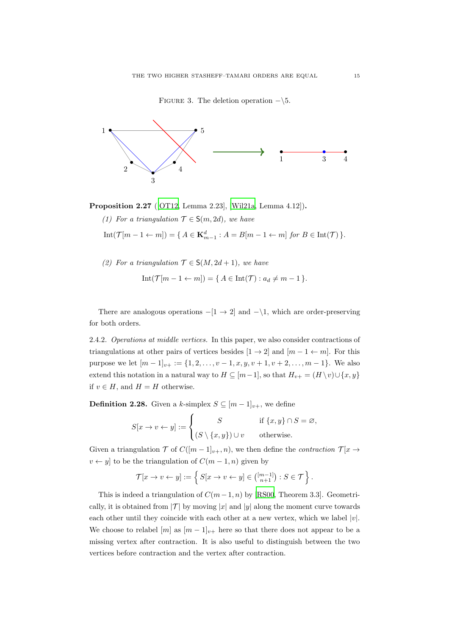<span id="page-14-0"></span>FIGURE 3. The deletion operation  $-\sqrt{5}$ .



<span id="page-14-1"></span>Proposition 2.27 ([\[OT12](#page-53-7), Lemma 2.23], [\[Wil21a,](#page-55-2) Lemma 4.12]).

(1) For a triangulation  $\mathcal{T} \in \mathsf{S}(m, 2d)$ , we have

<span id="page-14-2"></span> $Int(\mathcal{T}[m-1\leftarrow m]) = \{ A \in \mathbf{K}_{m-1}^d : A = B[m-1\leftarrow m] \text{ for } B \in Int(\mathcal{T}) \}.$ 

(2) For a triangulation  $\mathcal{T} \in \mathsf{S}(M, 2d+1)$ , we have

$$
Int(\mathcal{T}[m-1 \leftarrow m]) = \{ A \in Int(\mathcal{T}) : a_d \neq m-1 \}.
$$

There are analogous operations  $-[1 \rightarrow 2]$  and  $-\setminus 1$ , which are order-preserving for both orders.

2.4.2. Operations at middle vertices. In this paper, we also consider contractions of triangulations at other pairs of vertices besides  $[1 \rightarrow 2]$  and  $[m-1 \leftarrow m]$ . For this purpose we let  $[m-1]_{v+} := \{1, 2, \ldots, v-1, x, y, v+1, v+2, \ldots, m-1\}$ . We also extend this notation in a natural way to  $H \subseteq [m-1]$ , so that  $H_{v+} = (H \setminus v) \cup \{x, y\}$ if  $v \in H$ , and  $H = H$  otherwise.

**Definition 2.28.** Given a k-simplex  $S \subseteq [m-1]_{v+}$ , we define

$$
S[x \to v \leftarrow y] := \begin{cases} S & \text{if } \{x, y\} \cap S = \varnothing, \\ (S \setminus \{x, y\}) \cup v & \text{otherwise.} \end{cases}
$$

Given a triangulation  $\mathcal T$  of  $C([m-1]_{v+}, n)$ , we then define the *contraction*  $\mathcal T[x \rightarrow$  $v \leftarrow y$  to be the triangulation of  $C(m-1, n)$  given by

$$
\mathcal{T}[x \to v \leftarrow y] := \left\{ S[x \to v \leftarrow y] \in \binom{[m-1]}{n+1} : S \in \mathcal{T} \right\}.
$$

This is indeed a triangulation of  $C(m-1, n)$  by [\[RS00](#page-54-8), Theorem 3.3]. Geometrically, it is obtained from  $|{\mathcal{T}}|$  by moving |x| and |y| along the moment curve towards each other until they coincide with each other at a new vertex, which we label  $|v|$ . We choose to relabel  $[m]$  as  $[m-1]_{v+}$  here so that there does not appear to be a missing vertex after contraction. It is also useful to distinguish between the two vertices before contraction and the vertex after contraction.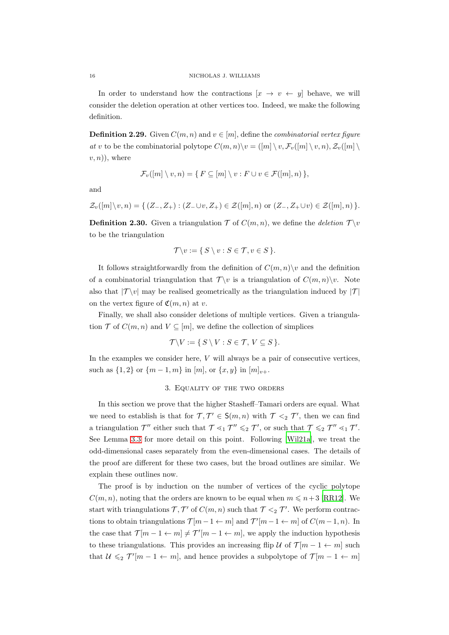In order to understand how the contractions  $[x \rightarrow v \leftarrow y]$  behave, we will consider the deletion operation at other vertices too. Indeed, we make the following definition.

<span id="page-15-1"></span>**Definition 2.29.** Given  $C(m, n)$  and  $v \in [m]$ , define the *combinatorial vertex figure* at v to be the combinatorial polytope  $C(m, n) \setminus v = ([m] \setminus v, \mathcal{F}_v([m] \setminus v, n), \mathcal{Z}_v([m] \setminus v))$  $(v, n)$ , where

$$
\mathcal{F}_v([m] \setminus v, n) = \{ F \subseteq [m] \setminus v : F \cup v \in \mathcal{F}([m], n) \},
$$

and

$$
\mathcal{Z}_{v}([m]\setminus v, n) = \{ (Z_{-}, Z_{+}) : (Z_{-}\cup v, Z_{+}) \in \mathcal{Z}([m], n) \text{ or } (Z_{-}, Z_{+}\cup v) \in \mathcal{Z}([m], n) \}.
$$

**Definition 2.30.** Given a triangulation  $\mathcal{T}$  of  $C(m, n)$ , we define the deletion  $\mathcal{T} \setminus v$ to be the triangulation

$$
\mathcal{T}\backslash v:=\{S\setminus v: S\in\mathcal{T}, v\in S\}.
$$

It follows straightforwardly from the definition of  $C(m, n)\$  and the definition of a combinatorial triangulation that  $\mathcal{T}\setminus v$  is a triangulation of  $C(m, n)\setminus v$ . Note also that  $|\mathcal{T}\setminus v|$  may be realised geometrically as the triangulation induced by  $|\mathcal{T}|$ on the vertex figure of  $\mathfrak{C}(m, n)$  at v.

Finally, we shall also consider deletions of multiple vertices. Given a triangulation  $\mathcal T$  of  $C(m, n)$  and  $V \subseteq [m]$ , we define the collection of simplices

$$
\mathcal{T}\backslash V:=\{S\setminus V: S\in\mathcal{T}, V\subseteq S\}.
$$

<span id="page-15-0"></span>In the examples we consider here,  $V$  will always be a pair of consecutive vertices, such as  $\{1,2\}$  or  $\{m-1,m\}$  in  $[m]$ , or  $\{x,y\}$  in  $[m]_{v+}$ .

# 3. Equality of the two orders

In this section we prove that the higher Stasheff–Tamari orders are equal. What we need to establish is that for  $\mathcal{T}, \mathcal{T}' \in \mathsf{S}(m, n)$  with  $\mathcal{T} \leq_2 \mathcal{T}'$ , then we can find a triangulation  $\mathcal{T}''$  either such that  $\mathcal{T} \leq_1 \mathcal{T}'' \leq_2 \mathcal{T}'$ , or such that  $\mathcal{T} \leq_2 \mathcal{T}'' \leq_1 \mathcal{T}'$ . See Lemma [3.3](#page-17-0) for more detail on this point. Following [\[Wil21a](#page-55-2)], we treat the odd-dimensional cases separately from the even-dimensional cases. The details of the proof are different for these two cases, but the broad outlines are similar. We explain these outlines now.

The proof is by induction on the number of vertices of the cyclic polytope  $C(m, n)$ , noting that the orders are known to be equal when  $m \leq n+3$  [\[RR12](#page-54-9)]. We start with triangulations  $\mathcal{T}, \mathcal{T}'$  of  $C(m, n)$  such that  $\mathcal{T} \leq_2 \mathcal{T}'$ . We perform contractions to obtain triangulations  $\mathcal{T}[m-1 \leftarrow m]$  and  $\mathcal{T'}[m-1 \leftarrow m]$  of  $C(m-1,n)$ . In the case that  $\mathcal{T}[m-1 \leftarrow m] \neq \mathcal{T}'[m-1 \leftarrow m]$ , we apply the induction hypothesis to these triangulations. This provides an increasing flip U of  $\mathcal{T}[m-1 \leftarrow m]$  such that  $\mathcal{U} \leqslant_2 \mathcal{T}'[m-1 \leftarrow m]$ , and hence provides a subpolytope of  $\mathcal{T}[m-1 \leftarrow m]$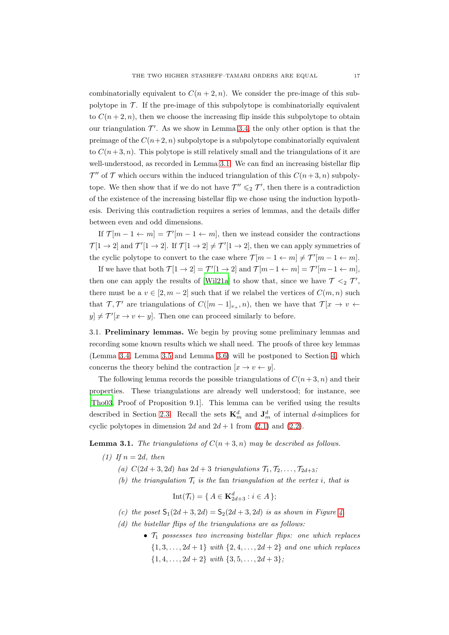combinatorially equivalent to  $C(n+2, n)$ . We consider the pre-image of this subpolytope in  $\mathcal T$ . If the pre-image of this subpolytope is combinatorially equivalent to  $C(n+2, n)$ , then we choose the increasing flip inside this subpolytope to obtain our triangulation  $\mathcal{T}'$ . As we show in Lemma [3.4,](#page-19-0) the only other option is that the preimage of the  $C(n+2, n)$  subpolytope is a subpolytope combinatorially equivalent to  $C(n+3, n)$ . This polytope is still relatively small and the triangulations of it are well-understood, as recorded in Lemma [3.1.](#page-16-1) We can find an increasing bistellar flip  $\mathcal{T}''$  of  $\mathcal T$  which occurs within the induced triangulation of this  $C(n+3,n)$  subpolytope. We then show that if we do not have  $\mathcal{T}'' \leq 2 \mathcal{T}'$ , then there is a contradiction of the existence of the increasing bistellar flip we chose using the induction hypothesis. Deriving this contradiction requires a series of lemmas, and the details differ between even and odd dimensions.

If  $\mathcal{T}[m-1 \leftarrow m] = \mathcal{T}'[m-1 \leftarrow m]$ , then we instead consider the contractions  $\mathcal{T}[1 \to 2]$  and  $\mathcal{T}'[1 \to 2]$ . If  $\mathcal{T}[1 \to 2] \neq \mathcal{T}'[1 \to 2]$ , then we can apply symmetries of the cyclic polytope to convert to the case where  $\mathcal{T}[m-1 \leftarrow m] \neq \mathcal{T}'[m-1 \leftarrow m]$ .

If we have that both  $\mathcal{T}[1 \to 2] = \mathcal{T}'[1 \to 2]$  and  $\mathcal{T}[m-1 \leftarrow m] = \mathcal{T}'[m-1 \leftarrow m]$ , then one can apply the results of [\[Wil21a\]](#page-55-2) to show that, since we have  $\mathcal{T} \leq_2 \mathcal{T}'$ , there must be a  $v \in [2, m-2]$  such that if we relabel the vertices of  $C(m, n)$  such that  $\mathcal{T}, \mathcal{T}'$  are triangulations of  $C([m-1]_{v_+}, n)$ , then we have that  $\mathcal{T}[x \to v \leftarrow$  $[y] \neq \mathcal{T}'[x \to v \leftarrow y]$ . Then one can proceed similarly to before.

<span id="page-16-0"></span>3.1. Preliminary lemmas. We begin by proving some preliminary lemmas and recording some known results which we shall need. The proofs of three key lemmas (Lemma [3.4,](#page-19-0) Lemma [3.5](#page-20-1) and Lemma [3.6\)](#page-20-2) will be postponed to Section [4,](#page-29-0) which concerns the theory behind the contraction  $[x \to v \leftarrow y]$ .

The following lemma records the possible triangulations of  $C(n+3, n)$  and their properties. These triangulations are already well understood; for instance, see [\[Tho03,](#page-54-6) Proof of Proposition 9.1]. This lemma can be verified using the results described in Section [2.3.](#page-10-0) Recall the sets  $\mathbf{K}_m^d$  and  $\mathbf{J}_m^d$  of internal *d*-simplices for cyclic polytopes in dimension 2d and  $2d + 1$  from  $(2.1)$  and  $(2.2)$ .

<span id="page-16-1"></span>**Lemma 3.1.** The triangulations of  $C(n+3, n)$  may be described as follows.

- (1) If  $n = 2d$ , then
	- (a)  $C(2d+3, 2d)$  has  $2d+3$  triangulations  $\mathcal{T}_1, \mathcal{T}_2, \ldots, \mathcal{T}_{2d+3}$ ;
	- (b) the triangulation  $\mathcal{T}_i$  is the fan triangulation at the vertex i, that is

$$
Int(\mathcal{T}_i) = \{ A \in \mathbf{K}_{2d+3}^d : i \in A \};
$$

- (c) the poset  $S_1(2d + 3, 2d) = S_2(2d + 3, 2d)$  is as shown in Figure [4.](#page-18-0)
- (d) the bistellar flips of the triangulations are as follows:
	- $\mathcal{T}_1$  possesses two increasing bistellar flips: one which replaces  $\{1, 3, \ldots, 2d + 1\}$  with  $\{2, 4, \ldots, 2d + 2\}$  and one which replaces  $\{1, 4, \ldots, 2d + 2\}$  with  $\{3, 5, \ldots, 2d + 3\}$ ;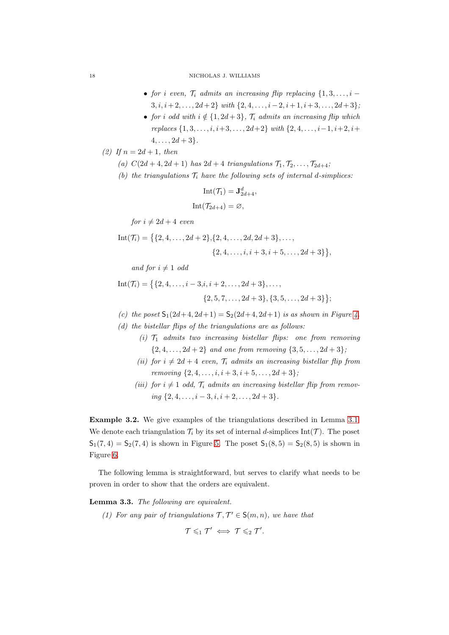- for i even,  $\mathcal{T}_i$  admits an increasing flip replacing  $\{1, 3, \ldots, i \}$  $3, i, i+2, \ldots, 2d+2$  with  $\{2, 4, \ldots, i-2, i+1, i+3, \ldots, 2d+3\}$ ;
- for i odd with  $i \notin \{1, 2d+3\}$ ,  $\mathcal{T}_i$  admits an increasing flip which replaces  $\{1, 3, \ldots, i, i+3, \ldots, 2d+2\}$  with  $\{2, 4, \ldots, i-1, i+2, i+1\}$  $4, \ldots, 2d+3$ .

(2) If  $n = 2d + 1$ , then

(a)  $C(2d+4, 2d+1)$  has  $2d+4$  triangulations  $\mathcal{T}_1, \mathcal{T}_2, \ldots, \mathcal{T}_{2d+4}$ ;

(b) the triangulations  $\mathcal{T}_i$  have the following sets of internal d-simplices:

$$
Int(\mathcal{T}_1) = \mathbf{J}_{2d+4}^d,
$$
  

$$
Int(\mathcal{T}_{2d+4}) = \varnothing,
$$

for  $i \neq 2d + 4$  even

Int(
$$
\mathcal{T}_i
$$
) = { {2, 4, ..., 2d + 2}, {2, 4, ..., 2d, 2d + 3}, ...,  
{2, 4, ..., i, i + 3, i + 5, ..., 2d + 3},

and for  $i \neq 1$  odd

Int(
$$
\mathcal{T}_i
$$
) = { {2, 4, ..., i – 3, i, i + 2, ..., 2d + 3}, ...,  
{2, 5, 7, ..., 2d + 3}, {3, 5, ..., 2d + 3};

- (c) the poset  $S_1(2d+4, 2d+1) = S_2(2d+4, 2d+1)$  is as shown in Figure [4.](#page-18-0)
- (d) the bistellar flips of the triangulations are as follows:
	- (i)  $T_1$  admits two increasing bistellar flips: one from removing  $\{2, 4, \ldots, 2d + 2\}$  and one from removing  $\{3, 5, \ldots, 2d + 3\}$ ;
	- (ii) for  $i \neq 2d + 4$  even,  $\mathcal{T}_i$  admits an increasing bistellar flip from removing  $\{2, 4, \ldots, i, i+3, i+5, \ldots, 2d+3\}$ ;
	- (iii) for  $i \neq 1$  odd,  $\mathcal{T}_i$  admits an increasing bistellar flip from removing  $\{2, 4, \ldots, i-3, i, i+2, \ldots, 2d+3\}.$

Example 3.2. We give examples of the triangulations described in Lemma [3.1.](#page-16-1) We denote each triangulation  $\mathcal{T}_i$  by its set of internal d-simplices Int(T). The poset  $S_1(7, 4) = S_2(7, 4)$  is shown in Figure [5.](#page-18-1) The poset  $S_1(8, 5) = S_2(8, 5)$  is shown in Figure [6.](#page-19-1)

The following lemma is straightforward, but serves to clarify what needs to be proven in order to show that the orders are equivalent.

# <span id="page-17-1"></span><span id="page-17-0"></span>Lemma 3.3. The following are equivalent.

(1) For any pair of triangulations  $\mathcal{T}, \mathcal{T}' \in \mathsf{S}(m,n)$ , we have that

$$
\mathcal{T}\leqslant_1\mathcal{T}'\iff \mathcal{T}\leqslant_2\mathcal{T}'.
$$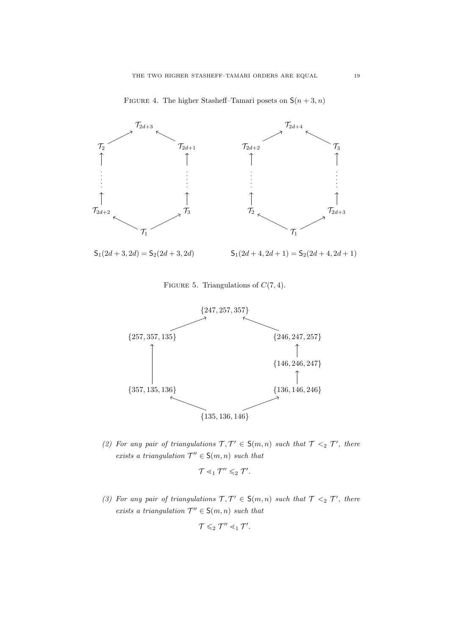

<span id="page-18-0"></span>FIGURE 4. The higher Stasheff–Tamari posets on  $S(n+3, n)$ 

<span id="page-18-1"></span>FIGURE 5. Triangulations of  $C(7, 4)$ .



<span id="page-18-2"></span>(2) For any pair of triangulations  $\mathcal{T}, \mathcal{T}' \in S(m,n)$  such that  $\mathcal{T} \leq_2 \mathcal{T}'$ , there exists a triangulation  $\mathcal{T}'' \in \mathsf{S}(m,n)$  such that

$$
\mathcal{T} \lessdot_1 \mathcal{T}'' \lessdot_2 \mathcal{T}'.
$$

<span id="page-18-3"></span>(3) For any pair of triangulations  $\mathcal{T}, \mathcal{T}' \in S(m,n)$  such that  $\mathcal{T} \leq_2 \mathcal{T}'$ , there exists a triangulation  $\mathcal{T}'' \in \mathsf{S}(m,n)$  such that

$$
\mathcal{T}\leqslant_2\mathcal{T}''\lessdot_1\mathcal{T}'.
$$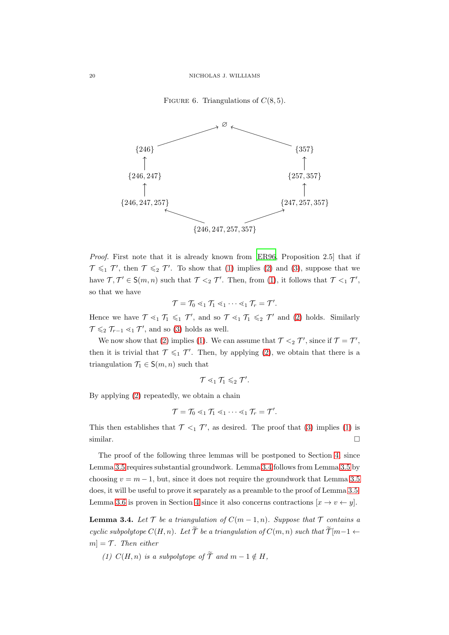<span id="page-19-1"></span>FIGURE 6. Triangulations of  $C(8, 5)$ .



Proof. First note that it is already known from [\[ER96,](#page-51-3) Proposition 2.5] that if  $\mathcal{T} \leqslant_1 \mathcal{T}'$ , then  $\mathcal{T} \leqslant_2 \mathcal{T}'$ . To show that [\(1\)](#page-17-1) implies [\(2\)](#page-18-2) and [\(3\)](#page-18-3), suppose that we have  $\mathcal{T}, \mathcal{T}' \in \mathsf{S}(m, n)$  such that  $\mathcal{T} \leq_2 \mathcal{T}'$ . Then, from [\(1\)](#page-17-1), it follows that  $\mathcal{T} \leq_1 \mathcal{T}'$ , so that we have

 $\mathcal{T} = \mathcal{T}_0 \lessdot_1 \mathcal{T}_1 \lessdot_1 \cdots \lessdot_1 \mathcal{T}_r = \mathcal{T}'.$ 

Hence we have  $\mathcal{T} \leq_1 \mathcal{T}_1 \leq_1 \mathcal{T}'$ , and so  $\mathcal{T} \leq_1 \mathcal{T}_1 \leq_2 \mathcal{T}'$  and [\(2\)](#page-18-2) holds. Similarly  $\mathcal{T} \leqslant_2 \mathcal{T}_{r-1} \leqslant_1 \mathcal{T}'$ , and so [\(3\)](#page-18-3) holds as well.

We now show that [\(2\)](#page-18-2) implies [\(1\)](#page-17-1). We can assume that  $\mathcal{T} \leq_2 \mathcal{T}'$ , since if  $\mathcal{T} = \mathcal{T}'$ , then it is trivial that  $\mathcal{T} \leq 1$   $\mathcal{T}'$ . Then, by applying [\(2\)](#page-18-2), we obtain that there is a triangulation  $\mathcal{T}_1 \in \mathsf{S}(m,n)$  such that

$$
\mathcal{T} \lessdot_1 \mathcal{T}_1 \leqslant_2 \mathcal{T}'.
$$

By applying [\(2\)](#page-18-2) repeatedly, we obtain a chain

$$
\mathcal{T} = \mathcal{T}_0 \lessdot_1 \mathcal{T}_1 \lessdot_1 \cdots \lessdot_1 \mathcal{T}_r = \mathcal{T}'.
$$

This then establishes that  $\mathcal{T} \leq_1 \mathcal{T}'$ , as desired. The proof that [\(3\)](#page-18-3) implies [\(1\)](#page-17-1) is similar.  $\Box$ 

The proof of the following three lemmas will be postponed to Section [4,](#page-29-0) since Lemma [3.5](#page-20-1) requires substantial groundwork. Lemma [3.4](#page-19-0) follows from Lemma [3.5](#page-20-1) by choosing  $v = m - 1$ , but, since it does not require the groundwork that Lemma [3.5](#page-20-1) does, it will be useful to prove it separately as a preamble to the proof of Lemma [3.5.](#page-20-1) Lemma [3.6](#page-20-2) is proven in Section [4](#page-29-0) since it also concerns contractions  $[x \to v \leftarrow y]$ .

<span id="page-19-0"></span>**Lemma 3.4.** Let  $\mathcal T$  be a triangulation of  $C(m-1,n)$ . Suppose that  $\mathcal T$  contains a cyclic subpolytope  $C(H, n)$ . Let  $\widetilde{\mathcal{T}}$  be a triangulation of  $C(m, n)$  such that  $\widetilde{\mathcal{T}}[m-1 \leftarrow$  $m = \mathcal{T}$ . Then either

(1)  $C(H, n)$  is a subpolytope of  $\widetilde{\mathcal{T}}$  and  $m - 1 \notin H$ ,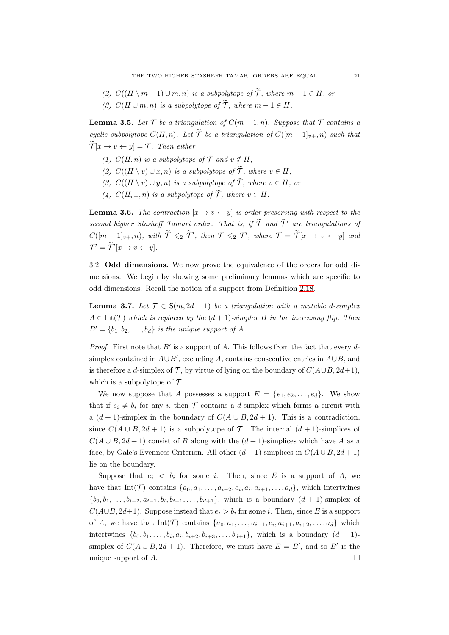(2)  $C((H \n\setminus m-1) \cup m, n)$  is a subpolytope of  $\widetilde{\mathcal{T}}$ , where  $m-1 \in H$ , or (3)  $C(H \cup m, n)$  is a subpolytope of  $\widetilde{T}$ , where  $m - 1 \in H$ .

<span id="page-20-1"></span>**Lemma 3.5.** Let  $\mathcal T$  be a triangulation of  $C(m-1,n)$ . Suppose that  $\mathcal T$  contains a cyclic subpolytope  $C(H, n)$ . Let  $\widetilde{\mathcal{T}}$  be a triangulation of  $C([m-1]_{v+}, n)$  such that  $\widetilde{\mathcal{T}}[x \to v \leftarrow y] = \mathcal{T}$ . Then either

- (1)  $C(H, n)$  is a subpolytope of  $\widetilde{\mathcal{T}}$  and  $v \notin H$ .
- (2)  $C((H \setminus v) \cup x, n)$  is a subpolytope of  $\widetilde{\mathcal{T}}$ , where  $v \in H$ ,
- (3)  $C((H \setminus v) \cup y, n)$  is a subpolytope of  $\widetilde{\mathcal{T}}$ , where  $v \in H$ , or
- (4)  $C(H_{v+}, n)$  is a subpolytope of  $\widetilde{\mathcal{T}}$ , where  $v \in H$ .

<span id="page-20-2"></span>**Lemma 3.6.** The contraction  $[x \rightarrow v \leftarrow y]$  is order-preserving with respect to the second higher Stasheff–Tamari order. That is, if  $\widetilde{\mathcal{T}}$  and  $\widetilde{\mathcal{T}}'$  are triangulations of  $C([m-1]_{v+}, n)$ , with  $\widetilde{\mathcal{T}} \leqslant_2 \widetilde{\mathcal{T}}'$ , then  $\mathcal{T} \leqslant_2 \mathcal{T}'$ , where  $\mathcal{T} = \widetilde{\mathcal{T}}[x \to v \leftarrow y]$  and  $\mathcal{T}' = \mathcal{T}'[x \to v \leftarrow y].$ 

<span id="page-20-0"></span>3.2. Odd dimensions. We now prove the equivalence of the orders for odd dimensions. We begin by showing some preliminary lemmas which are specific to odd dimensions. Recall the notion of a support from Definition [2.18.](#page-11-2)

<span id="page-20-3"></span>**Lemma 3.7.** Let  $\mathcal{T} \in S(m, 2d + 1)$  be a triangulation with a mutable d-simplex  $A \in \text{Int}(\mathcal{T})$  which is replaced by the  $(d+1)$ -simplex B in the increasing flip. Then  $B' = \{b_1, b_2, \ldots, b_d\}$  is the unique support of A.

*Proof.* First note that  $B'$  is a support of A. This follows from the fact that every  $d$ simplex contained in  $A \cup B'$ , excluding A, contains consecutive entries in  $A \cup B$ , and is therefore a d-simplex of T, by virtue of lying on the boundary of  $C(A\cup B, 2d+1)$ , which is a subpolytope of  $\mathcal T$ .

We now suppose that A possesses a support  $E = \{e_1, e_2, \ldots, e_d\}$ . We show that if  $e_i \neq b_i$  for any i, then T contains a d-simplex which forms a circuit with a  $(d + 1)$ -simplex in the boundary of  $C(A \cup B, 2d + 1)$ . This is a contradiction, since  $C(A \cup B, 2d + 1)$  is a subpolytope of T. The internal  $(d + 1)$ -simplices of  $C(A \cup B, 2d + 1)$  consist of B along with the  $(d + 1)$ -simplices which have A as a face, by Gale's Evenness Criterion. All other  $(d+1)$ -simplices in  $C(A \cup B, 2d+1)$ lie on the boundary.

Suppose that  $e_i \leq b_i$  for some i. Then, since E is a support of A, we have that  $Int(\mathcal{T})$  contains  $\{a_0, a_1, \ldots, a_{i-2}, e_i, a_i, a_{i+1}, \ldots, a_d\}$ , which intertwines  $\{b_0, b_1, \ldots, b_{i-2}, a_{i-1}, b_i, b_{i+1}, \ldots, b_{d+1}\},$  which is a boundary  $(d + 1)$ -simplex of  $C(A\cup B, 2d+1)$ . Suppose instead that  $e_i > b_i$  for some i. Then, since E is a support of A, we have that  $Int(\mathcal{T})$  contains  $\{a_0, a_1, \ldots, a_{i-1}, e_i, a_{i+1}, a_{i+2}, \ldots, a_d\}$  which intertwines  $\{b_0, b_1, \ldots, b_i, a_i, b_{i+2}, b_{i+3}, \ldots, b_{d+1}\}$ , which is a boundary  $(d + 1)$ simplex of  $C(A \cup B, 2d + 1)$ . Therefore, we must have  $E = B'$ , and so B' is the unique support of  $A$ .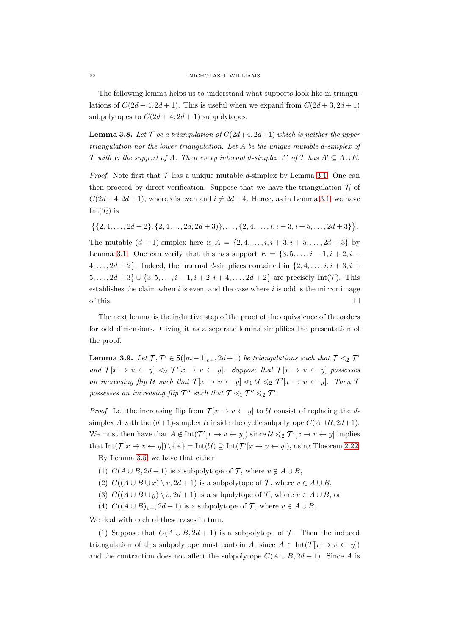The following lemma helps us to understand what supports look like in triangulations of  $C(2d+4, 2d+1)$ . This is useful when we expand from  $C(2d+3, 2d+1)$ subpolytopes to  $C(2d + 4, 2d + 1)$  subpolytopes.

<span id="page-21-0"></span>**Lemma 3.8.** Let  $\mathcal{T}$  be a triangulation of  $C(2d+4, 2d+1)$  which is neither the upper triangulation nor the lower triangulation. Let A be the unique mutable d-simplex of  $\mathcal T$  with E the support of A. Then every internal d-simplex A' of  $\mathcal T$  has  $A' \subseteq A \cup E$ .

*Proof.* Note first that  $\mathcal T$  has a unique mutable d-simplex by Lemma [3.1.](#page-16-1) One can then proceed by direct verification. Suppose that we have the triangulation  $\mathcal{T}_i$  of  $C(2d+4, 2d+1)$ , where i is even and  $i \neq 2d+4$ . Hence, as in Lemma [3.1,](#page-16-1) we have Int $(\mathcal{T}_i)$  is

$$
\{ \{2,4,\ldots,2d+2\}, \{2,4\ldots,2d,2d+3)\}, \ldots, \{2,4,\ldots,i,i+3,i+5,\ldots,2d+3\} \}.
$$

The mutable  $(d + 1)$ -simplex here is  $A = \{2, 4, ..., i, i + 3, i + 5, ..., 2d + 3\}$  by Lemma [3.1.](#page-16-1) One can verify that this has support  $E = \{3, 5, \ldots, i-1, i+2, i+1\}$  $\{4, \ldots, 2d+2\}$ . Indeed, the internal d-simplices contained in  $\{2, 4, \ldots, i, i+3, i+2\}$  $5, \ldots, 2d+3$  ∪  $\{3, 5, \ldots, i-1, i+2, i+4, \ldots, 2d+2\}$  are precisely Int(*T*). This establishes the claim when  $i$  is even, and the case where  $i$  is odd is the mirror image of this.  $\Box$ 

The next lemma is the inductive step of the proof of the equivalence of the orders for odd dimensions. Giving it as a separate lemma simplifies the presentation of the proof.

<span id="page-21-1"></span>**Lemma 3.9.** Let  $\mathcal{T}, \mathcal{T}' \in S([m-1]_{v+}, 2d+1)$  be triangulations such that  $\mathcal{T} \leq_2 \mathcal{T}'$ and  $\mathcal{T}[x \to v \leftarrow y] \leq \mathcal{T}'[x \to v \leftarrow y]$ . Suppose that  $\mathcal{T}[x \to v \leftarrow y]$  possesses an increasing flip U such that  $\mathcal{T}[x \to v \leftarrow y] \leq 1 \mathcal{U} \leq 2 \mathcal{T}'[x \to v \leftarrow y]$ . Then  $\mathcal{T}'$ possesses an increasing flip  $\mathcal{T}''$  such that  $\mathcal{T} \leq_1 \mathcal{T}'' \leq_2 \mathcal{T}'$ .

*Proof.* Let the increasing flip from  $\mathcal{T}[x \to v \leftarrow y]$  to U consist of replacing the dsimplex A with the  $(d+1)$ -simplex B inside the cyclic subpolytope  $C(A\cup B, 2d+1)$ . We must then have that  $A \notin \text{Int}(\mathcal{T}'[x \to v \leftarrow y])$  since  $\mathcal{U} \leqslant_2 \mathcal{T}'[x \to v \leftarrow y]$  implies that  $Int(\mathcal{T}[x \to v \leftarrow y]) \setminus \{A\} = Int(\mathcal{U}) \supseteq Int(\mathcal{T'}[x \to v \leftarrow y])$ , using Theorem [2.22.](#page-12-1) By Lemma [3.5,](#page-20-1) we have that either

- (1)  $C(A \cup B, 2d + 1)$  is a subpolytope of  $\mathcal{T}$ , where  $v \notin A \cup B$ ,
- (2)  $C((A \cup B \cup x) \setminus v, 2d + 1)$  is a subpolytope of  $\mathcal{T}$ , where  $v \in A \cup B$ ,
- (3)  $C((A \cup B \cup y) \setminus v, 2d + 1)$  is a subpolytope of  $\mathcal{T}$ , where  $v \in A \cup B$ , or
- (4)  $C((A \cup B)_{v+}, 2d+1)$  is a subpolytope of  $\mathcal{T}$ , where  $v \in A \cup B$ .

We deal with each of these cases in turn.

(1) Suppose that  $C(A \cup B, 2d + 1)$  is a subpolytope of  $\mathcal T$ . Then the induced triangulation of this subpolytope must contain A, since  $A \in \text{Int}(\mathcal{T}[x \to v \leftarrow y])$ and the contraction does not affect the subpolytope  $C(A \cup B, 2d + 1)$ . Since A is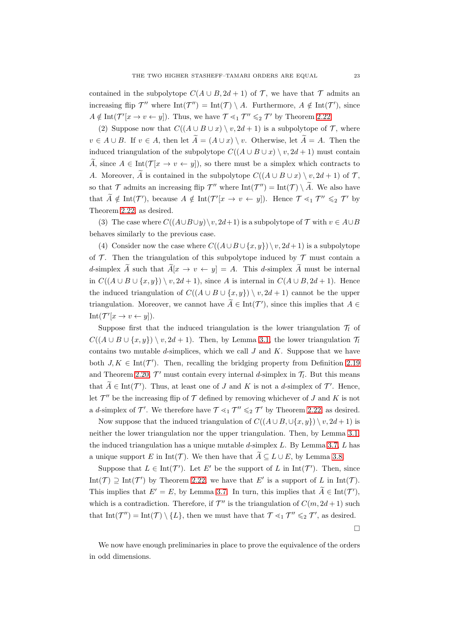contained in the subpolytope  $C(A \cup B, 2d + 1)$  of  $\mathcal T$ , we have that  $\mathcal T$  admits an increasing flip  $\mathcal{T}''$  where  $\text{Int}(\mathcal{T}'') = \text{Int}(\mathcal{T}) \setminus A$ . Furthermore,  $A \notin \text{Int}(\mathcal{T}')$ , since  $A \notin \text{Int}(\mathcal{T}'[x \to v \leftarrow y])$ . Thus, we have  $\mathcal{T} \leq_1 \mathcal{T}'' \leq_2 \mathcal{T}'$  by Theorem [2.22.](#page-12-1)

(2) Suppose now that  $C((A \cup B \cup x) \setminus v, 2d + 1)$  is a subpolytope of  $\mathcal T$ , where  $v \in A \cup B$ . If  $v \in A$ , then let  $\widetilde{A} = (A \cup x) \setminus v$ . Otherwise, let  $\widetilde{A} = A$ . Then the induced triangulation of the subpolytope  $C((A \cup B \cup x) \setminus v, 2d + 1)$  must contain  $\widetilde{A}$ , since  $A \in \text{Int}(\mathcal{T}[x \to v \leftarrow y])$ , so there must be a simplex which contracts to A. Moreover,  $\widetilde{A}$  is contained in the subpolytope  $C((A \cup B \cup x) \setminus v, 2d + 1)$  of  $\mathcal{T}$ , so that  $\mathcal T$  admits an increasing flip  $\mathcal T''$  where  $\text{Int}(\mathcal T'') = \text{Int}(\mathcal T) \setminus \mathcal A$ . We also have that  $\widetilde{A} \notin \text{Int}(\mathcal{T}'),$  because  $A \notin \text{Int}(\mathcal{T}'[x \to v \leftarrow y])$ . Hence  $\mathcal{T} \leq_1 \mathcal{T}'' \leq_2 \mathcal{T}'$  by Theorem [2.22,](#page-12-1) as desired.

(3) The case where  $C((A\cup B\cup y)\setminus v, 2d+1)$  is a subpolytope of  $\mathcal T$  with  $v\in A\cup B$ behaves similarly to the previous case.

(4) Consider now the case where  $C((A\cup B\cup \{x,y\})\setminus v, 2d+1)$  is a subpolytope of  $\mathcal T$ . Then the triangulation of this subpolytope induced by  $\mathcal T$  must contain a d-simplex  $\widetilde{A}$  such that  $\widetilde{A}[x \to v \leftarrow y] = A$ . This d-simplex  $\widetilde{A}$  must be internal in  $C((A \cup B \cup \{x,y\}) \setminus v, 2d + 1)$ , since A is internal in  $C(A \cup B, 2d + 1)$ . Hence the induced triangulation of  $C((A \cup B \cup \{x,y\}) \setminus v, 2d+1)$  cannot be the upper triangulation. Moreover, we cannot have  $\tilde{A} \in \text{Int}(\mathcal{T}')$ , since this implies that  $A \in$  $Int(\mathcal{T}'[x \to v \leftarrow y]).$ 

Suppose first that the induced triangulation is the lower triangulation  $\mathcal{T}_l$  of  $C((A \cup B \cup \{x,y\}) \setminus v, 2d + 1)$ . Then, by Lemma [3.1,](#page-16-1) the lower triangulation  $\mathcal{T}_l$ contains two mutable d-simplices, which we call  $J$  and  $K$ . Suppose that we have both  $J, K \in \text{Int}(\mathcal{T}')$ . Then, recalling the bridging property from Definition [2.19](#page-11-3) and Theorem [2.20,](#page-12-2)  $\mathcal{T}'$  must contain every internal d-simplex in  $\mathcal{T}_l$ . But this means that  $\tilde{A} \in \text{Int}(\mathcal{T}')$ . Thus, at least one of J and K is not a d-simplex of  $\mathcal{T}'$ . Hence, let  $\mathcal{T}''$  be the increasing flip of  $\mathcal T$  defined by removing whichever of J and K is not a d-simplex of  $\mathcal{T}'$ . We therefore have  $\mathcal{T} \leq_1 \mathcal{T}'' \leq_2 \mathcal{T}'$  by Theorem [2.22,](#page-12-1) as desired.

Now suppose that the induced triangulation of  $C((A\cup B,\cup\{x,y\})\setminus v,2d+1)$  is neither the lower triangulation nor the upper triangulation. Then, by Lemma [3.1,](#page-16-1) the induced triangulation has a unique mutable d-simplex L. By Lemma [3.7,](#page-20-3) L has a unique support E in Int(T). We then have that  $\widetilde{A} \subseteq L \cup E$ , by Lemma [3.8.](#page-21-0)

Suppose that  $L \in \text{Int}(\mathcal{T}')$ . Let E' be the support of L in  $\text{Int}(\mathcal{T}')$ . Then, since Int(T)  $\supseteq$  Int(T') by Theorem [2.22,](#page-12-1) we have that E' is a support of L in Int(T). This implies that  $E' = E$ , by Lemma [3.7.](#page-20-3) In turn, this implies that  $\tilde{A} \in \text{Int}(\mathcal{T}')$ , which is a contradiction. Therefore, if  $\mathcal{T}''$  is the triangulation of  $C(m, 2d+1)$  such that  $Int(\mathcal{T}'') = Int(\mathcal{T}) \setminus \{L\}$ , then we must have that  $\mathcal{T} \leq_1 \mathcal{T}'' \leq_2 \mathcal{T}'$ , as desired.

 $\Box$ 

We now have enough preliminaries in place to prove the equivalence of the orders in odd dimensions.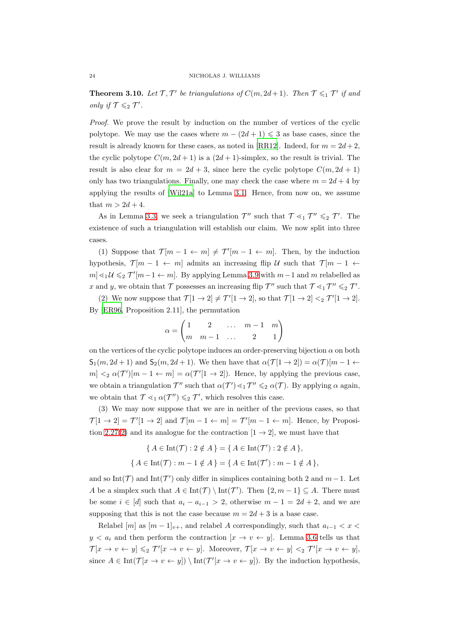<span id="page-23-0"></span>**Theorem 3.10.** Let  $\mathcal{T}, \mathcal{T}'$  be triangulations of  $C(m, 2d+1)$ . Then  $\mathcal{T} \leq 1$   $\mathcal{T}'$  if and only if  $\mathcal{T} \leqslant_2 \mathcal{T}'$ .

Proof. We prove the result by induction on the number of vertices of the cyclic polytope. We may use the cases where  $m - (2d + 1) \leq 3$  as base cases, since the result is already known for these cases, as noted in [\[RR12\]](#page-54-9). Indeed, for  $m = 2d + 2$ , the cyclic polytope  $C(m, 2d + 1)$  is a  $(2d + 1)$ -simplex, so the result is trivial. The result is also clear for  $m = 2d + 3$ , since here the cyclic polytope  $C(m, 2d + 1)$ only has two triangulations. Finally, one may check the case where  $m = 2d + 4$  by applying the results of [\[Wil21a\]](#page-55-2) to Lemma [3.1.](#page-16-1) Hence, from now on, we assume that  $m > 2d + 4$ .

As in Lemma [3.3,](#page-17-0) we seek a triangulation  $\mathcal{T}''$  such that  $\mathcal{T} \leq_1 \mathcal{T}'' \leq_2 \mathcal{T}'$ . The existence of such a triangulation will establish our claim. We now split into three cases.

(1) Suppose that  $\mathcal{T}[m-1 \leftarrow m] \neq \mathcal{T}'[m-1 \leftarrow m]$ . Then, by the induction hypothesis,  $\mathcal{T}[m-1 \leftarrow m]$  admits an increasing flip U such that  $\mathcal{T}[m-1 \leftarrow m]$  $m \leq 1$   $\forall$  ≤<sub>2</sub>  $\mathcal{T}'[m-1 \leftarrow m]$ . By applying Lemma [3.9](#page-21-1) with  $m-1$  and m relabelled as x and y, we obtain that  $\mathcal T$  possesses an increasing flip  $\mathcal T''$  such that  $\mathcal T \leq_1 \mathcal T'' \leq_2 \mathcal T'$ .

(2) We now suppose that  $\mathcal{T}[1 \to 2] \neq \mathcal{T}'[1 \to 2]$ , so that  $\mathcal{T}[1 \to 2] <_2 \mathcal{T}'[1 \to 2]$ . By [\[ER96,](#page-51-3) Proposition 2.11], the permutation

$$
\alpha=\begin{pmatrix}1&2&\dots&m-1&m\\m&m-1&\dots&2&1\end{pmatrix}
$$

on the vertices of the cyclic polytope induces an order-preserving bijection  $\alpha$  on both  $S_1(m, 2d+1)$  and  $S_2(m, 2d+1)$ . We then have that  $\alpha(\mathcal{T}[1 \to 2]) = \alpha(\mathcal{T})[m-1 \leftarrow$  $m] <_2 \alpha(\mathcal{T}')[m-1 \leftarrow m] = \alpha(\mathcal{T}'[1 \rightarrow 2])$ . Hence, by applying the previous case, we obtain a triangulation  $\mathcal{T}''$  such that  $\alpha(\mathcal{T}') \leq_1 \mathcal{T}'' \leq_2 \alpha(\mathcal{T})$ . By applying  $\alpha$  again, we obtain that  $\mathcal{T} \leq_1 \alpha(\mathcal{T}'') \leq_2 \mathcal{T}'$ , which resolves this case.

(3) We may now suppose that we are in neither of the previous cases, so that  $\mathcal{T}[1 \to 2] = \mathcal{T}'[1 \to 2]$  and  $\mathcal{T}[m-1 \leftarrow m] = \mathcal{T}'[m-1 \leftarrow m]$ . Hence, by Proposi-tion [2.27](#page-14-1)[\(2\)](#page-14-2) and its analogue for the contraction  $[1 \rightarrow 2]$ , we must have that

$$
\{ A \in \text{Int}(\mathcal{T}) : 2 \notin A \} = \{ A \in \text{Int}(\mathcal{T}') : 2 \notin A \},\
$$

$$
\{ A \in \text{Int}(\mathcal{T}) : m - 1 \notin A \} = \{ A \in \text{Int}(\mathcal{T}') : m - 1 \notin A \},\
$$

and so Int( $\mathcal{T}$ ) and Int( $\mathcal{T}'$ ) only differ in simplices containing both 2 and  $m-1$ . Let A be a simplex such that  $A \in \text{Int}(\mathcal{T}) \setminus \text{Int}(\mathcal{T}')$ . Then  $\{2, m-1\} \subseteq A$ . There must be some  $i \in [d]$  such that  $a_i - a_{i-1} > 2$ , otherwise  $m - 1 = 2d + 2$ , and we are supposing that this is not the case because  $m = 2d + 3$  is a base case.

Relabel  $[m]$  as  $[m-1]_{v+}$ , and relabel A correspondingly, such that  $a_{i-1} < x <$  $y < a_i$  and then perform the contraction  $[x \to v \leftarrow y]$ . Lemma [3.6](#page-20-2) tells us that  $\mathcal{T}[x \to v \leftarrow y] \leqslant_2 \mathcal{T}'[x \to v \leftarrow y]$ . Moreover,  $\mathcal{T}[x \to v \leftarrow y] \leq_2 \mathcal{T}'[x \to v \leftarrow y]$ , since  $A \in \text{Int}(\mathcal{T}[x \to v \leftarrow y]) \setminus \text{Int}(\mathcal{T'}[x \to v \leftarrow y])$ . By the induction hypothesis,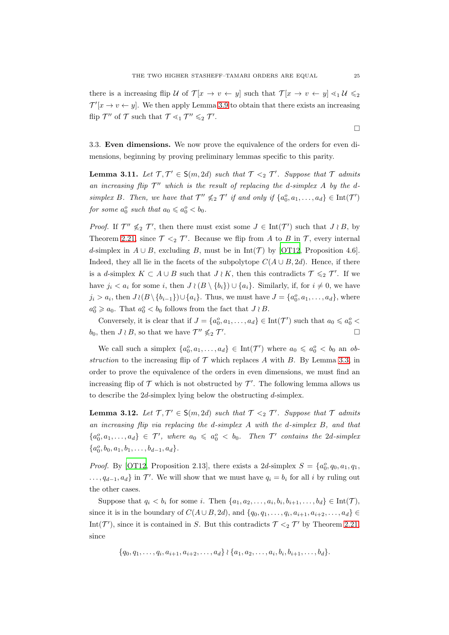there is a increasing flip U of  $\mathcal{T}[x \to v \leftarrow y]$  such that  $\mathcal{T}[x \to v \leftarrow y] \leq_1 \mathcal{U} \leq_2$  $\mathcal{T}'[x \to v \leftarrow y]$ . We then apply Lemma [3.9](#page-21-1) to obtain that there exists an increasing flip  $\mathcal{T}''$  of  $\mathcal{T}$  such that  $\mathcal{T} \leq_1 \mathcal{T}'' \leq_2 \mathcal{T}'$ .

<span id="page-24-0"></span>3.3. Even dimensions. We now prove the equivalence of the orders for even dimensions, beginning by proving preliminary lemmas specific to this parity.

<span id="page-24-1"></span>**Lemma 3.11.** Let  $\mathcal{T}, \mathcal{T}' \in S(m, 2d)$  such that  $\mathcal{T} \leq_2 \mathcal{T}'$ . Suppose that  $\mathcal{T}$  admits an increasing flip  $\mathcal{T}''$  which is the result of replacing the d-simplex A by the dsimplex B. Then, we have that  $\mathcal{T}'' \nleq 2 \mathcal{T}'$  if and only if  $\{a_0^o, a_1, \ldots, a_d\} \in \text{Int}(\mathcal{T}')$ for some  $a_0^o$  such that  $a_0 \leqslant a_0^o < b_0$ .

*Proof.* If  $\mathcal{T}'' \nleq 2 \mathcal{T}'$ , then there must exist some  $J \in \text{Int}(\mathcal{T}')$  such that  $J \nmid B$ , by Theorem [2.21,](#page-12-3) since  $\mathcal{T} \leq_2 \mathcal{T}'$ . Because we flip from A to B in  $\mathcal{T}$ , every internal d-simplex in  $A \cup B$ , excluding B, must be in Int(T) by [\[OT12,](#page-53-7) Proposition 4.6]. Indeed, they all lie in the facets of the subpolytope  $C(A \cup B, 2d)$ . Hence, if there is a d-simplex  $K \subset A \cup B$  such that  $J \wr K$ , then this contradicts  $\mathcal{T} \leqslant_2 \mathcal{T}'$ . If we have  $j_i < a_i$  for some i, then  $J \wr (B \setminus \{b_i\}) \cup \{a_i\}$ . Similarly, if, for  $i \neq 0$ , we have  $j_i > a_i$ , then  $J \wr (B \setminus \{b_{i-1}\}) \cup \{a_i\}$ . Thus, we must have  $J = \{a_0^o, a_1, \ldots, a_d\}$ , where  $a_0^o \geq a_0$ . That  $a_0^o < b_0$  follows from the fact that  $J \nmid B$ .

Conversely, it is clear that if  $J = \{a_0^o, a_1, \ldots, a_d\} \in \text{Int}(\mathcal{T}')$  such that  $a_0 \leq a_0^o <$  $b_0$ , then  $J \wr B$ , so that we have  $\mathcal{T}'' \nleq 2 \mathcal{T}'$ .

We call such a simplex  $\{a_0^o, a_1, \ldots, a_d\} \in \text{Int}(\mathcal{T}')$  where  $a_0 \leq a_0^o < b_0$  an obstruction to the increasing flip of  $\mathcal T$  which replaces A with B. By Lemma [3.3,](#page-17-0) in order to prove the equivalence of the orders in even dimensions, we must find an increasing flip of  $\mathcal T$  which is not obstructed by  $\mathcal T'$ . The following lemma allows us to describe the  $2d$ -simplex lying below the obstructing  $d$ -simplex.

<span id="page-24-2"></span>**Lemma 3.12.** Let  $\mathcal{T}, \mathcal{T}' \in S(m, 2d)$  such that  $\mathcal{T} \leq_2 \mathcal{T}'$ . Suppose that  $\mathcal{T}$  admits an increasing flip via replacing the d-simplex A with the d-simplex B, and that  ${a_0^o, a_1, \ldots, a_d} \in \mathcal{T}'$ , where  $a_0 \leq a_0^o < b_0$ . Then  $\mathcal{T}'$  contains the 2d-simplex  ${a_0^o, b_0, a_1, b_1, \ldots, b_{d-1}, a_d}.$ 

*Proof.* By [\[OT12,](#page-53-7) Proposition 2.13], there exists a 2d-simplex  $S = \{a_0^o, q_0, a_1, q_1,$  $..., q_{d-1}, a_d$  in  $\mathcal{T}'$ . We will show that we must have  $q_i = b_i$  for all i by ruling out the other cases.

Suppose that  $q_i < b_i$  for some i. Then  $\{a_1, a_2, \ldots, a_i, b_i, b_{i+1}, \ldots, b_d\} \in \text{Int}(\mathcal{T}),$ since it is in the boundary of  $C(A\cup B, 2d)$ , and  $\{q_0, q_1, \ldots, q_i, a_{i+1}, a_{i+2}, \ldots, a_d\} \in$ Int( $\mathcal{T}'$ ), since it is contained in S. But this contradicts  $\mathcal{T} \leq_2 \mathcal{T}'$  by Theorem [2.21,](#page-12-3) since

 $\{q_0, q_1, \ldots, q_i, a_{i+1}, a_{i+2}, \ldots, a_d\} \wr \{a_1, a_2, \ldots, a_i, b_i, b_{i+1}, \ldots, b_d\}.$ 

 $\Box$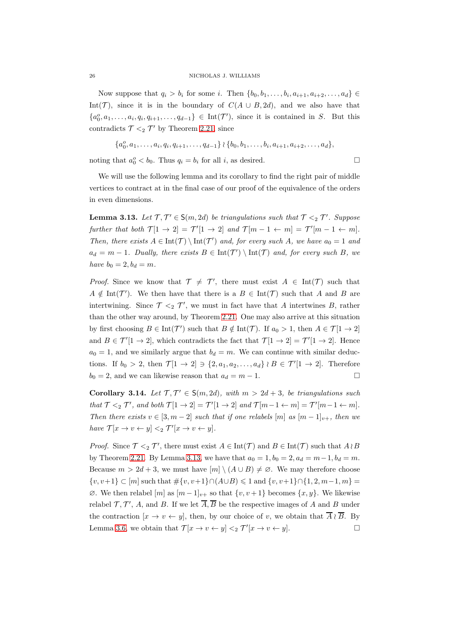Now suppose that  $q_i > b_i$  for some i. Then  $\{b_0, b_1, \ldots, b_i, a_{i+1}, a_{i+2}, \ldots, a_d\} \in$ Int(T), since it is in the boundary of  $C(A \cup B, 2d)$ , and we also have that  ${a_0^o, a_1, \ldots, a_i, q_i, q_{i+1}, \ldots, q_{d-1}} \in \text{Int}(\mathcal{T}')$ , since it is contained in S. But this contradicts  $\mathcal{T} \leq_2 \mathcal{T}'$  by Theorem [2.21,](#page-12-3) since

$$
\{a_0^o, a_1, \ldots, a_i, q_i, q_{i+1}, \ldots, q_{d-1}\} \wr \{b_0, b_1, \ldots, b_i, a_{i+1}, a_{i+2}, \ldots, a_d\},\
$$

noting that  $a_0^o < b_0$ . Thus  $q_i = b_i$  for all i, as desired.

We will use the following lemma and its corollary to find the right pair of middle vertices to contract at in the final case of our proof of the equivalence of the orders in even dimensions.

<span id="page-25-0"></span>**Lemma 3.13.** Let  $\mathcal{T}, \mathcal{T}' \in S(m, 2d)$  be triangulations such that  $\mathcal{T} \leq_2 \mathcal{T}'$ . Suppose further that both  $\mathcal{T}[1 \to 2] = \mathcal{T}'[1 \to 2]$  and  $\mathcal{T}[m-1 \leftarrow m] = \mathcal{T}'[m-1 \leftarrow m]$ . Then, there exists  $A \in \text{Int}(\mathcal{T}) \setminus \text{Int}(\mathcal{T}')$  and, for every such A, we have  $a_0 = 1$  and  $a_d = m - 1$ . Dually, there exists  $B \in \text{Int}(\mathcal{T}') \setminus \text{Int}(\mathcal{T})$  and, for every such B, we have  $b_0 = 2, b_d = m$ .

*Proof.* Since we know that  $\mathcal{T} \neq \mathcal{T}'$ , there must exist  $A \in \text{Int}(\mathcal{T})$  such that  $A \notin \text{Int}(\mathcal{T}')$ . We then have that there is a  $B \in \text{Int}(\mathcal{T})$  such that A and B are intertwining. Since  $\mathcal{T} \leq_2 \mathcal{T}'$ , we must in fact have that A intertwines B, rather than the other way around, by Theorem [2.21.](#page-12-3) One may also arrive at this situation by first choosing  $B \in \text{Int}(\mathcal{T}')$  such that  $B \notin \text{Int}(\mathcal{T})$ . If  $a_0 > 1$ , then  $A \in \mathcal{T}[1 \to 2]$ and  $B \in \mathcal{T}'[1 \to 2]$ , which contradicts the fact that  $\mathcal{T}[1 \to 2] = \mathcal{T}'[1 \to 2]$ . Hence  $a_0 = 1$ , and we similarly argue that  $b_d = m$ . We can continue with similar deductions. If  $b_0 > 2$ , then  $\mathcal{T}[1 \to 2] \ni \{2, a_1, a_2, \ldots, a_d\} \wr B \in \mathcal{T}'[1 \to 2]$ . Therefore  $b_0 = 2$ , and we can likewise reason that  $a_d = m - 1$ .

<span id="page-25-1"></span>Corollary 3.14. Let  $\mathcal{T}, \mathcal{T}' \in S(m, 2d)$ , with  $m > 2d + 3$ , be triangulations such that  $\mathcal{T} \leq_2 \mathcal{T}'$ , and both  $\mathcal{T}[1 \to 2] = \mathcal{T}'[1 \to 2]$  and  $\mathcal{T}[m-1 \leftarrow m] = \mathcal{T}'[m-1 \leftarrow m]$ . Then there exists  $v \in [3, m-2]$  such that if one relabels  $[m]$  as  $[m-1]_{v+}$ , then we have  $\mathcal{T}[x \to v \leftarrow y] \leq_2 \mathcal{T}'[x \to v \leftarrow y].$ 

*Proof.* Since  $\mathcal{T} \leq_2 \mathcal{T}'$ , there must exist  $A \in \text{Int}(\mathcal{T})$  and  $B \in \text{Int}(\mathcal{T})$  such that  $A \nmid B$ by Theorem [2.21.](#page-12-3) By Lemma [3.13,](#page-25-0) we have that  $a_0 = 1, b_0 = 2, a_d = m-1, b_d = m$ . Because  $m > 2d + 3$ , we must have  $[m] \setminus (A \cup B) \neq \emptyset$ . We may therefore choose  $\{v, v+1\} \subset [m]$  such that  $\#\{v, v+1\} \cap (A \cup B) \leq 1$  and  $\{v, v+1\} \cap \{1, 2, m-1, m\} =$  $\emptyset$ . We then relabel  $[m]$  as  $[m-1]_{v+}$  so that  $\{v, v+1\}$  becomes  $\{x, y\}$ . We likewise relabel  $\mathcal{T}, \mathcal{T}', A$ , and B. If we let  $\overline{A}, \overline{B}$  be the respective images of A and B under the contraction  $[x \to v \leftarrow y]$ , then, by our choice of v, we obtain that  $\overline{A} \wr \overline{B}$ . By Lemma [3.6,](#page-20-2) we obtain that  $\mathcal{T}[x \to v \leftarrow y] \leq_2 \mathcal{T}'[x \to v \leftarrow y]$ .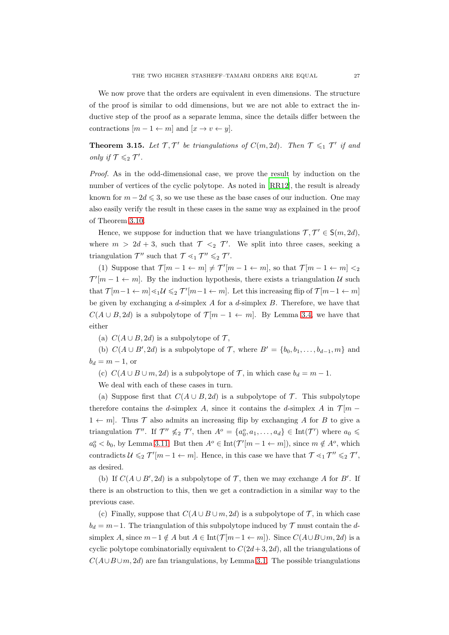We now prove that the orders are equivalent in even dimensions. The structure of the proof is similar to odd dimensions, but we are not able to extract the inductive step of the proof as a separate lemma, since the details differ between the contractions  $[m-1 \leftarrow m]$  and  $[x \rightarrow v \leftarrow y]$ .

<span id="page-26-0"></span>**Theorem 3.15.** Let  $\mathcal{T}, \mathcal{T}'$  be triangulations of  $C(m, 2d)$ . Then  $\mathcal{T} \leq 1$   $\mathcal{T}'$  if and only if  $\mathcal{T} \leqslant_2 \mathcal{T}'$ .

Proof. As in the odd-dimensional case, we prove the result by induction on the number of vertices of the cyclic polytope. As noted in [\[RR12](#page-54-9)], the result is already known for  $m - 2d \leqslant 3$ , so we use these as the base cases of our induction. One may also easily verify the result in these cases in the same way as explained in the proof of Theorem [3.10.](#page-23-0)

Hence, we suppose for induction that we have triangulations  $\mathcal{T}, \mathcal{T}' \in S(m, 2d)$ , where  $m > 2d + 3$ , such that  $\mathcal{T} \leq_2 \mathcal{T}'$ . We split into three cases, seeking a triangulation  $\mathcal{T}''$  such that  $\mathcal{T} \leq_1 \mathcal{T}'' \leq_2 \mathcal{T}'$ .

(1) Suppose that  $\mathcal{T}[m-1 \leftarrow m] \neq \mathcal{T}'[m-1 \leftarrow m]$ , so that  $\mathcal{T}[m-1 \leftarrow m] <_2$  $\mathcal{T}'[m-1 \leftarrow m]$ . By the induction hypothesis, there exists a triangulation U such that  $\mathcal{T}[m-1 \leftarrow m] \leq 1 \mathcal{U} \leq 2 \mathcal{T}'[m-1 \leftarrow m]$ . Let this increasing flip of  $\mathcal{T}[m-1 \leftarrow m]$ be given by exchanging a  $d$ -simplex  $A$  for a  $d$ -simplex  $B$ . Therefore, we have that  $C(A \cup B, 2d)$  is a subpolytope of  $\mathcal{T}[m-1 \leftarrow m]$ . By Lemma [3.4,](#page-19-0) we have that either

(a)  $C(A \cup B, 2d)$  is a subpolytope of  $\mathcal{T}$ ,

(b)  $C(A \cup B', 2d)$  is a subpolytope of  $\mathcal{T}$ , where  $B' = \{b_0, b_1, \ldots, b_{d-1}, m\}$  and  $b_d = m - 1$ , or

(c)  $C(A \cup B \cup m, 2d)$  is a subpolytope of  $\mathcal{T}$ , in which case  $b_d = m - 1$ .

We deal with each of these cases in turn.

(a) Suppose first that  $C(A \cup B, 2d)$  is a subpolytope of  $\mathcal T$ . This subpolytope therefore contains the d-simplex A, since it contains the d-simplex A in  $\mathcal{T}[m -]$  $1 \leftarrow m$ . Thus T also admits an increasing flip by exchanging A for B to give a triangulation  $\mathcal{T}''$ . If  $\mathcal{T}'' \nleq 2 \mathcal{T}'$ , then  $A^o = \{a_0^o, a_1, \ldots, a_d\} \in \text{Int}(\mathcal{T}')$  where  $a_0 \leq$  $a_0^o < b_0$ , by Lemma [3.11.](#page-24-1) But then  $A^o \in \text{Int}(\mathcal{T}'[m-1 \leftarrow m])$ , since  $m \notin A^o$ , which contradicts  $\mathcal{U} \leqslant_2 \mathcal{T}'[m-1 \leftarrow m]$ . Hence, in this case we have that  $\mathcal{T} \leqslant_1 \mathcal{T}'' \leqslant_2 \mathcal{T}'$ , as desired.

(b) If  $C(A \cup B', 2d)$  is a subpolytope of  $\mathcal T$ , then we may exchange A for B'. If there is an obstruction to this, then we get a contradiction in a similar way to the previous case.

(c) Finally, suppose that  $C(A \cup B \cup m, 2d)$  is a subpolytope of  $\mathcal T$ , in which case  $b_d = m-1$ . The triangulation of this subpolytope induced by  $\mathcal T$  must contain the dsimplex A, since  $m-1 \notin A$  but  $A \in Int(\mathcal{T}[m-1 \leftarrow m])$ . Since  $C(A \cup B \cup m, 2d)$  is a cyclic polytope combinatorially equivalent to  $C(2d+3, 2d)$ , all the triangulations of  $C(A\cup B\cup m, 2d)$  are fan triangulations, by Lemma [3.1.](#page-16-1) The possible triangulations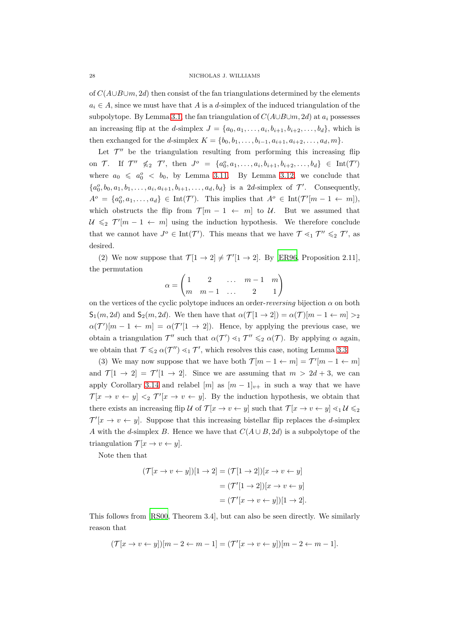of  $C(A\cup B\cup m, 2d)$  then consist of the fan triangulations determined by the elements  $a_i \in A$ , since we must have that A is a d-simplex of the induced triangulation of the subpolytope. By Lemma [3.1,](#page-16-1) the fan triangulation of  $C(A\cup B\cup m, 2d)$  at  $a_i$  possesses an increasing flip at the d-simplex  $J = \{a_0, a_1, \ldots, a_i, b_{i+1}, b_{i+2}, \ldots, b_d\}$ , which is then exchanged for the *d*-simplex  $K = \{b_0, b_1, \ldots, b_{i-1}, a_{i+1}, a_{i+2}, \ldots, a_d, m\}.$ 

Let  $\mathcal{T}''$  be the triangulation resulting from performing this increasing flip on  $\mathcal{T}$ . If  $\mathcal{T}'' \nleq 2 \mathcal{T}'$ , then  $J^o = \{a_0^o, a_1, \ldots, a_i, b_{i+1}, b_{i+2}, \ldots, b_d\} \in \text{Int}(\mathcal{T}')$ where  $a_0 \leq a_0^o < b_0$ , by Lemma [3.11.](#page-24-1) By Lemma [3.12,](#page-24-2) we conclude that  $\{a_0^o, b_0, a_1, b_1, \ldots, a_i, a_{i+1}, b_{i+1}, \ldots, a_d, b_d\}$  is a 2d-simplex of  $\mathcal{T}'$ . Consequently,  $A^o = \{a_0^o, a_1, \ldots, a_d\} \in \text{Int}(\mathcal{T}').$  This implies that  $A^o \in \text{Int}(\mathcal{T}'[m-1 \leftarrow m]),$ which obstructs the flip from  $\mathcal{T}[m-1 \leftarrow m]$  to U. But we assumed that  $U \leq 2 \mathcal{T}'[m-1 \leftarrow m]$  using the induction hypothesis. We therefore conclude that we cannot have  $J^o \in \text{Int}(\mathcal{T}')$ . This means that we have  $\mathcal{T} \leq_1 \mathcal{T}'' \leq_2 \mathcal{T}'$ , as desired.

(2) We now suppose that  $\mathcal{T}[1 \to 2] \neq \mathcal{T}'[1 \to 2]$ . By [\[ER96,](#page-51-3) Proposition 2.11], the permutation

$$
\alpha=\begin{pmatrix}1&2&\dots&m-1&m\\m&m-1&\dots&2&1\end{pmatrix}
$$

on the vertices of the cyclic polytope induces an order-reversing bijection  $\alpha$  on both  $S_1(m, 2d)$  and  $S_2(m, 2d)$ . We then have that  $\alpha(\mathcal{T}[1 \to 2]) = \alpha(\mathcal{T})[m-1 \leftarrow m] >_2$  $\alpha(\mathcal{T}')[m-1 \leftarrow m] = \alpha(\mathcal{T}'[1 \rightarrow 2])$ . Hence, by applying the previous case, we obtain a triangulation  $\mathcal{T}''$  such that  $\alpha(\mathcal{T}') \leq_1 \mathcal{T}'' \leq_2 \alpha(\mathcal{T})$ . By applying  $\alpha$  again, we obtain that  $\mathcal{T} \leqslant_2 \alpha(\mathcal{T}'') \leqslant_1 \mathcal{T}'$ , which resolves this case, noting Lemma [3.3.](#page-17-0)

(3) We may now suppose that we have both  $\mathcal{T}[m-1 \leftarrow m] = \mathcal{T}'[m-1 \leftarrow m]$ and  $\mathcal{T}[1 \to 2] = \mathcal{T}'[1 \to 2]$ . Since we are assuming that  $m > 2d + 3$ , we can apply Corollary [3.14](#page-25-1) and relabel  $[m]$  as  $[m-1]_{v+}$  in such a way that we have  $\mathcal{T}[x \to v \leftarrow y] \leq \mathcal{T}'[x \to v \leftarrow y]$ . By the induction hypothesis, we obtain that there exists an increasing flip U of  $\mathcal{T}[x \to v \leftarrow y]$  such that  $\mathcal{T}[x \to v \leftarrow y] \leq 1 \mathcal{U} \leq 2$  $\mathcal{T}'[x \to v \leftarrow y]$ . Suppose that this increasing bistellar flip replaces the *d*-simplex A with the d-simplex B. Hence we have that  $C(A \cup B, 2d)$  is a subpolytope of the triangulation  $\mathcal{T} [x \to v \leftarrow y].$ 

Note then that

$$
(\mathcal{T}[x \to v \leftarrow y])[1 \to 2] = (\mathcal{T}[1 \to 2])[x \to v \leftarrow y]
$$

$$
= (\mathcal{T}'[1 \to 2])[x \to v \leftarrow y]
$$

$$
= (\mathcal{T}'[x \to v \leftarrow y])[1 \to 2].
$$

This follows from [\[RS00,](#page-54-8) Theorem 3.4], but can also be seen directly. We similarly reason that

$$
(\mathcal{T}[x \to v \leftarrow y])[m-2 \leftarrow m-1]=(\mathcal{T}'[x \to v \leftarrow y])[m-2 \leftarrow m-1].
$$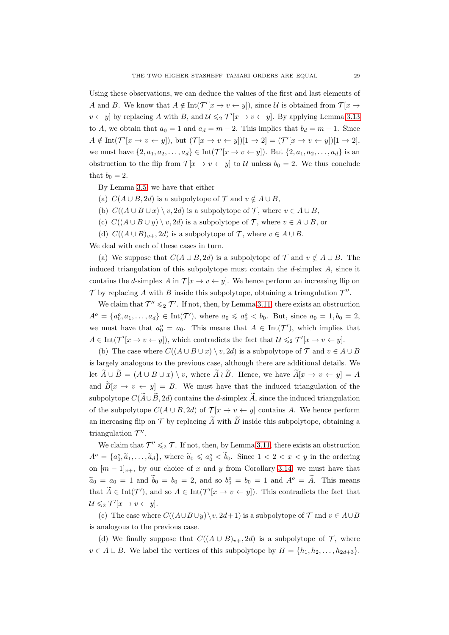Using these observations, we can deduce the values of the first and last elements of A and B. We know that  $A \notin \text{Int}(\mathcal{T}'[x \to v \leftarrow y])$ , since U is obtained from  $\mathcal{T}[x \to y]$  $v \leftarrow y$  by replacing A with B, and  $\mathcal{U} \leqslant_2 \mathcal{T}'[x \to v \leftarrow y]$ . By applying Lemma [3.13](#page-25-0) to A, we obtain that  $a_0 = 1$  and  $a_d = m - 2$ . This implies that  $b_d = m - 1$ . Since  $A \notin \text{Int}(\mathcal{T}'[x \to v \leftarrow y]),$  but  $(\mathcal{T}[x \to v \leftarrow y])[1 \to 2]=(\mathcal{T}'[x \to v \leftarrow y])[1 \to 2],$ we must have  $\{2, a_1, a_2, \ldots, a_d\} \in \text{Int}(\mathcal{T}'[x \to v \leftarrow y])$ . But  $\{2, a_1, a_2, \ldots, a_d\}$  is an obstruction to the flip from  $\mathcal{T}[x \to v \leftarrow y]$  to U unless  $b_0 = 2$ . We thus conclude that  $b_0 = 2$ .

By Lemma [3.5,](#page-20-1) we have that either

- (a)  $C(A \cup B, 2d)$  is a subpolytope of  $\mathcal T$  and  $v \notin A \cup B$ ,
- (b)  $C((A \cup B \cup x) \setminus v, 2d)$  is a subpolytope of  $\mathcal{T}$ , where  $v \in A \cup B$ ,
- (c)  $C((A \cup B \cup y) \setminus v, 2d)$  is a subpolytope of  $\mathcal{T}$ , where  $v \in A \cup B$ , or
- (d)  $C((A \cup B)_{v+}, 2d)$  is a subpolytope of  $\mathcal{T}$ , where  $v \in A \cup B$ .

We deal with each of these cases in turn.

(a) We suppose that  $C(A \cup B, 2d)$  is a subpolytope of  $\mathcal T$  and  $v \notin A \cup B$ . The induced triangulation of this subpolytope must contain the  $d$ -simplex  $A$ , since it contains the d-simplex A in  $\mathcal{T}[x \to v \leftarrow y]$ . We hence perform an increasing flip on  $\mathcal T$  by replacing A with B inside this subpolytope, obtaining a triangulation  $\mathcal T''$ .

We claim that  $\mathcal{T}'' \leq 2 \mathcal{T}'$ . If not, then, by Lemma [3.11,](#page-24-1) there exists an obstruction  $A^o = \{a_0^o, a_1, \ldots, a_d\} \in \text{Int}(\mathcal{T}'),$  where  $a_0 \leq a_0^o < b_0$ . But, since  $a_0 = 1, b_0 = 2,$ we must have that  $a_0^o = a_0$ . This means that  $A \in \text{Int}(\mathcal{T}')$ , which implies that  $A \in \text{Int}(\mathcal{T}'[x \to v \leftarrow y])$ , which contradicts the fact that  $\mathcal{U} \leqslant_2 \mathcal{T}'[x \to v \leftarrow y]$ .

(b) The case where  $C((A \cup B \cup x) \setminus v, 2d)$  is a subpolytope of  $\mathcal T$  and  $v \in A \cup B$ is largely analogous to the previous case, although there are additional details. We let  $\widetilde{A} \cup \widetilde{B} = (A \cup B \cup x) \setminus v$ , where  $\widetilde{A} \wr \widetilde{B}$ . Hence, we have  $\widetilde{A}[x \to v \leftarrow y] = A$ and  $\widetilde{B}[x \to v \leftarrow y] = B$ . We must have that the induced triangulation of the subpolytope  $C(A\cup B, 2d)$  contains the d-simplex A, since the induced triangulation of the subpolytope  $C(A \cup B, 2d)$  of  $\mathcal{T}[x \to v \leftarrow y]$  contains A. We hence perform an increasing flip on  $\mathcal T$  by replacing  $\overline A$  with  $\overline B$  inside this subpolytope, obtaining a triangulation  $\mathcal{T}''$ .

We claim that  $\mathcal{T}'' \leq 2 \mathcal{T}$ . If not, then, by Lemma [3.11,](#page-24-1) there exists an obstruction  $A^o = \{a_0^o, \tilde{a}_1, \ldots, \tilde{a}_d\}$ , where  $\tilde{a}_0 \leq a_0^o < b_0$ . Since  $1 < 2 < x < y$  in the ordering on  $[m-1]_{v+}$ , by our choice of x and y from Corollary [3.14,](#page-25-1) we must have that  $\widetilde{a}_0 = a_0 = 1$  and  $\widetilde{b}_0 = b_0 = 2$ , and so  $b_0^o = b_0 = 1$  and  $A^o = \widetilde{A}$ . This means that  $A \in \text{Int}(\mathcal{T}')$ , and so  $A \in \text{Int}(\mathcal{T}'[x \to v \leftarrow y])$ . This contradicts the fact that  $\mathcal{U} \leqslant_2 \mathcal{T}'[x \to v \leftarrow y].$ 

(c) The case where  $C((A\cup B\cup y)\setminus v, 2d+1)$  is a subpolytope of  $\mathcal T$  and  $v\in A\cup B$ is analogous to the previous case.

(d) We finally suppose that  $C((A \cup B)_{v+}, 2d)$  is a subpolytope of  $\mathcal{T}$ , where  $v \in A \cup B$ . We label the vertices of this subpolytope by  $H = \{h_1, h_2, \ldots, h_{2d+3}\}.$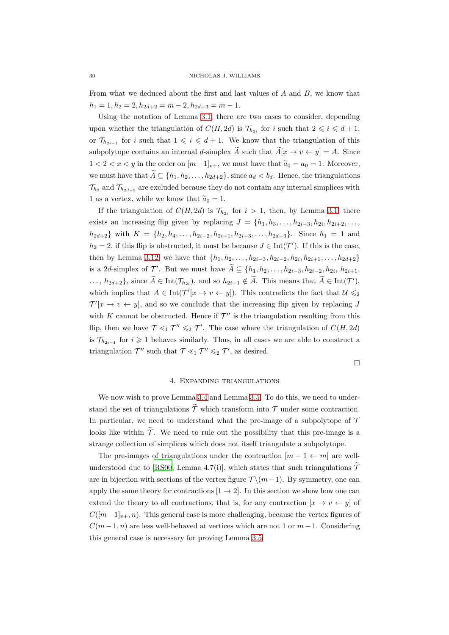From what we deduced about the first and last values of A and B, we know that  $h_1 = 1, h_2 = 2, h_{2d+2} = m - 2, h_{2d+3} = m - 1.$ 

Using the notation of Lemma [3.1,](#page-16-1) there are two cases to consider, depending upon whether the triangulation of  $C(H, 2d)$  is  $\mathcal{T}_{h_{2i}}$  for i such that  $2 \leq i \leq d+1$ , or  $\mathcal{T}_{h_{2i-1}}$  for i such that  $1 \leqslant i \leqslant d+1$ . We know that the triangulation of this subpolytope contains an internal d-simplex  $\tilde{A}$  such that  $\tilde{A}[x \to v \leftarrow y] = A$ . Since  $1 < 2 < x < y$  in the order on  $[m-1]_{v+}$ , we must have that  $\tilde{a}_0 = a_0 = 1$ . Moreover, we must have that  $\widetilde{A} \subseteq \{h_1, h_2, \ldots, h_{2d+2}\}$ , since  $a_d < b_d$ . Hence, the triangulations  $\mathcal{T}_{h_2}$  and  $\mathcal{T}_{h_2,d+3}$  are excluded because they do not contain any internal simplices with 1 as a vertex, while we know that  $\tilde{a}_0 = 1$ .

If the triangulation of  $C(H, 2d)$  is  $\mathcal{T}_{h_{2i}}$  for  $i > 1$ , then, by Lemma [3.1,](#page-16-1) there exists an increasing flip given by replacing  $J = \{h_1, h_3, \ldots, h_{2i-3}, h_{2i}, h_{2i+2}, \ldots, h_{2i-3}, h_{2i-3}, h_{2i-2}, \ldots, h_{2i-3}, h_{2i-3}, h_{2i-3}, h_{2i-3}, \ldots, h_{2i-3-3}, h_{2i-3}, h_{2i-3}, \ldots, h_{2i-3-3}, h_{2i-3-3}, \ldots, h_{2i-3-3-3}, \ldots\}$  $h_{2d+2}$ } with  $K = \{h_2, h_4, \ldots, h_{2i-2}, h_{2i+1}, h_{2i+3}, \ldots, h_{2d+3}\}.$  Since  $h_1 = 1$  and  $h_2 = 2$ , if this flip is obstructed, it must be because  $J \in \text{Int}(\mathcal{T}')$ . If this is the case, then by Lemma [3.12,](#page-24-2) we have that  $\{h_1, h_2, \ldots, h_{2i-3}, h_{2i-2}, h_{2i}, h_{2i+1}, \ldots, h_{2d+2}\}\$ is a 2d-simplex of  $\mathcal{T}'$ . But we must have  $\tilde{A} \subseteq \{h_1, h_2, \ldots, h_{2i-3}, h_{2i-2}, h_{2i}, h_{2i+1}, \ldots, h_{2i-2}, h_{2i-2}, h_{2i-3}, h_{2i+1}, \ldots, h_{2i-3}, h_{2i-2}, h_{2i-3}, h_{2i+1}, \ldots, h_{2i-3}, h_{2i-2}, h_{2i-3}, h_{2i+1}, \ldots, h_{2i-3}, h_{2i-2}, h_{2i-3}, h_{2i+1$ ...,  $h_{2d+2}$ }, since  $\widetilde{A} \in \text{Int}(\mathcal{T}_{h_{2i}})$ , and so  $h_{2i-1} \notin \widetilde{A}$ . This means that  $\widetilde{A} \in \text{Int}(\mathcal{T}')$ , which implies that  $A \in \text{Int}(\mathcal{T}'[x \to v \leftarrow y])$ . This contradicts the fact that  $\mathcal{U} \leqslant_2$  $\mathcal{T}'[x \to v \leftarrow y]$ , and so we conclude that the increasing flip given by replacing J with K cannot be obstructed. Hence if  $\mathcal{T}''$  is the triangulation resulting from this flip, then we have  $\mathcal{T} \leq_1 \mathcal{T}'' \leq_2 \mathcal{T}'$ . The case where the triangulation of  $C(H, 2d)$ is  $\mathcal{T}_{h_{2i-1}}$  for  $i \geq 1$  behaves similarly. Thus, in all cases we are able to construct a triangulation  $\mathcal{T}''$  such that  $\mathcal{T} \leq_1 \mathcal{T}'' \leq_2 \mathcal{T}'$ , as desired.

 $\Box$ 

## 4. Expanding triangulations

<span id="page-29-0"></span>We now wish to prove Lemma [3.4](#page-19-0) and Lemma [3.5.](#page-20-1) To do this, we need to understand the set of triangulations  $\widetilde{\mathcal{T}}$  which transform into  $\mathcal{T}$  under some contraction. In particular, we need to understand what the pre-image of a subpolytope of  $\mathcal T$ looks like within  $\widetilde{\mathcal{T}}$ . We need to rule out the possibility that this pre-image is a strange collection of simplices which does not itself triangulate a subpolytope.

The pre-images of triangulations under the contraction  $[m - 1 \leftarrow m]$  are well-understood due to [\[RS00](#page-54-8), Lemma 4.7(i)], which states that such triangulations  $\tilde{\mathcal{T}}$ are in bijection with sections of the vertex figure  $\mathcal{T} \setminus (m-1)$ . By symmetry, one can apply the same theory for contractions  $[1 \rightarrow 2]$ . In this section we show how one can extend the theory to all contractions, that is, for any contraction  $[x \to v \leftarrow y]$  of  $C([m-1]_{v+}, n)$ . This general case is more challenging, because the vertex figures of  $C(m-1, n)$  are less well-behaved at vertices which are not 1 or  $m-1$ . Considering this general case is necessary for proving Lemma [3.5.](#page-20-1)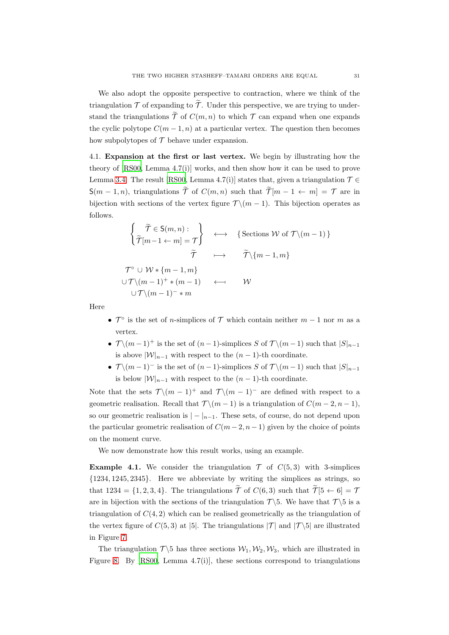We also adopt the opposite perspective to contraction, where we think of the triangulation  $\mathcal T$  of expanding to  $\widetilde{\mathcal T}$ . Under this perspective, we are trying to understand the triangulations  $\widetilde{\mathcal{T}}$  of  $C(m, n)$  to which  $\mathcal T$  can expand when one expands the cyclic polytope  $C(m-1, n)$  at a particular vertex. The question then becomes how subpolytopes of  $\mathcal T$  behave under expansion.

<span id="page-30-0"></span>4.1. Expansion at the first or last vertex. We begin by illustrating how the theory of [\[RS00,](#page-54-8) Lemma 4.7(i)] works, and then show how it can be used to prove Lemma [3.4.](#page-19-0) The result [\[RS00,](#page-54-8) Lemma 4.7(i)] states that, given a triangulation  $\mathcal{T} \in$  $S(m-1,n)$ , triangulations  $\widetilde{\mathcal{T}}$  of  $C(m,n)$  such that  $\widetilde{\mathcal{T}}[m-1 \leftarrow m] = \mathcal{T}$  are in bijection with sections of the vertex figure  $\mathcal{T} \setminus (m-1)$ . This bijection operates as follows.

$$
\begin{cases}\n\tilde{\tau} \in S(m, n): \\
\tilde{\tau}[m-1 \leftarrow m] = \tau\n\end{cases} \longleftrightarrow \{\text{Sections } W \text{ of } \mathcal{T} \setminus (m-1)\}\
$$
\n
$$
\tilde{\tau} \longmapsto \tilde{\tau} \setminus \{m-1, m\}
$$
\n
$$
\mathcal{T}^{\circ} \cup W * \{m-1, m\}
$$
\n
$$
\cup \mathcal{T} \setminus (m-1)^{+} * (m-1) \longleftarrow W
$$
\n
$$
\cup \mathcal{T} \setminus (m-1)^{-} * m
$$

Here

- $\mathcal{T}^{\circ}$  is the set of *n*-simplices of  $\mathcal{T}$  which contain neither  $m-1$  nor  $m$  as a vertex.
- $\mathcal{T} \setminus (m-1)^+$  is the set of  $(n-1)$ -simplices S of  $\mathcal{T} \setminus (m-1)$  such that  $|S|_{n-1}$ is above  $|\mathcal{W}|_{n-1}$  with respect to the  $(n-1)$ -th coordinate.
- $\mathcal{T} \setminus (m-1)^{-}$  is the set of  $(n-1)$ -simplices S of  $\mathcal{T} \setminus (m-1)$  such that  $|S|_{n-1}$ is below  $|\mathcal{W}|_{n-1}$  with respect to the  $(n-1)$ -th coordinate.

Note that the sets  $\mathcal{T} \setminus (m-1)^+$  and  $\mathcal{T} \setminus (m-1)^-$  are defined with respect to a geometric realisation. Recall that  $\mathcal{T} \setminus (m-1)$  is a triangulation of  $C(m-2, n-1)$ , so our geometric realisation is  $|-|_{n-1}$ . These sets, of course, do not depend upon the particular geometric realisation of  $C(m-2, n-1)$  given by the choice of points on the moment curve.

We now demonstrate how this result works, using an example.

<span id="page-30-1"></span>**Example 4.1.** We consider the triangulation  $\mathcal{T}$  of  $C(5,3)$  with 3-simplices {1234, 1245, 2345}. Here we abbreviate by writing the simplices as strings, so that 1234 = {1, 2, 3, 4}. The triangulations  $\widetilde{\mathcal{T}}$  of  $C(6, 3)$  such that  $\widetilde{\mathcal{T}}[5 \leftarrow 6] = \mathcal{T}$ are in bijection with the sections of the triangulation  $\mathcal{T}\setminus 5$ . We have that  $\mathcal{T}\setminus 5$  is a triangulation of  $C(4, 2)$  which can be realised geometrically as the triangulation of the vertex figure of  $C(5,3)$  at [5]. The triangulations  $|\mathcal{T}|$  and  $|\mathcal{T}\setminus 5|$  are illustrated in Figure [7.](#page-31-0)

The triangulation  $\mathcal{T}\backslash 5$  has three sections  $\mathcal{W}_1, \mathcal{W}_2, \mathcal{W}_3$ , which are illustrated in Figure [8.](#page-31-1) By  $[R500, \text{ Lemma } 4.7(i)]$ , these sections correspond to triangulations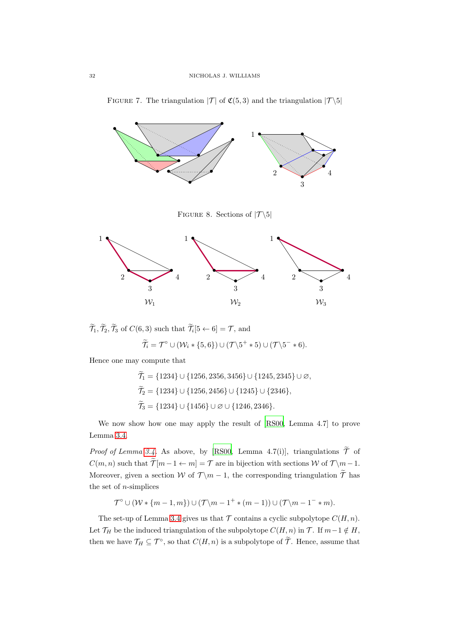

<span id="page-31-0"></span>FIGURE 7. The triangulation  $|\mathcal{T}|$  of  $\mathfrak{C}(5,3)$  and the triangulation  $|\mathcal{T}\backslash 5|$ 

<span id="page-31-1"></span>FIGURE 8. Sections of  $|\mathcal{T}\backslash 5|$ 



 $\mathcal{T}_1, \mathcal{T}_2, \mathcal{T}_3$  of  $C(6, 3)$  such that  $\mathcal{T}_i[5 \leftarrow 6] = \mathcal{T}$ , and

$$
\widetilde{\mathcal{T}}_i = \mathcal{T}^{\circ} \cup (\mathcal{W}_i * \{5, 6\}) \cup (\mathcal{T} \backslash 5^+ * 5) \cup (\mathcal{T} \backslash 5^- * 6).
$$

Hence one may compute that

 $\widetilde{\mathcal{T}}_1 = \{1234\} \cup \{1256, 2356, 3456\} \cup \{1245, 2345\} \cup \varnothing,$  $\widetilde{\mathcal{T}}_2 = \{1234\} \cup \{1256, 2456\} \cup \{1245\} \cup \{2346\},$  $\widetilde{\mathcal{T}}_3 = \{1234\} \cup \{1456\} \cup \varnothing \cup \{1246, 2346\}.$ 

We now show how one may apply the result of [\[RS00](#page-54-8), Lemma 4.7] to prove Lemma [3.4.](#page-19-0)

*Proof of Lemma [3.4.](#page-19-0)* As above, by [\[RS00,](#page-54-8) Lemma 4.7(i)], triangulations  $\widetilde{\mathcal{T}}$  of  $C(m, n)$  such that  $\widetilde{\mathcal{T}}[m-1 \leftarrow m] = \mathcal{T}$  are in bijection with sections W of  $\mathcal{T} \setminus m-1$ . Moreover, given a section W of  $\mathcal{T} \backslash m - 1$ , the corresponding triangulation  $\widetilde{\mathcal{T}}$  has the set of  $n$ -simplices

$$
\mathcal{T}^{\circ} \cup (\mathcal{W} * \{m-1, m\}) \cup (\mathcal{T} \backslash m - 1^+ * (m-1)) \cup (\mathcal{T} \backslash m - 1^- * m).
$$

The set-up of Lemma [3.4](#page-19-0) gives us that  $\mathcal T$  contains a cyclic subpolytope  $C(H, n)$ . Let  $\mathcal{T}_H$  be the induced triangulation of the subpolytope  $C(H, n)$  in  $\mathcal{T}$ . If  $m-1 \notin H$ , then we have  $\mathcal{T}_H \subseteq \mathcal{T}^{\circ}$ , so that  $C(H, n)$  is a subpolytope of  $\widetilde{\mathcal{T}}$ . Hence, assume that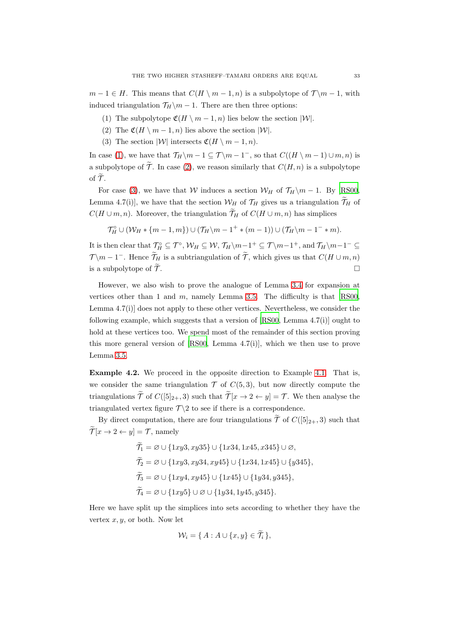<span id="page-32-0"></span> $m-1 \in H$ . This means that  $C(H \setminus m-1, n)$  is a subpolytope of  $\mathcal{T} \setminus m-1$ , with induced triangulation  $\mathcal{T}_H\backslash m - 1$ . There are then three options:

- <span id="page-32-1"></span>(1) The subpolytope  $\mathfrak{C}(H \setminus m-1, n)$  lies below the section  $|\mathcal{W}|$ .
- <span id="page-32-2"></span>(2) The  $\mathfrak{C}(H \setminus m-1, n)$  lies above the section  $|\mathcal{W}|$ .
- (3) The section  $|\mathcal{W}|$  intersects  $\mathfrak{C}(H \setminus m-1, n)$ .

In case [\(1\)](#page-32-0), we have that  $\mathcal{T}_H \backslash m - 1 \subseteq \mathcal{T} \backslash m - 1$ , so that  $C((H \backslash m - 1) \cup m, n)$  is a subpolytope of  $\widetilde{\mathcal{T}}$ . In case [\(2\)](#page-32-1), we reason similarly that  $C(H, n)$  is a subpolytope of  $\widetilde{\tau}$ .

For case [\(3\)](#page-32-2), we have that W induces a section  $\mathcal{W}_H$  of  $\mathcal{T}_H \setminus m - 1$ . By [\[RS00](#page-54-8), Lemma 4.7(i)], we have that the section  $W_H$  of  $\mathcal{T}_H$  gives us a triangulation  $\widetilde{\mathcal{T}}_H$  of  $C(H \cup m, n)$ . Moreover, the triangulation  $\widetilde{\mathcal{T}}_H$  of  $C(H \cup m, n)$  has simplices

$$
\mathcal{T}_H^{\circ} \cup (\mathcal{W}_H * \{m-1, m\}) \cup (\mathcal{T}_H \backslash m - 1^+ * (m-1)) \cup (\mathcal{T}_H \backslash m - 1^- * m).
$$

It is then clear that  $\mathcal{T}_H^{\circ} \subseteq \mathcal{T}^{\circ}$ ,  $\mathcal{W}_H \subseteq \mathcal{W}$ ,  $\mathcal{T}_H \setminus m-1^+ \subseteq \mathcal{T} \setminus m-1^+$ , and  $\mathcal{T}_H \setminus m-1^- \subseteq$  $\mathcal{T} \backslash m - 1^-$ . Hence  $\widetilde{\mathcal{T}}_H$  is a subtriangulation of  $\widetilde{\mathcal{T}}$ , which gives us that  $C(H \cup m, n)$ is a subpolytope of  $\widetilde{\mathcal{T}}$ .

However, we also wish to prove the analogue of Lemma [3.4](#page-19-0) for expansion at vertices other than 1 and  $m$ , namely Lemma [3.5.](#page-20-1) The difficulty is that  $[R500,$ Lemma 4.7(i)] does not apply to these other vertices. Nevertheless, we consider the following example, which suggests that a version of [\[RS00,](#page-54-8) Lemma 4.7(i)] ought to hold at these vertices too. We spend most of the remainder of this section proving this more general version of [\[RS00,](#page-54-8) Lemma 4.7(i)], which we then use to prove Lemma [3.5.](#page-20-1)

<span id="page-32-3"></span>Example 4.2. We proceed in the opposite direction to Example [4.1.](#page-30-1) That is, we consider the same triangulation  $\mathcal T$  of  $C(5,3)$ , but now directly compute the triangulations  $\widetilde{\mathcal{T}}$  of  $C([5]_{2+}, 3)$  such that  $\widetilde{\mathcal{T}}[x \to 2 \leftarrow y] = \mathcal{T}$ . We then analyse the triangulated vertex figure  $\mathcal{T}\setminus 2$  to see if there is a correspondence.

By direct computation, there are four triangulations  $\widetilde{\mathcal{T}}$  of  $C([5]_{2+}, 3)$  such that  $\widetilde{\mathcal{T}}[x \to 2 \leftarrow y] = \mathcal{T}$ , namely

$$
\widetilde{\mathcal{T}}_1 = \varnothing \cup \{1xy3, xy35\} \cup \{1x34, 1x45, x345\} \cup \varnothing,
$$
\n
$$
\widetilde{\mathcal{T}}_2 = \varnothing \cup \{1xy3, xy34, xy45\} \cup \{1x34, 1x45\} \cup \{y345\},
$$
\n
$$
\widetilde{\mathcal{T}}_3 = \varnothing \cup \{1xy4, xy45\} \cup \{1x45\} \cup \{1y34, y345\},
$$
\n
$$
\widetilde{\mathcal{T}}_4 = \varnothing \cup \{1xy5\} \cup \varnothing \cup \{1y34, 1y45, y345\}.
$$

Here we have split up the simplices into sets according to whether they have the vertex  $x, y$ , or both. Now let

$$
\mathcal{W}_i = \{ A : A \cup \{x, y\} \in \mathcal{T}_i \},
$$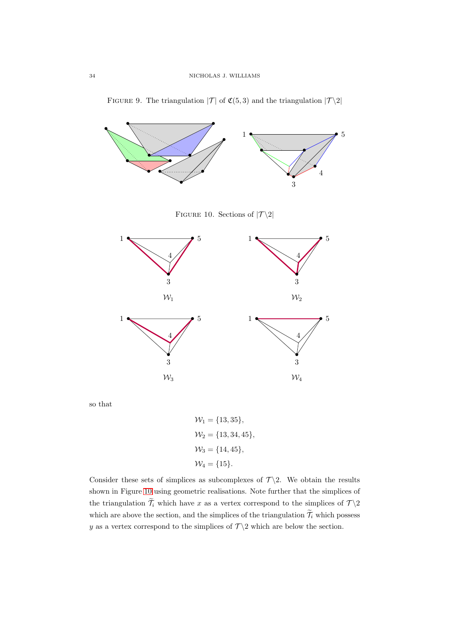

<span id="page-33-1"></span>FIGURE 9. The triangulation  $|\mathcal{T}|$  of  $\mathfrak{C}(5,3)$  and the triangulation  $|\mathcal{T}\backslash 2|$ 

so that

 $W_1 = \{13, 35\},\,$  $W_2 = \{13, 34, 45\},\,$  $W_3 = \{14, 45\},\$  $W_4 = \{15\}.$ 

3

 $\mathcal{W}_4$ 

<span id="page-33-0"></span>3

 $\mathcal{W}_3$ 

Consider these sets of simplices as subcomplexes of  $\mathcal{T}\setminus 2$ . We obtain the results shown in Figure [10](#page-33-0) using geometric realisations. Note further that the simplices of the triangulation  $\widetilde{\mathcal{T}}_i$  which have x as a vertex correspond to the simplices of  $\mathcal{T} \setminus 2$ which are above the section, and the simplices of the triangulation  $\widetilde{\mathcal{T}}_i$  which possess y as a vertex correspond to the simplices of  $\mathcal{T}\backslash 2$  which are below the section.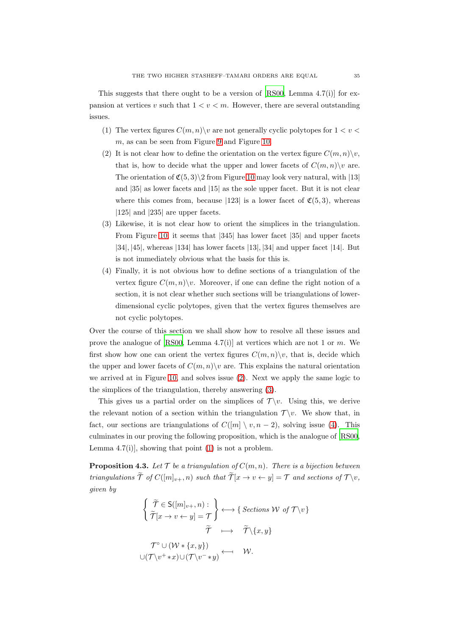<span id="page-34-3"></span>This suggests that there ought to be a version of [\[RS00,](#page-54-8) Lemma 4.7(i)] for expansion at vertices v such that  $1 < v < m$ . However, there are several outstanding issues.

- <span id="page-34-0"></span>(1) The vertex figures  $C(m, n) \setminus v$  are not generally cyclic polytopes for  $1 < v <$  $m$ , as can be seen from Figure [9](#page-33-1) and Figure [10.](#page-33-0)
- (2) It is not clear how to define the orientation on the vertex figure  $C(m, n)\backslash v$ , that is, how to decide what the upper and lower facets of  $C(m, n) \backslash v$  are. The orientation of  $\mathfrak{C}(5,3)\$  from Figure [10](#page-33-0) may look very natural, with [13] and |35| as lower facets and |15| as the sole upper facet. But it is not clear where this comes from, because [123] is a lower facet of  $\mathfrak{C}(5,3)$ , whereas |125| and |235| are upper facets.
- <span id="page-34-1"></span>(3) Likewise, it is not clear how to orient the simplices in the triangulation. From Figure [10,](#page-33-0) it seems that |345| has lower facet |35| and upper facets |34|, |45|, whereas |134| has lower facets |13|, |34| and upper facet |14|. But is not immediately obvious what the basis for this is.
- <span id="page-34-2"></span>(4) Finally, it is not obvious how to define sections of a triangulation of the vertex figure  $C(m, n) \backslash v$ . Moreover, if one can define the right notion of a section, it is not clear whether such sections will be triangulations of lowerdimensional cyclic polytopes, given that the vertex figures themselves are not cyclic polytopes.

Over the course of this section we shall show how to resolve all these issues and prove the analogue of [\[RS00,](#page-54-8) Lemma 4.7(i)] at vertices which are not 1 or m. We first show how one can orient the vertex figures  $C(m, n)\backslash v$ , that is, decide which the upper and lower facets of  $C(m, n) \setminus v$  are. This explains the natural orientation we arrived at in Figure [10,](#page-33-0) and solves issue [\(2\)](#page-34-0). Next we apply the same logic to the simplices of the triangulation, thereby answering [\(3\)](#page-34-1).

This gives us a partial order on the simplices of  $\mathcal{T} \backslash v$ . Using this, we derive the relevant notion of a section within the triangulation  $\mathcal{T} \setminus v$ . We show that, in fact, our sections are triangulations of  $C([m] \setminus v, n-2)$ , solving issue [\(4\)](#page-34-2). This culminates in our proving the following proposition, which is the analogue of [\[RS00](#page-54-8), Lemma  $4.7(i)$ , showing that point  $(1)$  is not a problem.

<span id="page-34-4"></span>**Proposition 4.3.** Let  $T$  be a triangulation of  $C(m, n)$ . There is a bijection between triangulations  $\widetilde{\mathcal{T}}$  of  $C([m]_{v+}, n)$  such that  $\widetilde{\mathcal{T}}[x \to v \leftarrow y] = \mathcal{T}$  and sections of  $\mathcal{T} \setminus v$ , given by

$$
\left\{\begin{aligned}\n\widetilde{\mathcal{T}} \in S([m]_{v+}, n) : \\
\widetilde{\mathcal{T}}[x \to v \leftarrow y] &= \mathcal{T}\n\end{aligned}\right\} \longleftrightarrow \left\{\begin{aligned}\n\text{Sections } \mathcal{W} \text{ of } \mathcal{T} \setminus v\n\end{aligned}\right\} \\
\mathcal{T}^{\circ} \cup (\mathcal{W} * \{x, y\}) \\
\cup (\mathcal{T} \setminus v^+ * x) \cup (\mathcal{T} \setminus v^- * y) \longleftarrow \mathcal{W}.
$$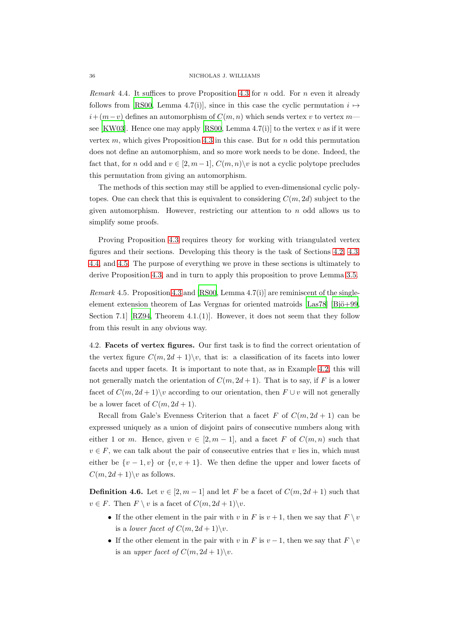<span id="page-35-1"></span>Remark 4.4. It suffices to prove Proposition [4.3](#page-34-4) for  $n$  odd. For  $n$  even it already follows from [\[RS00](#page-54-8), Lemma 4.7(i)], since in this case the cyclic permutation  $i \mapsto$  $i+(m-v)$  defines an automorphism of  $C(m, n)$  which sends vertex v to vertex m— see [\[KW03\]](#page-53-12). Hence one may apply [\[RS00,](#page-54-8) Lemma 4.7(i)] to the vertex v as if it were vertex  $m$ , which gives Proposition [4.3](#page-34-4) in this case. But for  $n$  odd this permutation does not define an automorphism, and so more work needs to be done. Indeed, the fact that, for n odd and  $v \in [2, m-1]$ ,  $C(m, n) \setminus v$  is not a cyclic polytope precludes this permutation from giving an automorphism.

The methods of this section may still be applied to even-dimensional cyclic polytopes. One can check that this is equivalent to considering  $C(m, 2d)$  subject to the given automorphism. However, restricting our attention to  $n$  odd allows us to simplify some proofs.

Proving Proposition [4.3](#page-34-4) requires theory for working with triangulated vertex figures and their sections. Developing this theory is the task of Sections [4.2,](#page-35-0) [4.3,](#page-37-0) [4.4,](#page-41-0) and [4.5.](#page-45-0) The purpose of everything we prove in these sections is ultimately to derive Proposition [4.3,](#page-34-4) and in turn to apply this proposition to prove Lemma [3.5.](#page-20-1)

Remark 4.5. Proposition [4.3](#page-34-4) and [\[RS00,](#page-54-8) Lemma 4.7(i)] are reminiscent of the singleelement extension theorem of Las Vergnas for oriented matroids  $[Las78]$   $[Bi\ddot{o}+99$ . Section 7.1 [\[RZ94,](#page-54-15) Theorem 4.1.(1)]. However, it does not seem that they follow from this result in any obvious way.

<span id="page-35-0"></span>4.2. Facets of vertex figures. Our first task is to find the correct orientation of the vertex figure  $C(m, 2d + 1)\backslash v$ , that is: a classification of its facets into lower facets and upper facets. It is important to note that, as in Example [4.2,](#page-32-3) this will not generally match the orientation of  $C(m, 2d + 1)$ . That is to say, if F is a lower facet of  $C(m, 2d + 1)$  v according to our orientation, then  $F \cup v$  will not generally be a lower facet of  $C(m, 2d + 1)$ .

Recall from Gale's Evenness Criterion that a facet F of  $C(m, 2d + 1)$  can be expressed uniquely as a union of disjoint pairs of consecutive numbers along with either 1 or m. Hence, given  $v \in [2, m-1]$ , and a facet F of  $C(m, n)$  such that  $v \in F$ , we can talk about the pair of consecutive entries that v lies in, which must either be  $\{v-1,v\}$  or  $\{v,v+1\}$ . We then define the upper and lower facets of  $C(m, 2d + 1)$  as follows.

**Definition 4.6.** Let  $v \in [2, m-1]$  and let F be a facet of  $C(m, 2d+1)$  such that  $v \in F$ . Then  $F \setminus v$  is a facet of  $C(m, 2d + 1) \setminus v$ .

- If the other element in the pair with v in F is  $v + 1$ , then we say that  $F \setminus v$ is a *lower facet of*  $C(m, 2d + 1)\$ *v*.
- If the other element in the pair with v in F is  $v 1$ , then we say that  $F \setminus v$ is an *upper facet of*  $C(m, 2d + 1) \$ v.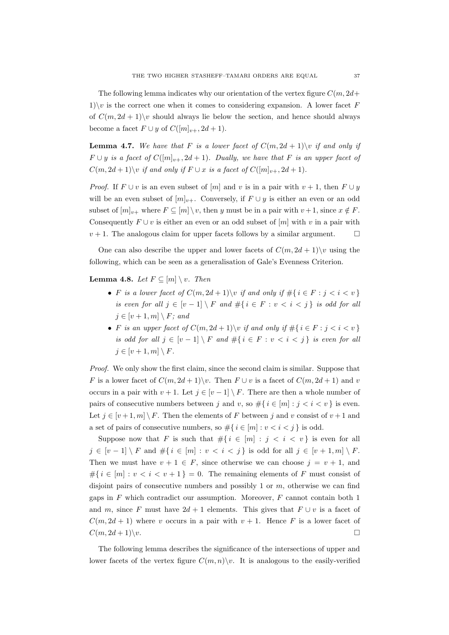The following lemma indicates why our orientation of the vertex figure  $C(m, 2d +$ 1)\v is the correct one when it comes to considering expansion. A lower facet F of  $C(m, 2d + 1)$  should always lie below the section, and hence should always become a facet  $F \cup y$  of  $C([m]_{n+}, 2d+1)$ .

<span id="page-36-1"></span>**Lemma 4.7.** We have that F is a lower facet of  $C(m, 2d + 1)$  if and only if  $F \cup y$  is a facet of  $C([m]_{v+}, 2d+1)$ . Dually, we have that F is an upper facet of  $C(m, 2d + 1) \backslash v$  if and only if  $F \cup x$  is a facet of  $C([m]_{v+}, 2d+1)$ .

*Proof.* If  $F \cup v$  is an even subset of  $[m]$  and v is in a pair with  $v + 1$ , then  $F \cup y$ will be an even subset of  $[m]_{v+}$ . Conversely, if  $F \cup y$  is either an even or an odd subset of  $[m]_{v+}$  where  $F \subseteq [m] \setminus v$ , then y must be in a pair with  $v+1$ , since  $x \notin F$ . Consequently  $F \cup v$  is either an even or an odd subset of  $[m]$  with v in a pair with  $v + 1$ . The analogous claim for upper facets follows by a similar argument.  $\square$ 

One can also describe the upper and lower facets of  $C(m, 2d + 1)\$  using the following, which can be seen as a generalisation of Gale's Evenness Criterion.

<span id="page-36-0"></span>**Lemma 4.8.** Let  $F \subseteq [m] \setminus v$ . Then

- F is a lower facet of  $C(m, 2d + 1) \setminus v$  if and only if  $\#\{i \in F : j < i < v\}$ is even for all  $j \in [v-1] \setminus F$  and  $\#\{i \in F : v < i < j\}$  is odd for all  $j \in [v+1, m] \setminus F$ ; and
- F is an upper facet of  $C(m, 2d + 1)$  v if and only if  $\#\{i \in F : j < i < v\}$ is odd for all  $j \in [v-1] \setminus F$  and  $\#\{i \in F : v < i < j\}$  is even for all  $j \in [v+1, m] \setminus F$ .

Proof. We only show the first claim, since the second claim is similar. Suppose that F is a lower facet of  $C(m, 2d + 1)\vee$ . Then  $F \cup v$  is a facet of  $C(m, 2d + 1)$  and v occurs in a pair with  $v + 1$ . Let  $j \in [v - 1] \setminus F$ . There are then a whole number of pairs of consecutive numbers between j and v, so  $\#\{i \in [m] : j < i < v\}$  is even. Let  $j \in [v+1,m] \setminus F$ . Then the elements of F between j and v consist of  $v+1$  and a set of pairs of consecutive numbers, so  $\#\{i \in [m] : v < i < j\}$  is odd.

Suppose now that F is such that  $\#\{i \in [m] : j < i < v\}$  is even for all  $j \in [v-1] \setminus F$  and  $\#\{i \in [m] : v < i < j\}$  is odd for all  $j \in [v+1,m] \setminus F$ . Then we must have  $v + 1 \in F$ , since otherwise we can choose  $j = v + 1$ , and # $\{i \in [m] : v < i < v+1\} = 0$ . The remaining elements of F must consist of disjoint pairs of consecutive numbers and possibly 1 or  $m$ , otherwise we can find gaps in  $F$  which contradict our assumption. Moreover,  $F$  cannot contain both 1 and m, since F must have  $2d + 1$  elements. This gives that  $F \cup v$  is a facet of  $C(m, 2d + 1)$  where v occurs in a pair with  $v + 1$ . Hence F is a lower facet of  $C(m, 2d + 1)\vee v.$ 

The following lemma describes the significance of the intersections of upper and lower facets of the vertex figure  $C(m, n)\backslash v$ . It is analogous to the easily-verified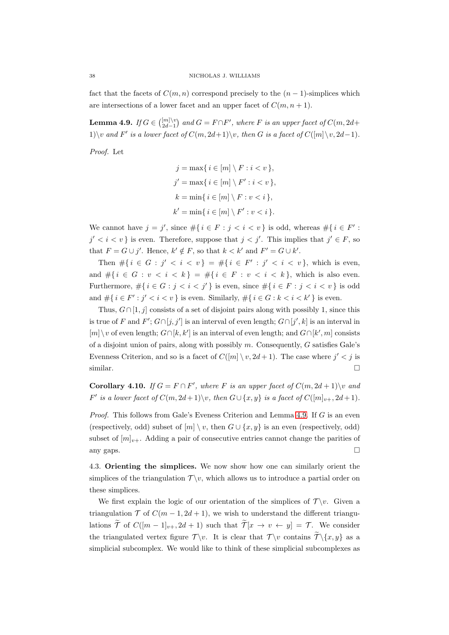fact that the facets of  $C(m, n)$  correspond precisely to the  $(n - 1)$ -simplices which are intersections of a lower facet and an upper facet of  $C(m, n+1)$ .

<span id="page-37-1"></span>**Lemma 4.9.** If  $G \in \binom{[m]\setminus v}{2d-1}$  and  $G = F \cap F'$ , where F is an upper facet of  $C(m, 2d+1)$ 1)\v and F' is a lower facet of  $C(m, 2d+1)\$ v, then G is a facet of  $C([m]\setminus v, 2d-1)$ .

Proof. Let

$$
j = \max\{ i \in [m] \setminus F : i < v \},
$$

$$
j' = \max\{ i \in [m] \setminus F' : i < v \},
$$

$$
k = \min\{ i \in [m] \setminus F : v < i \},
$$

$$
k' = \min\{ i \in [m] \setminus F' : v < i \}.
$$

We cannot have  $j = j'$ , since  $\#\{i \in F : j < i < v\}$  is odd, whereas  $\#\{i \in F' : j < i < j\}$  $j' < i < v$  is even. Therefore, suppose that  $j < j'$ . This implies that  $j' \in F$ , so that  $F = G \cup j'$ . Hence,  $k' \notin F$ , so that  $k < k'$  and  $F' = G \cup k'$ .

Then  $\#\{i \in G : j' < i < v\} = \#\{i \in F' : j' < i < v\}$ , which is even, and  $\#\{i \in G : v < i < k\} = \#\{i \in F : v < i < k\}$ , which is also even. Furthermore,  $\#\{i \in G : j < i < j'\}$  is even, since  $\#\{i \in F : j < i < v\}$  is odd and  $\#\{i \in F': j' < i < v\}$  is even. Similarly,  $\#\{i \in G : k < i < k'\}$  is even.

Thus,  $G \cap [1, j]$  consists of a set of disjoint pairs along with possibly 1, since this is true of F and  $F'$ ;  $G \cap [j, j']$  is an interval of even length;  $G \cap [j', k]$  is an interval in  $[m]\setminus v$  of even length;  $G\cap [k, k']$  is an interval of even length; and  $G\cap [k', m]$  consists of a disjoint union of pairs, along with possibly  $m$ . Consequently,  $G$  satisfies Gale's Evenness Criterion, and so is a facet of  $C([m] \setminus v, 2d + 1)$ . The case where  $j' < j$  is similar.  $\Box$ 

<span id="page-37-2"></span>**Corollary 4.10.** If  $G = F \cap F'$ , where F is an upper facet of  $C(m, 2d + 1) \setminus v$  and F' is a lower facet of  $C(m, 2d+1)\backslash v$ , then  $G\cup \{x, y\}$  is a facet of  $C([m]_{v+}, 2d+1)$ .

Proof. This follows from Gale's Eveness Criterion and Lemma [4.9.](#page-37-1) If G is an even (respectively, odd) subset of  $[m] \setminus v$ , then  $G \cup \{x, y\}$  is an even (respectively, odd) subset of  $[m]_{v+}$ . Adding a pair of consecutive entries cannot change the parities of any gaps.  $\Box$ 

<span id="page-37-0"></span>4.3. Orienting the simplices. We now show how one can similarly orient the simplices of the triangulation  $\mathcal{T} \backslash v$ , which allows us to introduce a partial order on these simplices.

We first explain the logic of our orientation of the simplices of  $\mathcal{T} \setminus v$ . Given a triangulation  $\mathcal T$  of  $C(m-1, 2d+1)$ , we wish to understand the different triangulations  $\widetilde{\mathcal{T}}$  of  $C([m-1]_{v+}, 2d+1)$  such that  $\widetilde{\mathcal{T}}[x \to v \leftarrow y] = \mathcal{T}$ . We consider the triangulated vertex figure  $\mathcal{T} \backslash v$ . It is clear that  $\mathcal{T} \backslash v$  contains  $\widetilde{\mathcal{T}} \backslash \{x, y\}$  as a simplicial subcomplex. We would like to think of these simplicial subcomplexes as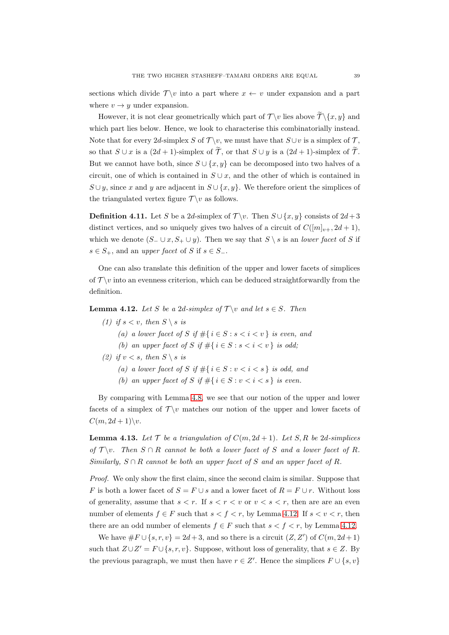sections which divide  $\mathcal{T} \backslash v$  into a part where  $x \leftarrow v$  under expansion and a part where  $v \rightarrow y$  under expansion.

However, it is not clear geometrically which part of  $\mathcal{T} \backslash v$  lies above  $\widetilde{\mathcal{T}} \backslash \{x, y\}$  and which part lies below. Hence, we look to characterise this combinatorially instead. Note that for every 2d-simplex S of  $\mathcal{T} \backslash v$ , we must have that  $S \cup v$  is a simplex of  $\mathcal{T}$ , so that  $S \cup x$  is a  $(2d + 1)$ -simplex of  $\widetilde{\mathcal{T}}$ , or that  $S \cup y$  is a  $(2d + 1)$ -simplex of  $\widetilde{\mathcal{T}}$ . But we cannot have both, since  $S \cup \{x, y\}$  can be decomposed into two halves of a circuit, one of which is contained in  $S \cup x$ , and the other of which is contained in  $S \cup y$ , since x and y are adjacent in  $S \cup \{x, y\}$ . We therefore orient the simplices of the triangulated vertex figure  $\mathcal{T} \backslash v$  as follows.

<span id="page-38-1"></span>**Definition 4.11.** Let S be a 2d-simplex of  $\mathcal{T} \backslash v$ . Then  $S \cup \{x, y\}$  consists of  $2d+3$ distinct vertices, and so uniquely gives two halves of a circuit of  $C([m]_{v+}, 2d+1)$ , which we denote  $(S_-\cup x, S_+\cup y)$ . Then we say that  $S\setminus s$  is an *lower facet* of S if  $s \in S_+$ , and an upper facet of S if  $s \in S_-$ .

One can also translate this definition of the upper and lower facets of simplices of  $\mathcal{T} \backslash v$  into an evenness criterion, which can be deduced straightforwardly from the definition.

<span id="page-38-0"></span>**Lemma 4.12.** Let S be a 2d-simplex of  $\mathcal{T} \setminus v$  and let  $s \in S$ . Then

- (1) if  $s < v$ , then  $S \setminus s$  is
	- (a) a lower facet of S if  $\#\{i \in S : s < i < v\}$  is even, and
	- (b) an upper facet of S if  $\#\{i \in S : s < i < v\}$  is odd;
- (2) if  $v < s$ , then  $S \setminus s$  is
	- (a) a lower facet of S if  $\#\{i \in S : v < i < s\}$  is odd, and
	- (b) an upper facet of S if  $\#\{i \in S : v < i < s\}$  is even.

By comparing with Lemma [4.8,](#page-36-0) we see that our notion of the upper and lower facets of a simplex of  $\mathcal{T}\setminus v$  matches our notion of the upper and lower facets of  $C(m, 2d+1)\backslash v.$ 

**Lemma 4.13.** Let  $\mathcal{T}$  be a triangulation of  $C(m, 2d + 1)$ . Let  $S, R$  be 2d-simplices of  $\mathcal{T} \backslash v$ . Then  $S \cap R$  cannot be both a lower facet of S and a lower facet of R. Similarly,  $S \cap R$  cannot be both an upper facet of S and an upper facet of R.

Proof. We only show the first claim, since the second claim is similar. Suppose that F is both a lower facet of  $S = F \cup s$  and a lower facet of  $R = F \cup r$ . Without loss of generality, assume that  $s < r$ . If  $s < r < v$  or  $v < s < r$ , then are are an even number of elements  $f \in F$  such that  $s < f < r$ , by Lemma [4.12.](#page-38-0) If  $s < v < r$ , then there are an odd number of elements  $f \in F$  such that  $s < f < r$ , by Lemma [4.12.](#page-38-0)

We have  $\#F \cup \{s, r, v\} = 2d + 3$ , and so there is a circuit  $(Z, Z')$  of  $C(m, 2d + 1)$ such that  $Z \cup Z' = F \cup \{s, r, v\}$ . Suppose, without loss of generality, that  $s \in Z$ . By the previous paragraph, we must then have  $r \in Z'$ . Hence the simplices  $F \cup \{s, v\}$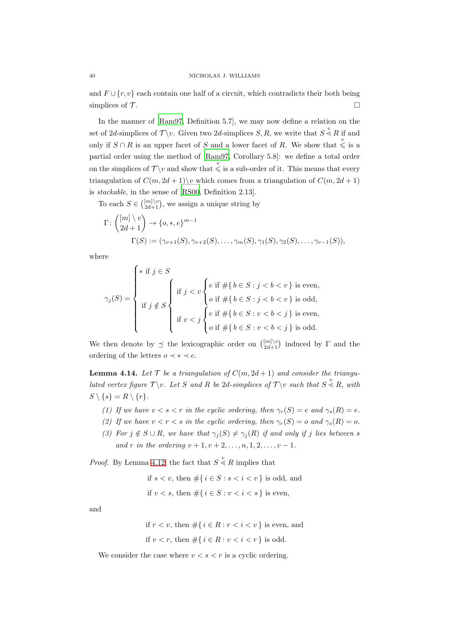and  $F \cup \{r, v\}$  each contain one half of a circuit, which contradicts their both being simplices of  $\mathcal{T}$ .

In the manner of [\[Ram97,](#page-53-2) Definition 5.7], we may now define a relation on the set of 2d-simplices of  $\mathcal{T} \backslash v$ . Given two 2d-simplices S, R, we write that  $S \overset{v}{\leq} R$  if and only if  $S \cap R$  is an upper facet of S and a lower facet of R. We show that  $\stackrel{v}{\leq}$  is a partial order using the method of [\[Ram97,](#page-53-2) Corollary 5.8]: we define a total order on the simplices of  $\mathcal{T} \setminus v$  and show that  $\leqslant$  is a sub-order of it. This means that every triangulation of  $C(m, 2d + 1)$  which comes from a triangulation of  $C(m, 2d + 1)$ is stackable, in the sense of [\[RS00](#page-54-8), Definition 2.13].

To each  $S \in \binom{[m]\setminus v}{2d+1}$ , we assign a unique string by

$$
\Gamma: \begin{pmatrix} [m] \setminus v \\ 2d+1 \end{pmatrix} \to \{o, *, e\}^{m-1}
$$
  

$$
\Gamma(S) := (\gamma_{v+1}(S), \gamma_{v+2}(S), \dots, \gamma_m(S), \gamma_1(S), \gamma_2(S), \dots, \gamma_{v-1}(S)),
$$

where

$$
\gamma_j(S) = \left\{ \begin{array}{l} \ast \text{ if } j \in S \\ \\ \text{ if } j \notin S \\ \text{ if } j < v \left\{e \text{ if } \#\{b \in S : j < b < v\} \text{ is even,} \right. \\ \text{ if } j \notin S \\ \text{ if } v < j \left\{e \text{ if } \#\{b \in S : j < b < v\} \text{ is odd,} \right. \\ \text{ if } v < j \left\{e \text{ if } \#\{b \in S : v < b < j\} \text{ is even,} \right. \\ o \text{ if } \#\{b \in S : v < b < j\} \text{ is odd.} \end{array} \right.
$$

We then denote by  $\preceq$  the lexicographic order on  $\binom{[m]\setminus v}{2d+1}$  induced by  $\Gamma$  and the ordering of the letters  $o \prec * \prec e$ .

<span id="page-39-0"></span>**Lemma 4.14.** Let  $\mathcal{T}$  be a triangulation of  $C(m, 2d + 1)$  and consider the triangulated vertex figure  $\mathcal{T} \backslash v$ . Let S and R be 2d-simplices of  $\mathcal{T} \backslash v$  such that  $S \overset{v}{\leq} R$ , with  $S \setminus \{s\} = R \setminus \{r\}.$ 

- <span id="page-39-2"></span>(1) If we have  $v < s < r$  in the cyclic ordering, then  $\gamma_r(S) = e$  and  $\gamma_s(R) = e$ .
- <span id="page-39-1"></span>(2) If we have  $v < r < s$  in the cyclic ordering, then  $\gamma_r(S) = o$  and  $\gamma_s(R) = o$ .
- (3) For  $j \notin S \cup R$ , we have that  $\gamma_j(S) \neq \gamma_j(R)$  if and only if j lies between s and r in the ordering  $v + 1, v + 2, \ldots, n, 1, 2, \ldots, v - 1$ .

*Proof.* By Lemma [4.12,](#page-38-0) the fact that  $S \overset{v}{\leq} R$  implies that

$$
\label{eq:2.1} \begin{split} \text{if } s < v \text{, then } & \#\{ \, i \in S : s < i < v \, \} \text{ is odd, and} \\ \text{if } v < s \text{, then } & \#\{ \, i \in S : v < i < s \, \} \text{ is even,} \end{split}
$$

and

if  $r < v$ , then  $\#\{i \in R : r < i < v\}$  is even, and if  $v < r$ , then  $\#\{i \in R : v < i < r\}$  is odd.

We consider the case where  $v < s < r$  is a cyclic ordering.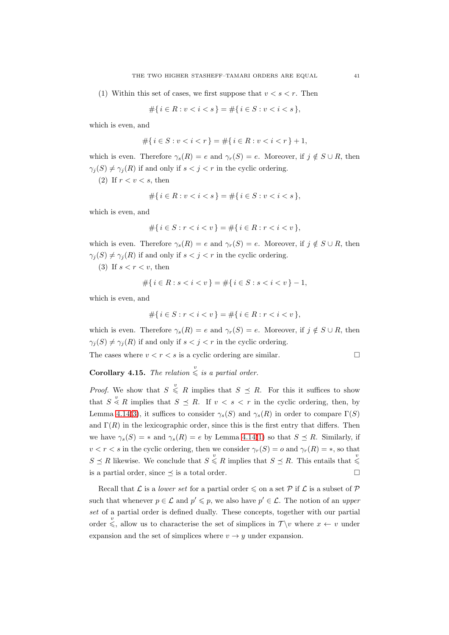(1) Within this set of cases, we first suppose that  $v < s < r$ . Then

$$
\#\{i \in R : v < i < s\} = \#\{i \in S : v < i < s\},\
$$

which is even, and

$$
\#\{i \in S : v < i < r\} = \#\{i \in R : v < i < r\} + 1,
$$

which is even. Therefore  $\gamma_s(R) = e$  and  $\gamma_r(S) = e$ . Moreover, if  $j \notin S \cup R$ , then  $\gamma_i(S) \neq \gamma_i(R)$  if and only if  $s < j < r$  in the cyclic ordering.

(2) If  $r < v < s$ , then

$$
#{ i \in R : v < i < s } = #{ i \in S : v < i < s },
$$

which is even, and

$$
\#\{i \in S : r < i < v\} = \#\{i \in R : r < i < v\},
$$

which is even. Therefore  $\gamma_s(R) = e$  and  $\gamma_r(S) = e$ . Moreover, if  $j \notin S \cup R$ , then  $\gamma_j(S) \neq \gamma_j(R)$  if and only if  $s < j < r$  in the cyclic ordering.

(3) If  $s < r < v$ , then

$$
\#\{i \in R : s < i < v\} = \#\{i \in S : s < i < v\} - 1,
$$

which is even, and

$$
\#\{i \in S : r < i < v\} = \#\{i \in R : r < i < v\},
$$

which is even. Therefore  $\gamma_s(R) = e$  and  $\gamma_r(S) = e$ . Moreover, if  $j \notin S \cup R$ , then  $\gamma_i(S) \neq \gamma_i(R)$  if and only if  $s < j < r$  in the cyclic ordering.

The cases where  $v < r < s$  is a cyclic ordering are similar.

**Corollary 4.15.** The relation  $\stackrel{v}{\leq}$  is a partial order.

*Proof.* We show that  $S \leq R$  implies that  $S \preceq R$ . For this it suffices to show that  $S \leq R$  implies that  $S \preceq R$ . If  $v < s < r$  in the cyclic ordering, then, by Lemma [4.14](#page-39-0)[\(3\)](#page-39-1), it suffices to consider  $\gamma_s(S)$  and  $\gamma_s(R)$  in order to compare  $\Gamma(S)$ and  $\Gamma(R)$  in the lexicographic order, since this is the first entry that differs. Then we have  $\gamma_s(S) = *$  and  $\gamma_s(R) = e$  by Lemma [4.14\(](#page-39-0)[1\)](#page-39-2) so that  $S \preceq R$ . Similarly, if  $v < r < s$  in the cyclic ordering, then we consider  $\gamma_r(S) = o$  and  $\gamma_r(R) = *,$  so that  $S \preceq R$  likewise. We conclude that  $S \leq R$  implies that  $S \preceq R$ . This entails that  $\leq$ is a partial order, since  $\preceq$  is a total order.

Recall that L is a lower set for a partial order  $\leq$  on a set P if L is a subset of P such that whenever  $p \in \mathcal{L}$  and  $p' \leq p$ , we also have  $p' \in \mathcal{L}$ . The notion of an upper set of a partial order is defined dually. These concepts, together with our partial order  $\leq$ , allow us to characterise the set of simplices in  $\mathcal{T} \setminus v$  where  $x \leftarrow v$  under expansion and the set of simplices where  $v \rightarrow y$  under expansion.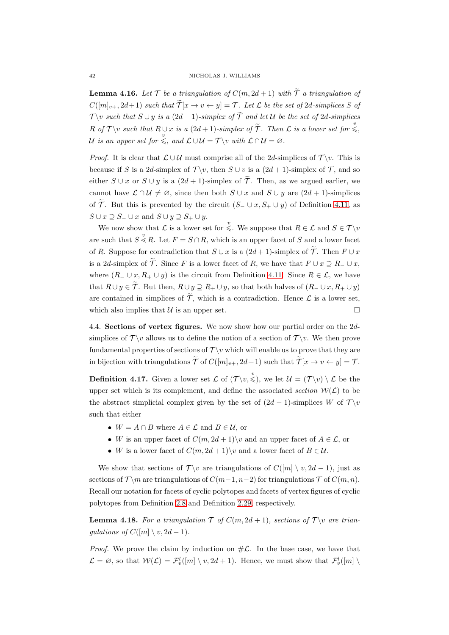<span id="page-41-3"></span>**Lemma 4.16.** Let  $\mathcal{T}$  be a triangulation of  $C(m, 2d + 1)$  with  $\widetilde{\mathcal{T}}$  a triangulation of  $C([m]_{v+}, 2d+1)$  such that  $\widetilde{\mathcal{T}}[x \to v \leftarrow y] = \mathcal{T}$ . Let  $\mathcal{L}$  be the set of 2d-simplices S of  $\mathcal{T} \backslash v$  such that  $S \cup y$  is a  $(2d+1)$ -simplex of  $\widetilde{\mathcal{T}}$  and let U be the set of 2d-simplices R of  $\mathcal{T}\setminus v$  such that  $R\cup x$  is a  $(2d+1)$ -simplex of  $\widetilde{\mathcal{T}}$ . Then  $\mathcal{L}$  is a lower set for  $\stackrel{v}{\leqslant}$ , U is an upper set for  $\stackrel{v}{\leq}$ , and  $\mathcal{L} \cup \mathcal{U} = \mathcal{T} \setminus v$  with  $\mathcal{L} \cap \mathcal{U} = \varnothing$ .

*Proof.* It is clear that  $\mathcal{L} \cup \mathcal{U}$  must comprise all of the 2d-simplices of  $\mathcal{T} \setminus v$ . This is because if S is a 2d-simplex of  $\mathcal{T} \backslash v$ , then  $S \cup v$  is a  $(2d + 1)$ -simplex of  $\mathcal{T}$ , and so either  $S \cup x$  or  $S \cup y$  is a  $(2d + 1)$ -simplex of  $\widetilde{\mathcal{T}}$ . Then, as we argued earlier, we cannot have  $\mathcal{L} \cap \mathcal{U} \neq \emptyset$ , since then both  $S \cup x$  and  $S \cup y$  are  $(2d + 1)$ -simplices of  $\widetilde{\mathcal{T}}$ . But this is prevented by the circuit  $(S_-\cup x, S_+\cup y)$  of Definition [4.11,](#page-38-1) as  $S \cup x \supseteq S_-\cup x$  and  $S \cup y \supseteq S_+ \cup y$ .

We now show that  $\mathcal L$  is a lower set for  $\leqslant$ . We suppose that  $R \in \mathcal L$  and  $S \in \mathcal T \backslash v$ are such that  $S \overset{v}{\leq} R$ . Let  $F = S \cap R$ , which is an upper facet of S and a lower facet of R. Suppose for contradiction that  $S \cup x$  is a  $(2d+1)$ -simplex of  $\widetilde{\mathcal{T}}$ . Then  $F \cup x$ is a 2d-simplex of  $\widetilde{\mathcal{T}}$ . Since F is a lower facet of R, we have that  $F \cup x \supseteq R_-\cup x$ , where  $(R_-\cup x, R_+\cup y)$  is the circuit from Definition [4.11.](#page-38-1) Since  $R \in \mathcal{L}$ , we have that  $R \cup y \in \widetilde{\mathcal{T}}$ . But then,  $R \cup y \supseteq R_+ \cup y$ , so that both halves of  $(R_- \cup x, R_+ \cup y)$ are contained in simplices of  $\widetilde{\mathcal{T}}$ , which is a contradiction. Hence  $\mathcal{L}$  is a lower set, which also implies that  $U$  is an upper set.  $\Box$ 

<span id="page-41-0"></span>4.4. Sections of vertex figures. We now show how our partial order on the 2dsimplices of  $\mathcal{T}\setminus v$  allows us to define the notion of a section of  $\mathcal{T}\setminus v$ . We then prove fundamental properties of sections of  $\mathcal{T} \backslash v$  which will enable us to prove that they are in bijection with triangulations  $\widetilde{\mathcal{T}}$  of  $C([m]_{v+}, 2d+1)$  such that  $\widetilde{\mathcal{T}}[x \to v \leftarrow y] = \mathcal{T}$ .

<span id="page-41-1"></span>**Definition 4.17.** Given a lower set  $\mathcal L$  of  $(\mathcal T \backslash v, \leqslant),$  we let  $\mathcal U = (\mathcal T \backslash v) \setminus \mathcal L$  be the upper set which is its complement, and define the associated section  $W(\mathcal{L})$  to be the abstract simplicial complex given by the set of  $(2d - 1)$ -simplices W of  $\mathcal{T} \setminus v$ such that either

- $W = A \cap B$  where  $A \in \mathcal{L}$  and  $B \in \mathcal{U}$ , or
- W is an upper facet of  $C(m, 2d + 1)$  v and an upper facet of  $A \in \mathcal{L}$ , or
- W is a lower facet of  $C(m, 2d + 1) \backslash v$  and a lower facet of  $B \in \mathcal{U}$ .

We show that sections of  $\mathcal{T} \backslash v$  are triangulations of  $C([m] \setminus v, 2d - 1)$ , just as sections of  $\mathcal{T} \backslash m$  are triangulations of  $C(m-1, n-2)$  for triangulations  $\mathcal{T}$  of  $C(m, n)$ . Recall our notation for facets of cyclic polytopes and facets of vertex figures of cyclic polytopes from Definition [2.8](#page-8-1) and Definition [2.29,](#page-15-1) respectively.

<span id="page-41-2"></span>**Lemma 4.18.** For a triangulation  $\mathcal T$  of  $C(m, 2d + 1)$ , sections of  $\mathcal T \setminus v$  are triangulations of  $C([m] \setminus v, 2d-1)$ .

*Proof.* We prove the claim by induction on  $\#\mathcal{L}$ . In the base case, we have that  $\mathcal{L} = \emptyset$ , so that  $\mathcal{W}(\mathcal{L}) = \mathcal{F}_{v}^{l}([m] \setminus v, 2d + 1)$ . Hence, we must show that  $\mathcal{F}_{v}^{l}([m] \setminus \mathcal{L})$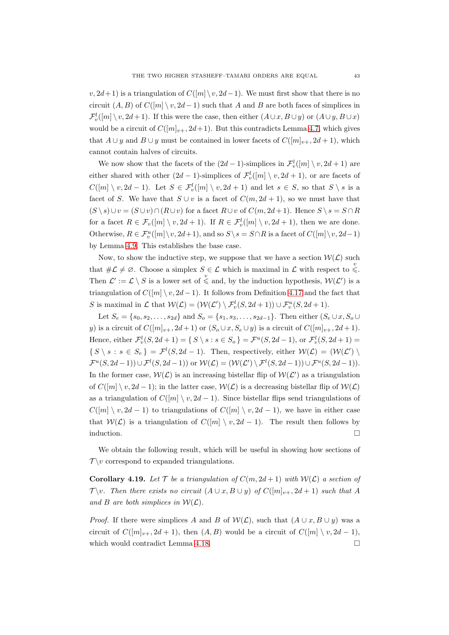$v, 2d+1$ ) is a triangulation of  $C([m]\setminus v, 2d-1)$ . We must first show that there is no circuit  $(A, B)$  of  $C([m] \setminus v, 2d-1)$  such that A and B are both faces of simplices in  $\mathcal{F}^l_v([m] \setminus v, 2d+1)$ . If this were the case, then either  $(A \cup x, B \cup y)$  or  $(A \cup y, B \cup x)$ would be a circuit of  $C([m]_{v+}, 2d+1)$ . But this contradicts Lemma [4.7,](#page-36-1) which gives that  $A \cup y$  and  $B \cup y$  must be contained in lower facets of  $C([m]_{v+}, 2d+1)$ , which cannot contain halves of circuits.

We now show that the facets of the  $(2d-1)$ -simplices in  $\mathcal{F}^l_v([m] \setminus v, 2d+1)$  are either shared with other  $(2d - 1)$ -simplices of  $\mathcal{F}^l_v([m] \setminus v, 2d + 1)$ , or are facets of  $C([m] \setminus v, 2d-1)$ . Let  $S \in \mathcal{F}_{v}^{l}([m] \setminus v, 2d+1)$  and let  $s \in S$ , so that  $S \setminus s$  is a facet of S. We have that  $S \cup v$  is a facet of  $C(m, 2d + 1)$ , so we must have that  $(S \setminus s) \cup v = (S \cup v) \cap (R \cup v)$  for a facet  $R \cup v$  of  $C(m, 2d+1)$ . Hence  $S \setminus s = S \cap R$ for a facet  $R \in \mathcal{F}_v([m] \setminus v, 2d + 1)$ . If  $R \in \mathcal{F}_v^l([m] \setminus v, 2d + 1)$ , then we are done. Otherwise,  $R \in \mathcal{F}_v^u([m] \setminus v, 2d+1)$ , and so  $S \setminus s = S \cap R$  is a facet of  $C([m] \setminus v, 2d-1)$ by Lemma [4.9.](#page-37-1) This establishes the base case.

Now, to show the inductive step, we suppose that we have a section  $W(\mathcal{L})$  such that  $\#\mathcal{L} \neq \emptyset$ . Choose a simplex  $S \in \mathcal{L}$  which is maximal in  $\mathcal{L}$  with respect to  $\leqslant$ . Then  $\mathcal{L}' := \mathcal{L} \setminus S$  is a lower set of  $\leq$  and, by the induction hypothesis,  $\mathcal{W}(L')$  is a triangulation of  $C([m] \setminus v, 2d-1)$ . It follows from Definition [4.17](#page-41-1) and the fact that S is maximal in L that  $W(\mathcal{L}) = (W(\mathcal{L}') \setminus \mathcal{F}_v^l(S, 2d + 1)) \cup \mathcal{F}_v^u(S, 2d + 1).$ 

Let  $S_e = \{s_0, s_2, \ldots, s_{2d}\}\$ and  $S_o = \{s_1, s_3, \ldots, s_{2d-1}\}\$ . Then either  $(S_e \cup x, S_o \cup y)$ y) is a circuit of  $C([m]_{v+}, 2d+1)$  or  $(S_o \cup x, S_e \cup y)$  is a circuit of  $C([m]_{v+}, 2d+1)$ . Hence, either  $\mathcal{F}_{v}^{l}(S, 2d + 1) = \{ S \setminus s : s \in S_{o} \} = \mathcal{F}^{u}(S, 2d - 1)$ , or  $\mathcal{F}_{v}^{l}(S, 2d + 1) =$  $\{S \setminus s : s \in S_e\} = \mathcal{F}^l(S, 2d - 1)$ . Then, respectively, either  $\mathcal{W}(\mathcal{L}) = (\mathcal{W}(\mathcal{L}') \setminus \mathcal{L}')$  $\mathcal{F}^u(S, 2d-1)) \cup \mathcal{F}^l(S, 2d-1))$  or  $\mathcal{W}(\mathcal{L}) = (\mathcal{W}(\mathcal{L}') \setminus \mathcal{F}^l(S, 2d-1)) \cup \mathcal{F}^u(S, 2d-1)).$ In the former case,  $W(\mathcal{L})$  is an increasing bistellar flip of  $W(\mathcal{L}')$  as a triangulation of  $C([m] \setminus v, 2d-1)$ ; in the latter case,  $W(\mathcal{L})$  is a decreasing bistellar flip of  $W(\mathcal{L})$ as a triangulation of  $C([m] \setminus v, 2d-1)$ . Since bistellar flips send triangulations of  $C([m] \setminus v, 2d-1)$  to triangulations of  $C([m] \setminus v, 2d-1)$ , we have in either case that  $W(\mathcal{L})$  is a triangulation of  $C([m] \setminus v, 2d-1)$ . The result then follows by induction.  $\Box$ 

We obtain the following result, which will be useful in showing how sections of  $\mathcal{T} \backslash v$  correspond to expanded triangulations.

<span id="page-42-0"></span>**Corollary 4.19.** Let  $\mathcal{T}$  be a triangulation of  $C(m, 2d + 1)$  with  $\mathcal{W}(\mathcal{L})$  a section of  $\mathcal{T} \backslash v$ . Then there exists no circuit  $(A \cup x, B \cup y)$  of  $C([m]_{v+}, 2d+1)$  such that A and B are both simplices in  $W(L)$ .

*Proof.* If there were simplices A and B of  $W(\mathcal{L})$ , such that  $(A \cup x, B \cup y)$  was a circuit of  $C([m]_{v+}, 2d+1)$ , then  $(A, B)$  would be a circuit of  $C([m] \setminus v, 2d-1)$ , which would contradict Lemma [4.18.](#page-41-2)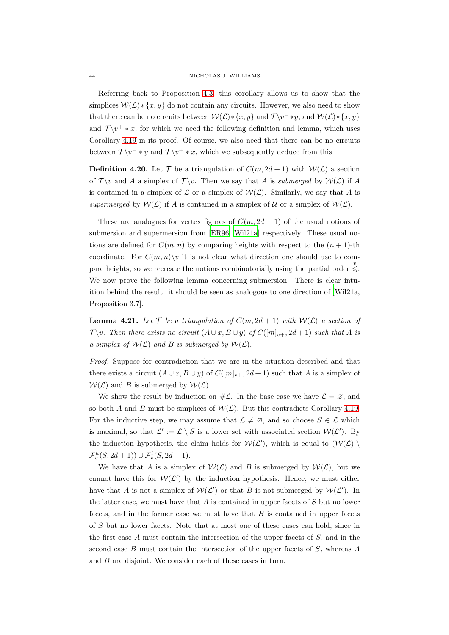### 44 NICHOLAS J. WILLIAMS

Referring back to Proposition [4.3,](#page-34-4) this corollary allows us to show that the simplices  $W(\mathcal{L}) * \{x, y\}$  do not contain any circuits. However, we also need to show that there can be no circuits between  $W(L) * \{x, y\}$  and  $\mathcal{T} \backslash v^- * y$ , and  $W(L) * \{x, y\}$ and  $\mathcal{T} \backslash v^+ * x$ , for which we need the following definition and lemma, which uses Corollary [4.19](#page-42-0) in its proof. Of course, we also need that there can be no circuits between  $\mathcal{T} \backslash v^- * y$  and  $\mathcal{T} \backslash v^+ * x$ , which we subsequently deduce from this.

**Definition 4.20.** Let  $\mathcal{T}$  be a triangulation of  $C(m, 2d + 1)$  with  $W(L)$  a section of  $\mathcal{T} \setminus v$  and A a simplex of  $\mathcal{T} \setminus v$ . Then we say that A is submerged by  $\mathcal{W}(\mathcal{L})$  if A is contained in a simplex of  $\mathcal{L}$  or a simplex of  $\mathcal{W}(\mathcal{L})$ . Similarly, we say that A is supermerged by  $W(\mathcal{L})$  if A is contained in a simplex of U or a simplex of  $W(\mathcal{L})$ .

These are analogues for vertex figures of  $C(m, 2d + 1)$  of the usual notions of submersion and supermersion from [\[ER96;](#page-51-3) [Wil21a](#page-55-2)] respectively. These usual notions are defined for  $C(m, n)$  by comparing heights with respect to the  $(n + 1)$ -th coordinate. For  $C(m, n) \setminus v$  it is not clear what direction one should use to compare heights, so we recreate the notions combinatorially using the partial order  $\stackrel{v}{\leq}$ . We now prove the following lemma concerning submersion. There is clear intuition behind the result: it should be seen as analogous to one direction of [\[Wil21a](#page-55-2), Proposition 3.7].

<span id="page-43-0"></span>**Lemma 4.21.** Let  $\mathcal T$  be a triangulation of  $C(m, 2d + 1)$  with  $W(\mathcal L)$  a section of  $\mathcal{T} \backslash v$ . Then there exists no circuit  $(A \cup x, B \cup y)$  of  $C([m]_{v+}, 2d+1)$  such that A is a simplex of  $W(\mathcal{L})$  and B is submerged by  $W(\mathcal{L})$ .

Proof. Suppose for contradiction that we are in the situation described and that there exists a circuit  $(A \cup x, B \cup y)$  of  $C([m]_{v+}, 2d+1)$  such that A is a simplex of  $W(\mathcal{L})$  and B is submerged by  $W(\mathcal{L})$ .

We show the result by induction on  $\#\mathcal{L}$ . In the base case we have  $\mathcal{L} = \emptyset$ , and so both A and B must be simplices of  $W(\mathcal{L})$ . But this contradicts Corollary [4.19.](#page-42-0) For the inductive step, we may assume that  $\mathcal{L} \neq \emptyset$ , and so choose  $S \in \mathcal{L}$  which is maximal, so that  $\mathcal{L}' := \mathcal{L} \setminus S$  is a lower set with associated section  $\mathcal{W}(\mathcal{L}')$ . By the induction hypothesis, the claim holds for  $W(\mathcal{L}')$ , which is equal to  $(W(\mathcal{L}))$  $\mathcal{F}_{v}^{u}(S, 2d+1)) \cup \mathcal{F}_{v}^{l}(S, 2d+1).$ 

We have that A is a simplex of  $W(\mathcal{L})$  and B is submerged by  $W(\mathcal{L})$ , but we cannot have this for  $W(\mathcal{L}')$  by the induction hypothesis. Hence, we must either have that A is not a simplex of  $W(\mathcal{L}')$  or that B is not submerged by  $W(\mathcal{L}')$ . In the latter case, we must have that  $A$  is contained in upper facets of  $S$  but no lower facets, and in the former case we must have that  $B$  is contained in upper facets of S but no lower facets. Note that at most one of these cases can hold, since in the first case  $A$  must contain the intersection of the upper facets of  $S$ , and in the second case  $B$  must contain the intersection of the upper facets of  $S$ , whereas  $A$ and B are disjoint. We consider each of these cases in turn.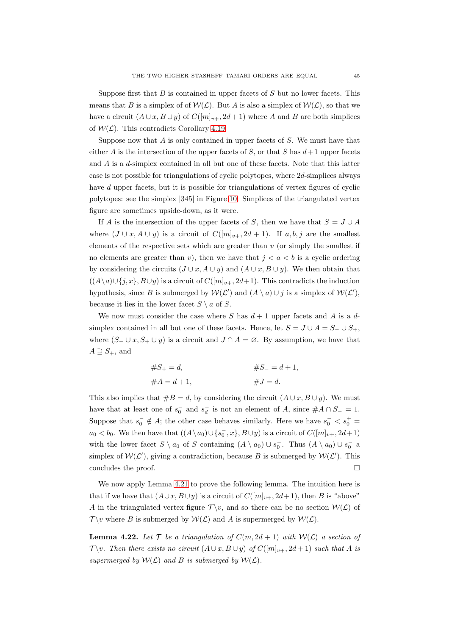Suppose first that  $B$  is contained in upper facets of  $S$  but no lower facets. This means that B is a simplex of of  $W(\mathcal{L})$ . But A is also a simplex of  $W(\mathcal{L})$ , so that we have a circuit  $(A \cup x, B \cup y)$  of  $C([m]_{v+}, 2d+1)$  where A and B are both simplices of  $W(\mathcal{L})$ . This contradicts Corollary [4.19.](#page-42-0)

Suppose now that  $A$  is only contained in upper facets of  $S$ . We must have that either A is the intersection of the upper facets of S, or that S has  $d+1$  upper facets and  $A$  is a  $d$ -simplex contained in all but one of these facets. Note that this latter case is not possible for triangulations of cyclic polytopes, where 2d-simplices always have d upper facets, but it is possible for triangulations of vertex figures of cyclic polytopes: see the simplex |345| in Figure [10.](#page-33-0) Simplices of the triangulated vertex figure are sometimes upside-down, as it were.

If A is the intersection of the upper facets of S, then we have that  $S = J \cup A$ where  $(J \cup x, A \cup y)$  is a circuit of  $C([m]_{v+}, 2d+1)$ . If  $a, b, j$  are the smallest elements of the respective sets which are greater than  $v$  (or simply the smallest if no elements are greater than v), then we have that  $j < a < b$  is a cyclic ordering by considering the circuits  $(J \cup x, A \cup y)$  and  $(A \cup x, B \cup y)$ . We then obtain that  $((A\setminus a)\cup \{j,x\},B\cup y)$  is a circuit of  $C([m]_{v+}, 2d+1)$ . This contradicts the induction hypothesis, since B is submerged by  $W(\mathcal{L}')$  and  $(A \setminus a) \cup j$  is a simplex of  $W(\mathcal{L}')$ , because it lies in the lower facet  $S \setminus a$  of S.

We now must consider the case where S has  $d+1$  upper facets and A is a dsimplex contained in all but one of these facets. Hence, let  $S = J \cup A = S_-\cup S_+$ . where  $(S_-\cup x, S_+\cup y)$  is a circuit and  $J\cap A=\emptyset$ . By assumption, we have that  $A \supseteq S_+$ , and

$$
#S_{+} = d, \t#S_{-} = d + 1,#A = d + 1, \t#J = d.
$$

This also implies that  $#B = d$ , by considering the circuit  $(A \cup x, B \cup y)$ . We must have that at least one of  $s_0^-$  and  $s_d^-$  is not an element of A, since  $#A \cap S_-=1$ . Suppose that  $s_0^- \notin A$ ; the other case behaves similarly. Here we have  $s_0^ < s_0^+$  $a_0 < b_0$ . We then have that  $((A \setminus a_0) \cup \{s_0^-, x\}, B \cup y)$  is a circuit of  $C([m]_{v+}, 2d+1)$ with the lower facet  $S \setminus a_0$  of S containing  $(A \setminus a_0) \cup s_0^-$ . Thus  $(A \setminus a_0) \cup s_0^-$  a simplex of  $W(\mathcal{L}')$ , giving a contradiction, because B is submerged by  $W(\mathcal{L}')$ . This concludes the proof.

We now apply Lemma [4.21](#page-43-0) to prove the following lemma. The intuition here is that if we have that  $(A\cup x, B\cup y)$  is a circuit of  $C([m]_{v+}, 2d+1)$ , then B is "above" A in the triangulated vertex figure  $\mathcal{T} \backslash v$ , and so there can be no section  $\mathcal{W}(L)$  of  $\mathcal{T} \backslash v$  where B is submerged by  $\mathcal{W}(L)$  and A is supermerged by  $\mathcal{W}(L)$ .

<span id="page-44-0"></span>**Lemma 4.22.** Let  $\mathcal{T}$  be a triangulation of  $C(m, 2d + 1)$  with  $\mathcal{W}(\mathcal{L})$  a section of  $\mathcal{T} \backslash v$ . Then there exists no circuit  $(A \cup x, B \cup y)$  of  $C([m]_{v+}, 2d+1)$  such that A is supermerged by  $W(\mathcal{L})$  and B is submerged by  $W(\mathcal{L})$ .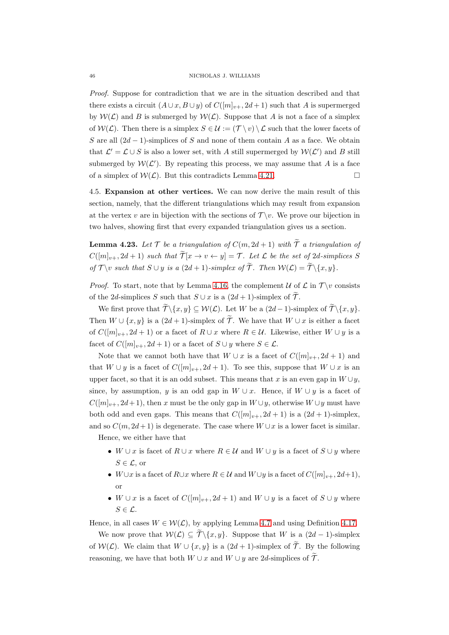Proof. Suppose for contradiction that we are in the situation described and that there exists a circuit  $(A \cup x, B \cup y)$  of  $C([m]_{y+}, 2d+1)$  such that A is supermerged by  $W(\mathcal{L})$  and B is submerged by  $W(\mathcal{L})$ . Suppose that A is not a face of a simplex of  $W(\mathcal{L})$ . Then there is a simplex  $S \in \mathcal{U} := (\mathcal{T} \setminus v) \setminus \mathcal{L}$  such that the lower facets of S are all  $(2d-1)$ -simplices of S and none of them contain A as a face. We obtain that  $\mathcal{L}' = \mathcal{L} \cup S$  is also a lower set, with A still supermerged by  $\mathcal{W}(\mathcal{L}')$  and B still submerged by  $W(\mathcal{L}')$ . By repeating this process, we may assume that A is a face of a simplex of  $W(\mathcal{L})$ . But this contradicts Lemma [4.21.](#page-43-0)

<span id="page-45-0"></span>4.5. Expansion at other vertices. We can now derive the main result of this section, namely, that the different triangulations which may result from expansion at the vertex v are in bijection with the sections of  $\mathcal{T} \backslash v$ . We prove our bijection in two halves, showing first that every expanded triangulation gives us a section.

<span id="page-45-1"></span>**Lemma 4.23.** Let  $\mathcal{T}$  be a triangulation of  $C(m, 2d + 1)$  with  $\widetilde{\mathcal{T}}$  a triangulation of  $C([m]_{v+}, 2d+1)$  such that  $\widetilde{\mathcal{T}}[x \to v \leftarrow y] = \mathcal{T}$ . Let  $\mathcal L$  be the set of 2d-simplices S of  $\mathcal{T} \backslash v$  such that  $S \cup y$  is a  $(2d+1)$ -simplex of  $\widetilde{\mathcal{T}}$ . Then  $\mathcal{W}(\mathcal{L}) = \widetilde{\mathcal{T}} \backslash \{x, y\}.$ 

*Proof.* To start, note that by Lemma [4.16,](#page-41-3) the complement  $\mathcal U$  of  $\mathcal L$  in  $\mathcal T \setminus v$  consists of the 2d-simplices S such that  $S \cup x$  is a  $(2d + 1)$ -simplex of  $\mathcal{T}$ .

We first prove that  $\widetilde{\mathcal{T}}\backslash\{x,y\} \subseteq \mathcal{W}(\mathcal{L})$ . Let W be a  $(2d-1)$ -simplex of  $\widetilde{\mathcal{T}}\backslash\{x,y\}$ . Then  $W \cup \{x, y\}$  is a  $(2d + 1)$ -simplex of  $\widetilde{\mathcal{T}}$ . We have that  $W \cup x$  is either a facet of  $C([m]_{v+}, 2d+1)$  or a facet of  $R \cup x$  where  $R \in \mathcal{U}$ . Likewise, either  $W \cup y$  is a facet of  $C([m]_{v+}, 2d+1)$  or a facet of  $S \cup y$  where  $S \in \mathcal{L}$ .

Note that we cannot both have that  $W \cup x$  is a facet of  $C([m]_{v+}, 2d+1)$  and that  $W \cup y$  is a facet of  $C([m]_{v+}, 2d+1)$ . To see this, suppose that  $W \cup x$  is an upper facet, so that it is an odd subset. This means that x is an even gap in  $W \cup y$ , since, by assumption, y is an odd gap in  $W \cup x$ . Hence, if  $W \cup y$  is a facet of  $C([m]_{v+}, 2d+1)$ , then x must be the only gap in  $W\cup y$ , otherwise  $W\cup y$  must have both odd and even gaps. This means that  $C([m]_{v+}, 2d+1)$  is a  $(2d+1)$ -simplex, and so  $C(m, 2d+1)$  is degenerate. The case where  $W\cup x$  is a lower facet is similar.

Hence, we either have that

- W ∪ x is facet of  $R \cup x$  where  $R \in \mathcal{U}$  and  $W \cup y$  is a facet of  $S \cup y$  where  $S \in \mathcal{L}$ , or
- W∪x is a facet of  $R\cup x$  where  $R\in\mathcal{U}$  and  $W\cup y$  is a facet of  $C([m]_{v+}, 2d+1)$ , or
- W ∪ x is a facet of  $C([m]_{v+}, 2d+1)$  and  $W \cup y$  is a facet of  $S \cup y$  where  $S \in \mathcal{L}$ .

Hence, in all cases  $W \in \mathcal{W}(\mathcal{L})$ , by applying Lemma [4.7](#page-36-1) and using Definition [4.17.](#page-41-1)

We now prove that  $W(\mathcal{L}) \subseteq \widetilde{\mathcal{T}}\backslash\{x,y\}$ . Suppose that W is a  $(2d-1)$ -simplex of  $W(\mathcal{L})$ . We claim that  $W \cup \{x, y\}$  is a  $(2d + 1)$ -simplex of  $\widetilde{\mathcal{T}}$ . By the following reasoning, we have that both  $W \cup x$  and  $W \cup y$  are 2d-simplices of  $\widetilde{\mathcal{T}}$ .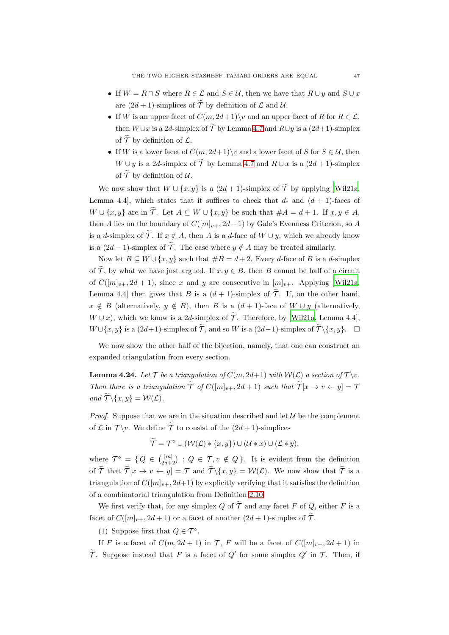- If  $W = R \cap S$  where  $R \in \mathcal{L}$  and  $S \in \mathcal{U}$ , then we have that  $R \cup y$  and  $S \cup x$ are  $(2d + 1)$ -simplices of  $\widetilde{\mathcal{T}}$  by definition of  $\mathcal L$  and  $\mathcal U$ .
- If W is an upper facet of  $C(m, 2d+1)\$  and an upper facet of R for  $R \in \mathcal{L}$ , then  $W \cup x$  is a 2d-simplex of  $\widetilde{\mathcal{T}}$  by Lemma [4.7](#page-36-1) and  $R \cup y$  is a  $(2d+1)$ -simplex of  $\widetilde{\mathcal{T}}$  by definition of  $\mathcal{L}$ .
- If W is a lower facet of  $C(m, 2d+1)$  v and a lower facet of S for  $S \in \mathcal{U}$ , then  $W \cup y$  is a 2d-simplex of  $\widetilde{\mathcal{T}}$  by Lemma [4.7](#page-36-1) and  $R \cup x$  is a  $(2d + 1)$ -simplex of  $\widetilde{\mathcal{T}}$  by definition of  $\mathcal{U}$ .

We now show that  $W \cup \{x, y\}$  is a  $(2d + 1)$ -simplex of  $\widetilde{\mathcal{T}}$  by applying [\[Wil21a](#page-55-2), Lemma 4.4], which states that it suffices to check that  $d$ - and  $(d + 1)$ -faces of  $W \cup \{x, y\}$  are in  $\widetilde{\mathcal{T}}$ . Let  $A \subseteq W \cup \{x, y\}$  be such that  $\#A = d + 1$ . If  $x, y \in A$ , then A lies on the boundary of  $C([m]_{v+}, 2d+1)$  by Gale's Evenness Criterion, so A is a d-simplex of  $\widetilde{\mathcal{T}}$ . If  $x \notin A$ , then A is a d-face of  $W \cup y$ , which we already know is a  $(2d-1)$ -simplex of  $\widetilde{\mathcal{T}}$ . The case where  $y \notin A$  may be treated similarly.

Now let  $B \subseteq W \cup \{x, y\}$  such that  $#B = d+2$ . Every d-face of B is a d-simplex of  $\widetilde{\mathcal{T}}$ , by what we have just argued. If  $x, y \in B$ , then B cannot be half of a circuit of  $C([m]_{v+}, 2d+1)$ , since x and y are consecutive in  $[m]_{v+}$ . Applying [\[Wil21a](#page-55-2), Lemma 4.4] then gives that B is a  $(d+1)$ -simplex of  $\widetilde{\mathcal{T}}$ . If, on the other hand,  $x \notin B$  (alternatively,  $y \notin B$ ), then B is a  $(d + 1)$ -face of  $W \cup y$  (alternatively,  $W \cup x$ , which we know is a 2d-simplex of  $\widetilde{\mathcal{T}}$ . Therefore, by [\[Wil21a,](#page-55-2) Lemma 4.4],  $W \cup \{x, y\}$  is a  $(2d+1)$ -simplex of  $\widetilde{\mathcal{T}}$ , and so W is a  $(2d-1)$ -simplex of  $\widetilde{\mathcal{T}} \setminus \{x, y\}$ .  $\Box$ 

We now show the other half of the bijection, namely, that one can construct an expanded triangulation from every section.

<span id="page-46-0"></span>**Lemma 4.24.** Let  $\mathcal T$  be a triangulation of  $C(m, 2d+1)$  with  $\mathcal W(\mathcal L)$  a section of  $\mathcal T \backslash v$ . Then there is a triangulation  $\widetilde{\mathcal{T}}$  of  $C([m]_{v+}, 2d + 1)$  such that  $\widetilde{\mathcal{T}}[x \to v \leftarrow y] = \mathcal{T}$ and  $\widetilde{\mathcal{T}}\backslash\{x,y\}=\mathcal{W}(\mathcal{L}).$ 

*Proof.* Suppose that we are in the situation described and let  $U$  be the complement of  $\mathcal L$  in  $\mathcal T \backslash v$ . We define  $\widetilde{\mathcal T}$  to consist of the  $(2d+1)$ -simplices

 $\widetilde{\mathcal{T}} = \mathcal{T}^{\circ} \cup (\mathcal{W}(\mathcal{L}) * \{x, y\}) \cup (\mathcal{U} * x) \cup (\mathcal{L} * y),$ 

where  $\mathcal{T}^{\circ} = \{ Q \in \binom{[m]}{2d+2} : Q \in \mathcal{T}, v \notin Q \}.$  It is evident from the definition of  $\widetilde{\mathcal{T}}$  that  $\widetilde{\mathcal{T}}[x \to v \leftarrow y] = \mathcal{T}$  and  $\widetilde{\mathcal{T}}\setminus\{x,y\} = \mathcal{W}(\mathcal{L})$ . We now show that  $\widetilde{\mathcal{T}}$  is a triangulation of  $C([m]_{v+}, 2d+1)$  by explicitly verifying that it satisfies the definition of a combinatorial triangulation from Definition [2.10.](#page-9-1)

We first verify that, for any simplex Q of  $\widetilde{\mathcal{T}}$  and any facet F of Q, either F is a facet of  $C([m]_{v+}, 2d+1)$  or a facet of another  $(2d+1)$ -simplex of  $\widetilde{\mathcal{T}}$ .

(1) Suppose first that  $Q \in \mathcal{T}^{\circ}$ .

If F is a facet of  $C(m, 2d + 1)$  in T, F will be a facet of  $C([m]_{v+}, 2d + 1)$  in  $\widetilde{\mathcal{T}}$ . Suppose instead that F is a facet of  $Q'$  for some simplex  $Q'$  in  $\mathcal{T}$ . Then, if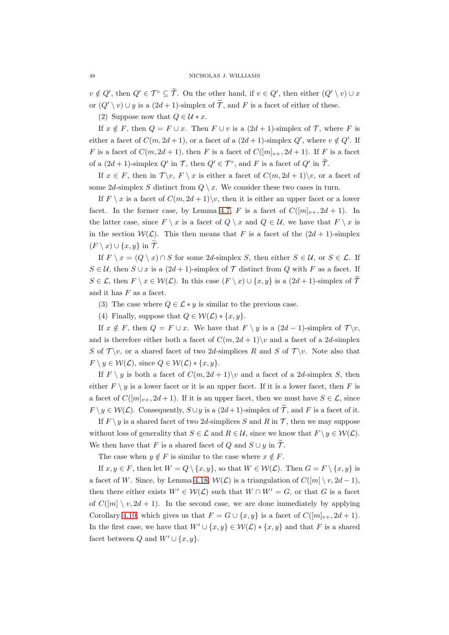$v \notin Q'$ , then  $Q' \in \mathcal{T}^{\circ} \subseteq \tilde{\mathcal{T}}$ . On the other hand, if  $v \in Q'$ , then either  $(Q' \setminus v) \cup x$ or  $(Q' \setminus v) \cup y$  is a  $(2d+1)$ -simplex of  $\widetilde{\mathcal{T}}$ , and F is a facet of either of these.

(2) Suppose now that  $Q \in \mathcal{U} * x$ .

If  $x \notin F$ , then  $Q = F \cup x$ . Then  $F \cup v$  is a  $(2d + 1)$ -simplex of  $\mathcal{T}$ , where F is either a facet of  $C(m, 2d + 1)$ , or a facet of a  $(2d + 1)$ -simplex  $Q'$ , where  $v \notin Q'$ . If F is a facet of  $C(m, 2d + 1)$ , then F is a facet of  $C([m]_{v+}, 2d + 1)$ . If F is a facet of a  $(2d+1)$ -simplex  $Q'$  in  $\mathcal{T}$ , then  $Q' \in \mathcal{T}^{\circ}$ , and F is a facet of  $Q'$  in  $\mathcal{T}$ .

If  $x \in F$ , then in  $\mathcal{T} \backslash v$ ,  $F \backslash x$  is either a facet of  $C(m, 2d + 1) \backslash v$ , or a facet of some 2d-simplex S distinct from  $Q \setminus x$ . We consider these two cases in turn.

If  $F \setminus x$  is a facet of  $C(m, 2d + 1) \setminus v$ , then it is either an upper facet or a lower facet. In the former case, by Lemma [4.7,](#page-36-1) F is a facet of  $C([m]_{v+}, 2d+1)$ . In the latter case, since  $F \setminus x$  is a facet of  $Q \setminus x$  and  $Q \in \mathcal{U}$ , we have that  $F \setminus x$  is in the section  $W(\mathcal{L})$ . This then means that F is a facet of the  $(2d + 1)$ -simplex  $(F \setminus x) \cup \{x, y\}$  in  $\widetilde{\mathcal{T}}$ .

If  $F \setminus x = (Q \setminus x) \cap S$  for some 2d-simplex S, then either  $S \in \mathcal{U}$ , or  $S \in \mathcal{L}$ . If  $S \in \mathcal{U}$ , then  $S \cup x$  is a  $(2d+1)$ -simplex of  $\mathcal T$  distinct from Q with F as a facet. If  $S \in \mathcal{L}$ , then  $F \setminus x \in \mathcal{W}(\mathcal{L})$ . In this case  $(F \setminus x) \cup \{x, y\}$  is a  $(2d+1)$ -simplex of  $\widetilde{\mathcal{T}}$ and it has  $F$  as a facet.

(3) The case where  $Q \in \mathcal{L} * y$  is similar to the previous case.

(4) Finally, suppose that  $Q \in \mathcal{W}(\mathcal{L}) * \{x, y\}.$ 

If  $x \notin F$ , then  $Q = F \cup x$ . We have that  $F \setminus y$  is a  $(2d-1)$ -simplex of  $\mathcal{T} \setminus v$ , and is therefore either both a facet of  $C(m, 2d + 1)\$  and a facet of a 2d-simplex S of  $\mathcal{T} \backslash v$ , or a shared facet of two 2d-simplices R and S of  $\mathcal{T} \backslash v$ . Note also that  $F \setminus y \in \mathcal{W}(\mathcal{L}),$  since  $Q \in \mathcal{W}(\mathcal{L}) * \{x, y\}.$ 

If  $F \ y$  is both a facet of  $C(m, 2d + 1) \ v$  and a facet of a 2d-simplex S, then either  $F \ y$  is a lower facet or it is an upper facet. If it is a lower facet, then F is a facet of  $C([m]_{v+}, 2d+1)$ . If it is an upper facet, then we must have  $S \in \mathcal{L}$ , since  $F \setminus y \in \mathcal{W}(\mathcal{L})$ . Consequently,  $S \cup y$  is a  $(2d+1)$ -simplex of  $\widetilde{\mathcal{T}}$ , and F is a facet of it.

If  $F \ y$  is a shared facet of two 2d-simplices S and R in T, then we may suppose without loss of generality that  $S \in \mathcal{L}$  and  $R \in \mathcal{U}$ , since we know that  $F \setminus y \in \mathcal{W}(\mathcal{L})$ . We then have that F is a shared facet of Q and  $S \cup y$  in  $\widetilde{\mathcal{T}}$ .

The case when  $y \notin F$  is similar to the case where  $x \notin F$ .

If  $x, y \in F$ , then let  $W = Q \setminus \{x, y\}$ , so that  $W \in \mathcal{W}(\mathcal{L})$ . Then  $G = F \setminus \{x, y\}$  is a facet of W. Since, by Lemma [4.18,](#page-41-2)  $W(\mathcal{L})$  is a triangulation of  $C([m] \setminus v, 2d-1)$ , then there either exists  $W' \in \mathcal{W}(\mathcal{L})$  such that  $W \cap W' = G$ , or that G is a facet of  $C([m] \setminus v, 2d + 1)$ . In the second case, we are done immediately by applying Corollary [4.10,](#page-37-2) which gives us that  $F = G \cup \{x, y\}$  is a facet of  $C([m]_{v+}, 2d+1)$ . In the first case, we have that  $W' \cup \{x, y\} \in \mathcal{W}(\mathcal{L}) * \{x, y\}$  and that F is a shared facet between Q and  $W' \cup \{x, y\}.$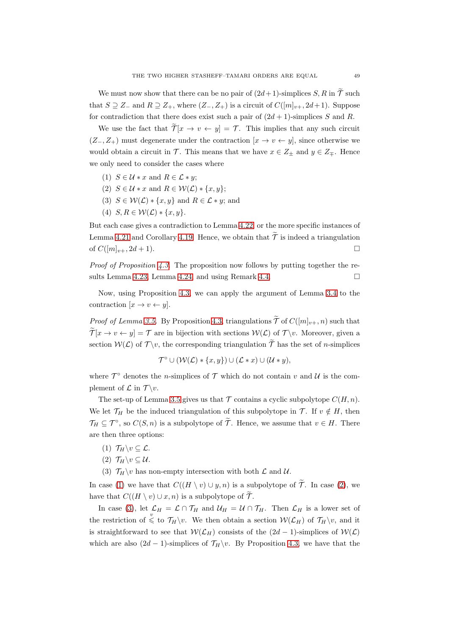We must now show that there can be no pair of  $(2d+1)$ -simplices S, R in  $\widetilde{\mathcal{T}}$  such that  $S \supseteq Z_-$  and  $R \supseteq Z_+$ , where  $(Z_-, Z_+)$  is a circuit of  $C([m]_{v+}, 2d+1)$ . Suppose for contradiction that there does exist such a pair of  $(2d + 1)$ -simplices S and R.

We use the fact that  $\widetilde{\mathcal{T}}[x \to v \leftarrow y] = \mathcal{T}$ . This implies that any such circuit  $(Z_-, Z_+)$  must degenerate under the contraction  $[x \to v \leftarrow y]$ , since otherwise we would obtain a circuit in  $\mathcal{T}$ . This means that we have  $x \in Z_{\pm}$  and  $y \in Z_{\mp}$ . Hence we only need to consider the cases where

- (1)  $S \in \mathcal{U} * x$  and  $R \in \mathcal{L} * y$ ;
- (2)  $S \in \mathcal{U} * x$  and  $R \in \mathcal{W}(\mathcal{L}) * \{x, y\};$
- (3)  $S \in \mathcal{W}(\mathcal{L}) * \{x, y\}$  and  $R \in \mathcal{L} * y$ ; and
- (4)  $S, R \in \mathcal{W}(\mathcal{L}) * \{x, y\}.$

But each case gives a contradiction to Lemma [4.22,](#page-44-0) or the more specific instances of Lemma [4.21](#page-43-0) and Corollary [4.19.](#page-42-0) Hence, we obtain that  $\widetilde{\mathcal{T}}$  is indeed a triangulation of  $C([m]_{v+}, 2d+1)$ .

*Proof of Proposition [4.3.](#page-34-4)* The proposition now follows by putting together the re-sults Lemma [4.23,](#page-45-1) Lemma [4.24,](#page-46-0) and using Remark [4.4.](#page-35-1)

Now, using Proposition [4.3,](#page-34-4) we can apply the argument of Lemma [3.4](#page-19-0) to the contraction  $[x \rightarrow v \leftarrow y]$ .

*Proof of Lemma [3.5.](#page-20-1)* By Proposition [4.3,](#page-34-4) triangulations  $\widetilde{\mathcal{T}}$  of  $C([m]_{v+}, n)$  such that  $\widetilde{\mathcal{T}}[x \to v \leftarrow y] = \mathcal{T}$  are in bijection with sections  $\mathcal{W}(\mathcal{L})$  of  $\mathcal{T}\setminus v$ . Moreover, given a section  $W(\mathcal{L})$  of  $\mathcal{T} \backslash v$ , the corresponding triangulation  $\widetilde{\mathcal{T}}$  has the set of *n*-simplices

$$
\mathcal{T}^{\circ} \cup (\mathcal{W}(\mathcal{L}) * \{x, y\}) \cup (\mathcal{L} * x) \cup (\mathcal{U} * y),
$$

where  $\mathcal{T}^{\circ}$  denotes the *n*-simplices of  $\mathcal T$  which do not contain v and U is the complement of  $\mathcal L$  in  $\mathcal T \backslash v$ .

The set-up of Lemma [3.5](#page-20-1) gives us that  $\mathcal T$  contains a cyclic subpolytope  $C(H, n)$ . We let  $\mathcal{T}_H$  be the induced triangulation of this subpolytope in  $\mathcal{T}$ . If  $v \notin H$ , then  $\mathcal{T}_H \subseteq \mathcal{T}^{\circ}$ , so  $C(S, n)$  is a subpolytope of  $\tilde{\mathcal{T}}$ . Hence, we assume that  $v \in H$ . There are then three options:

- <span id="page-48-1"></span><span id="page-48-0"></span>(1)  $\mathcal{T}_H \backslash v \subseteq \mathcal{L}$ .
- <span id="page-48-2"></span>(2)  $\mathcal{T}_H \backslash v \subset \mathcal{U}$ .
- (3)  $\mathcal{T}_H \backslash v$  has non-empty intersection with both  $\mathcal{L}$  and  $\mathcal{U}$ .

In case [\(1\)](#page-48-0) we have that  $C((H \setminus v) \cup y, n)$  is a subpolytope of  $\widetilde{\mathcal{T}}$ . In case [\(2\)](#page-48-1), we have that  $C((H \setminus v) \cup x, n)$  is a subpolytope of  $\widetilde{\mathcal{T}}$ .

In case [\(3\)](#page-48-2), let  $\mathcal{L}_H = \mathcal{L} \cap \mathcal{T}_H$  and  $\mathcal{U}_H = \mathcal{U} \cap \mathcal{T}_H$ . Then  $\mathcal{L}_H$  is a lower set of the restriction of  $\stackrel{v}{\leq}$  to  $\mathcal{T}_H\backslash v$ . We then obtain a section  $\mathcal{W}(\mathcal{L}_H)$  of  $\mathcal{T}_H\backslash v$ , and it is straightforward to see that  $W(\mathcal{L}_H)$  consists of the  $(2d-1)$ -simplices of  $W(\mathcal{L})$ which are also  $(2d - 1)$ -simplices of  $\mathcal{T}_H\setminus v$ . By Proposition [4.3,](#page-34-4) we have that the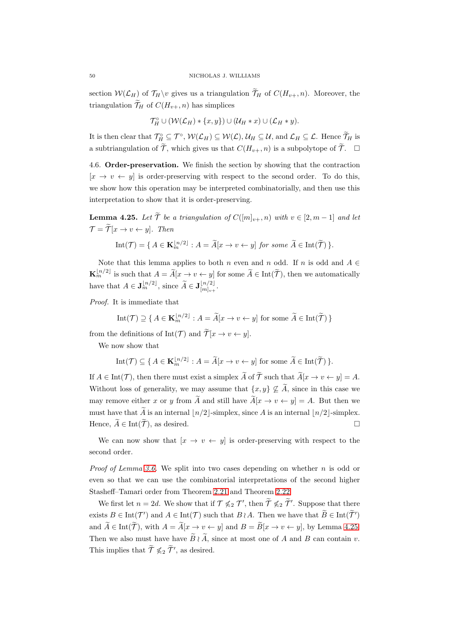section  $W(\mathcal{L}_H)$  of  $\mathcal{T}_H\setminus v$  gives us a triangulation  $\widetilde{\mathcal{T}}_H$  of  $C(H_{v+}, n)$ . Moreover, the triangulation  $\widetilde{\mathcal{T}}_H$  of  $C(H_{v+}, n)$  has simplices

$$
\mathcal{T}_H^{\circ} \cup (\mathcal{W}(\mathcal{L}_H) * \{x, y\}) \cup (\mathcal{U}_H * x) \cup (\mathcal{L}_H * y).
$$

It is then clear that  $\mathcal{T}_{H}^{\circ} \subseteq \mathcal{T}^{\circ}$ ,  $\mathcal{W}(\mathcal{L}_{H}) \subseteq \mathcal{W}(\mathcal{L}), \mathcal{U}_{H} \subseteq \mathcal{U}$ , and  $\mathcal{L}_{H} \subseteq \mathcal{L}$ . Hence  $\mathcal{T}_{H}$  is a subtriangulation of  $\widetilde{\mathcal{T}}$ , which gives us that  $C(H_{v+}, n)$  is a subpolytope of  $\widetilde{\mathcal{T}}$ .

<span id="page-49-0"></span>4.6. Order-preservation. We finish the section by showing that the contraction  $[x \rightarrow v \leftarrow y]$  is order-preserving with respect to the second order. To do this, we show how this operation may be interpreted combinatorially, and then use this interpretation to show that it is order-preserving.

<span id="page-49-1"></span>**Lemma 4.25.** Let  $\widetilde{T}$  be a triangulation of  $C([m]_{v+}, n)$  with  $v \in [2, m-1]$  and let  $\mathcal{T} = \widetilde{\mathcal{T}}[x \to v \leftarrow y]$ . Then

Int
$$
(\mathcal{T}) = \{ A \in \mathbf{K}_m^{\lfloor n/2 \rfloor} : A = \widetilde{A}[x \to v \leftarrow y] \text{ for some } \widetilde{A} \in \text{Int}(\widetilde{\mathcal{T}}) \}.
$$

Note that this lemma applies to both n even and n odd. If n is odd and  $A \in$  $\mathbf{K}_m^{\lfloor n/2 \rfloor}$  is such that  $A = \widetilde{A}[x \to v \leftarrow y]$  for some  $\widetilde{A} \in \text{Int}(\widetilde{\mathcal{T}})$ , then we automatically have that  $A \in \mathbf{J}_{m}^{\lfloor n/2 \rfloor}$ , since  $\widetilde{A} \in \mathbf{J}_{[m]_{v+}}^{\lfloor n/2 \rfloor}$  $\frac{\lfloor n/2 \rfloor}{\lfloor m \rfloor_{v+}}$ .

Proof. It is immediate that

Int
$$
(\mathcal{T}) \supseteq \{ A \in \mathbf{K}_m^{\lfloor n/2 \rfloor} : A = \widetilde{A}[x \to v \leftarrow y] \text{ for some } \widetilde{A} \in \text{Int}(\widetilde{\mathcal{T}}) \}
$$

from the definitions of Int(T) and  $\widetilde{\mathcal{T}}[x \to v \leftarrow y]$ .

We now show that

Int
$$
(\mathcal{T}) \subseteq \{ A \in \mathbf{K}_m^{\lfloor n/2 \rfloor} : A = \widetilde{A}[x \to v \leftarrow y] \text{ for some } \widetilde{A} \in \text{Int}(\widetilde{\mathcal{T}}) \}.
$$

If  $A \in \text{Int}(\mathcal{T})$ , then there must exist a simplex  $\widetilde{A}$  of  $\widetilde{\mathcal{T}}$  such that  $\widetilde{A}[x \to v \leftarrow y] = A$ . Without loss of generality, we may assume that  $\{x, y\} \nsubseteq \widetilde{A}$ , since in this case we may remove either x or y from  $\widetilde{A}$  and still have  $\widetilde{A}[x \to v \leftarrow y] = A$ . But then we must have that  $\widetilde{A}$  is an internal  $\lfloor n/2 \rfloor$ -simplex, since A is an internal  $\lfloor n/2 \rfloor$ -simplex. Hence,  $\widetilde{A} \in \text{Int}(\widetilde{\mathcal{T}})$ , as desired.

We can now show that  $[x \rightarrow v \leftarrow y]$  is order-preserving with respect to the second order.

*Proof of Lemma [3.6.](#page-20-2)* We split into two cases depending on whether  $n$  is odd or even so that we can use the combinatorial interpretations of the second higher Stasheff–Tamari order from Theorem [2.21](#page-12-3) and Theorem [2.22.](#page-12-1)

We first let  $n = 2d$ . We show that if  $\mathcal{T} \nleq 2 \mathcal{T}'$ , then  $\mathcal{T} \nleq 2 \mathcal{T}'$ . Suppose that there exists  $B \in \text{Int}(\mathcal{T}')$  and  $A \in \text{Int}(\mathcal{T})$  such that  $B \wr A$ . Then we have that  $B \in \text{Int}(\tilde{\mathcal{T}}')$ and  $\widetilde{A} \in \text{Int}(\widetilde{\mathcal{T}})$ , with  $A = \widetilde{A}[x \to v \leftarrow y]$  and  $B = \widetilde{B}[x \to v \leftarrow y]$ , by Lemma [4.25.](#page-49-1) Then we also must have have  $\widetilde{B} \wr \widetilde{A}$ , since at most one of A and B can contain v. This implies that  $\widetilde{\mathcal{T}} \nleqslant_2 \widetilde{\mathcal{T}}'$ , as desired.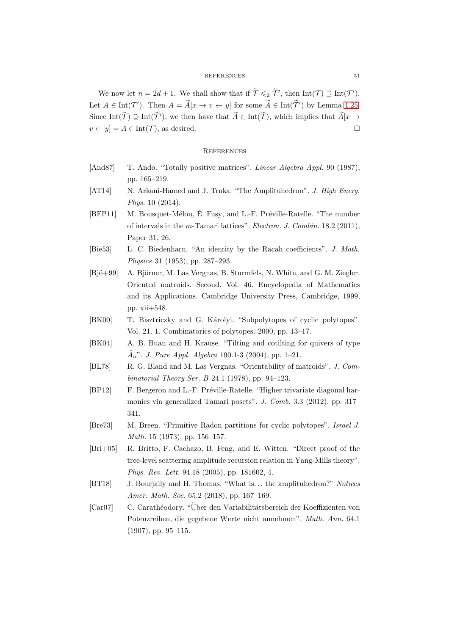We now let  $n = 2d + 1$ . We shall show that if  $\widetilde{\mathcal{T}} \leqslant_2 \widetilde{\mathcal{T}}'$ , then  $\text{Int}(\mathcal{T}) \supseteq \text{Int}(\mathcal{T}')$ . Let  $A \in \text{Int}(\mathcal{T}')$ . Then  $A = \tilde{A}[x \to v \leftarrow y]$  for some  $\tilde{A} \in \text{Int}(\tilde{\mathcal{T}}')$  by Lemma [4.25.](#page-49-1) Since Int( $\mathcal{T}$ )  $\supseteq$  Int( $\mathcal{T}'$ ), we then have that  $\mathcal{A} \in$  Int( $\mathcal{T}$ ), which implies that  $\mathcal{A}[x \to$  $v \leftarrow y$  =  $A \in \text{Int}(\mathcal{T})$ , as desired.

- <span id="page-50-7"></span><span id="page-50-4"></span>[And87] T. Ando. "Totally positive matrices". Linear Algebra Appl. 90 (1987), pp. 165–219.
- <span id="page-50-3"></span>[AT14] N. Arkani-Hamed and J. Trnka. "The Amplituhedron". J. High Energ. Phys. 10 (2014).
- [BFP11] M. Bousquet-Mélou, É. Fusy, and L.-F. Préville-Ratelle. "The number of intervals in the m-Tamari lattices". Electron. J. Combin. 18.2 (2011), Paper 31, 26.
- <span id="page-50-12"></span><span id="page-50-0"></span>[Bie53] L. C. Biedenharn. "An identity by the Racah coefficients". J. Math. Physics 31 (1953), pp. 287–293.
- [Bjö+99] A. Björner, M. Las Vergnas, B. Sturmfels, N. White, and G. M. Ziegler. Oriented matroids. Second. Vol. 46. Encyclopedia of Mathematics and its Applications. Cambridge University Press, Cambridge, 1999, pp. xii+548.
- <span id="page-50-11"></span><span id="page-50-1"></span>[BK00] T. Bisztriczky and G. Károlyi. "Subpolytopes of cyclic polytopes". Vol. 21. 1. Combinatorics of polytopes. 2000, pp. 13–17.
- <span id="page-50-10"></span>[BK04] A. B. Buan and H. Krause. "Tilting and cotilting for quivers of type  $\tilde{A}_n$ ". J. Pure Appl. Algebra 190.1-3 (2004), pp. 1–21.
- <span id="page-50-2"></span>[BL78] R. G. Bland and M. Las Vergnas. "Orientability of matroids". J. Combinatorial Theory Ser. B 24.1 (1978), pp. 94–123.
- [BP12] F. Bergeron and L.-F. Préville-Ratelle. "Higher trivariate diagonal harmonics via generalized Tamari posets". J. Comb. 3.3 (2012), pp. 317– 341.
- <span id="page-50-9"></span><span id="page-50-5"></span>[Bre73] M. Breen. "Primitive Radon partitions for cyclic polytopes". Israel J. Math. 15 (1973), pp. 156–157.
- [Bri+05] R. Britto, F. Cachazo, B. Feng, and E. Witten. "Direct proof of the tree-level scattering amplitude recursion relation in Yang-Mills theory". Phys. Rev. Lett. 94.18 (2005), pp. 181602, 4.
- <span id="page-50-8"></span><span id="page-50-6"></span>[BT18] J. Bourjaily and H. Thomas. "What is. . . the amplituhedron?" Notices Amer. Math. Soc. 65.2 (2018), pp. 167-169.
- [Car07] C. Carathéodory. "Über den Variabilitätsbereich der Koeffizienten von Potenzreihen, die gegebene Werte nicht annehmen". Math. Ann. 64.1 (1907), pp. 95–115.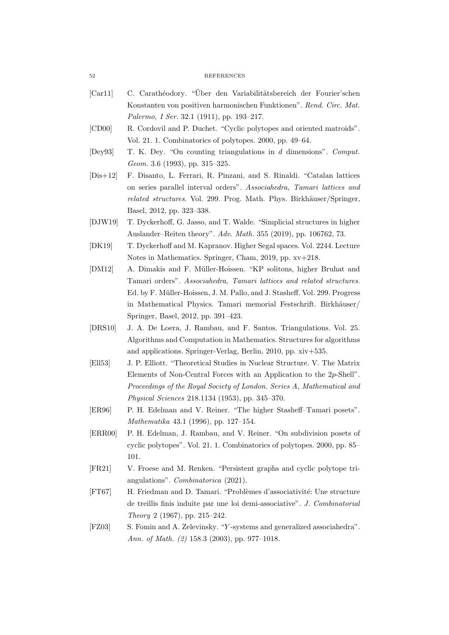- [Car11] C. Carathéodory. "Über den Variabilitätsbereich der Fourier'schen Konstanten von positiven harmonischen Funktionen". Rend. Circ. Mat. Palermo, I Ser. 32.1 (1911), pp. 193–217.
- <span id="page-51-13"></span><span id="page-51-11"></span>[CD00] R. Cordovil and P. Duchet. "Cyclic polytopes and oriented matroids". Vol. 21. 1. Combinatorics of polytopes. 2000, pp. 49–64.
- <span id="page-51-5"></span>[Dey93] T. K. Dey. "On counting triangulations in d dimensions". Comput. Geom. 3.6 (1993), pp. 315–325.
- [Dis+12] F. Disanto, L. Ferrari, R. Pinzani, and S. Rinaldi. "Catalan lattices on series parallel interval orders". Associahedra, Tamari lattices and related structures. Vol. 299. Prog. Math. Phys. Birkhäuser/Springer, Basel, 2012, pp. 323–338.
- <span id="page-51-7"></span><span id="page-51-6"></span>[DJW19] T. Dyckerhoff, G. Jasso, and T. Walde. "Simplicial structures in higher Auslander–Reiten theory". Adv. Math. 355 (2019), pp. 106762, 73.
- <span id="page-51-8"></span>[DK19] T. Dyckerhoff and M. Kapranov. Higher Segal spaces. Vol. 2244. Lecture Notes in Mathematics. Springer, Cham, 2019, pp. xv+218.
- [DM12] A. Dimakis and F. Müller-Hoissen. "KP solitons, higher Bruhat and Tamari orders". Associahedra, Tamari lattices and related structures. Ed. by F. Müller-Hoissen, J. M. Pallo, and J. Stasheff. Vol. 299. Progress in Mathematical Physics. Tamari memorial Festschrift. Birkhäuser/ Springer, Basel, 2012, pp. 391–423.
- <span id="page-51-12"></span>[DRS10] J. A. De Loera, J. Rambau, and F. Santos. Triangulations. Vol. 25. Algorithms and Computation in Mathematics. Structures for algorithms and applications. Springer-Verlag, Berlin, 2010, pp. xiv+535.
- <span id="page-51-1"></span>[Ell53] J. P. Elliott. "Theoretical Studies in Nuclear Structure. V. The Matrix Elements of Non-Central Forces with an Application to the 2p-Shell". Proceedings of the Royal Society of London. Series A, Mathematical and Physical Sciences 218.1134 (1953), pp. 345–370.
- <span id="page-51-4"></span><span id="page-51-3"></span>[ER96] P. H. Edelman and V. Reiner. "The higher Stasheff–Tamari posets". Mathematika 43.1 (1996), pp. 127–154.
- [ERR00] P. H. Edelman, J. Rambau, and V. Reiner. "On subdivision posets of cyclic polytopes". Vol. 21. 1. Combinatorics of polytopes. 2000, pp. 85– 101.
- <span id="page-51-9"></span><span id="page-51-0"></span>[FR21] V. Froese and M. Renken. "Persistent graphs and cyclic polytope triangulations". Combinatorica (2021).
- [FT67] H. Friedman and D. Tamari. "Problèmes d'associativité: Une structure de treillis finis induite par une loi demi-associative". J. Combinatorial Theory 2 (1967), pp. 215–242.
- <span id="page-51-2"></span>[FZ03] S. Fomin and A. Zelevinsky. "Y -systems and generalized associahedra". Ann. of Math. (2) 158.3 (2003), pp. 977–1018.

<span id="page-51-10"></span>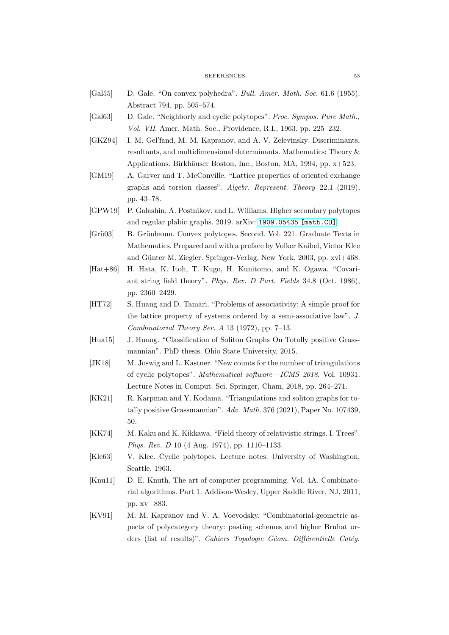- <span id="page-52-14"></span><span id="page-52-12"></span>[Gal55] D. Gale. "On convex polyhedra". Bull. Amer. Math. Soc. 61.6 (1955). Abstract 794, pp. 505–574.
- <span id="page-52-0"></span>[Gal63] D. Gale. "Neighborly and cyclic polytopes". Proc. Sympos. Pure Math., Vol. VII. Amer. Math. Soc., Providence, R.I., 1963, pp. 225–232.
- [GKZ94] I. M. Gel'fand, M. M. Kapranov, and A. V. Zelevinsky. Discriminants, resultants, and multidimensional determinants. Mathematics: Theory & Applications. Birkhäuser Boston, Inc., Boston, MA, 1994, pp. x+523.
- <span id="page-52-5"></span>[GM19] A. Garver and T. McConville. "Lattice properties of oriented exchange graphs and torsion classes". Algebr. Represent. Theory 22.1 (2019), pp. 43–78.
- <span id="page-52-11"></span><span id="page-52-9"></span>[GPW19] P. Galashin, A. Postnikov, and L. Williams. Higher secondary polytopes and regular plabic graphs. 2019. arXiv: [1909.05435 \[math.CO\]](https://arxiv.org/abs/1909.05435).
- [Grü03] B. Grünbaum. Convex polytopes. Second. Vol. 221. Graduate Texts in Mathematics. Prepared and with a preface by Volker Kaibel, Victor Klee and Günter M. Ziegler. Springer-Verlag, New York, 2003, pp. xvi+468.
- <span id="page-52-3"></span>[Hat+86] H. Hata, K. Itoh, T. Kugo, H. Kunitomo, and K. Ogawa. "Covariant string field theory". Phys. Rev. D Part. Fields 34.8 (Oct. 1986), pp. 2360–2429.
- <span id="page-52-1"></span>[HT72] S. Huang and D. Tamari. "Problems of associativity: A simple proof for the lattice property of systems ordered by a semi-associative law". J. Combinatorial Theory Ser. A 13 (1972), pp. 7–13.
- <span id="page-52-10"></span><span id="page-52-7"></span>[Hua15] J. Huang. "Classification of Soliton Graphs On Totally positive Grassmannian". PhD thesis. Ohio State University, 2015.
- [JK18] M. Joswig and L. Kastner. "New counts for the number of triangulations of cyclic polytopes". Mathematical software—ICMS 2018. Vol. 10931. Lecture Notes in Comput. Sci. Springer, Cham, 2018, pp. 264–271.
- <span id="page-52-8"></span>[KK21] R. Karpman and Y. Kodama. "Triangulations and soliton graphs for totally positive Grassmannian". Adv. Math. 376 (2021), Paper No. 107439, 50.
- <span id="page-52-13"></span><span id="page-52-2"></span>[KK74] M. Kaku and K. Kikkawa. "Field theory of relativistic strings. I. Trees". Phys. Rev. D 10 (4 Aug. 1974), pp. 1110–1133.
- <span id="page-52-6"></span>[Kle63] V. Klee. Cyclic polytopes. Lecture notes. University of Washington, Seattle, 1963.
- [Knu11] D. E. Knuth. The art of computer programming. Vol. 4A. Combinatorial algorithms. Part 1. Addison-Wesley, Upper Saddle River, NJ, 2011, pp. xv+883.
- <span id="page-52-4"></span>[KV91] M. M. Kapranov and V. A. Voevodsky. "Combinatorial-geometric aspects of polycategory theory: pasting schemes and higher Bruhat orders (list of results)". Cahiers Topologie Géom. Différentielle Catég.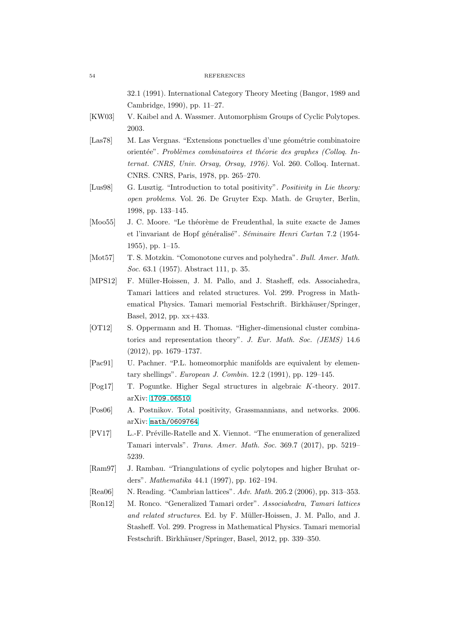32.1 (1991). International Category Theory Meeting (Bangor, 1989 and Cambridge, 1990), pp. 11–27.

- <span id="page-53-13"></span><span id="page-53-12"></span>[KW03] V. Kaibel and A. Wassmer. Automorphism Groups of Cyclic Polytopes. 2003.
- [Las78] M. Las Vergnas. "Extensions ponctuelles d'une géométrie combinatoire orientée". Problèmes combinatoires et théorie des graphes (Colloq. Internat. CNRS, Univ. Orsay, Orsay, 1976). Vol. 260. Colloq. Internat. CNRS. CNRS, Paris, 1978, pp. 265–270.
- <span id="page-53-8"></span>[Lus98] G. Lusztig. "Introduction to total positivity". Positivity in Lie theory: open problems. Vol. 26. De Gruyter Exp. Math. de Gruyter, Berlin, 1998, pp. 133–145.
- <span id="page-53-0"></span>[Moo55] J. C. Moore. "Le théorème de Freudenthal, la suite exacte de James et l'invariant de Hopf généralisé". Séminaire Henri Cartan 7.2 (1954-1955), pp. 1–15.
- <span id="page-53-10"></span><span id="page-53-1"></span>[Mot57] T. S. Motzkin. "Comonotone curves and polyhedra". Bull. Amer. Math. Soc. 63.1 (1957). Abstract 111, p. 35.
- [MPS12] F. Müller-Hoissen, J. M. Pallo, and J. Stasheff, eds. Associahedra, Tamari lattices and related structures. Vol. 299. Progress in Mathematical Physics. Tamari memorial Festschrift. Birkhäuser/Springer, Basel, 2012, pp. xx+433.
- <span id="page-53-7"></span>[OT12] S. Oppermann and H. Thomas. "Higher-dimensional cluster combinatorics and representation theory". J. Eur. Math. Soc. (JEMS) 14.6 (2012), pp. 1679–1737.
- <span id="page-53-11"></span><span id="page-53-6"></span>[Pac91] U. Pachner. "P.L. homeomorphic manifolds are equivalent by elementary shellings". European J. Combin. 12.2 (1991), pp. 129–145.
- <span id="page-53-9"></span>[Pog17] T. Poguntke. Higher Segal structures in algebraic K-theory. 2017. arXiv: [1709.06510](https://arxiv.org/abs/1709.06510).
- <span id="page-53-4"></span>[Pos06] A. Postnikov. Total positivity, Grassmannians, and networks. 2006. arXiv: [math/0609764](https://arxiv.org/abs/math/0609764).
- [PV17] L.-F. Préville-Ratelle and X. Viennot. "The enumeration of generalized Tamari intervals". Trans. Amer. Math. Soc. 369.7 (2017), pp. 5219– 5239.
- <span id="page-53-3"></span><span id="page-53-2"></span>[Ram97] J. Rambau. "Triangulations of cyclic polytopes and higher Bruhat orders". Mathematika 44.1 (1997), pp. 162–194.
- <span id="page-53-5"></span>[Rea06] N. Reading. "Cambrian lattices". Adv. Math. 205.2 (2006), pp. 313–353.
- [Ron12] M. Ronco. "Generalized Tamari order". Associahedra, Tamari lattices and related structures. Ed. by F. Müller-Hoissen, J. M. Pallo, and J. Stasheff. Vol. 299. Progress in Mathematical Physics. Tamari memorial Festschrift. Birkhäuser/Springer, Basel, 2012, pp. 339–350.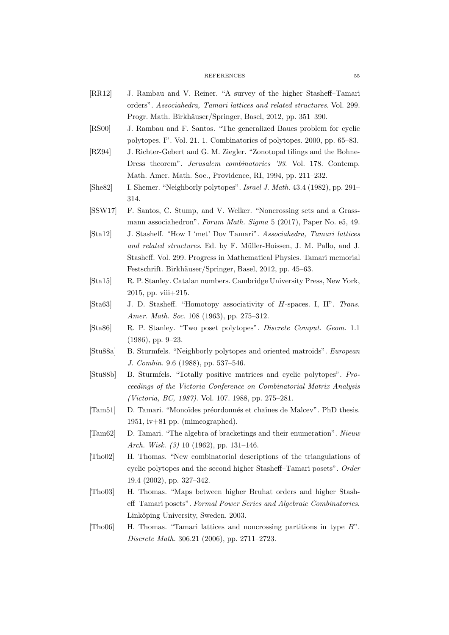- <span id="page-54-9"></span>[RR12] J. Rambau and V. Reiner. "A survey of the higher Stasheff–Tamari orders". Associahedra, Tamari lattices and related structures. Vol. 299. Progr. Math. Birkhäuser/Springer, Basel, 2012, pp. 351–390.
- <span id="page-54-15"></span><span id="page-54-8"></span>[RS00] J. Rambau and F. Santos. "The generalized Baues problem for cyclic polytopes. I". Vol. 21. 1. Combinatorics of polytopes. 2000, pp. 65–83.
- [RZ94] J. Richter-Gebert and G. M. Ziegler. "Zonotopal tilings and the Bohne-Dress theorem". Jerusalem combinatorics '93. Vol. 178. Contemp. Math. Amer. Math. Soc., Providence, RI, 1994, pp. 211–232.
- <span id="page-54-14"></span><span id="page-54-11"></span>[She82] I. Shemer. "Neighborly polytopes". Israel J. Math. 43.4 (1982), pp. 291– 314.
- <span id="page-54-4"></span>[SSW17] F. Santos, C. Stump, and V. Welker. "Noncrossing sets and a Grassmann associahedron". Forum Math. Sigma 5 (2017), Paper No. e5, 49.
- [Sta12] J. Stasheff. "How I 'met' Dov Tamari". Associahedra, Tamari lattices and related structures. Ed. by F. Müller-Hoissen, J. M. Pallo, and J. Stasheff. Vol. 299. Progress in Mathematical Physics. Tamari memorial Festschrift. Birkhäuser/Springer, Basel, 2012, pp. 45–63.
- <span id="page-54-5"></span><span id="page-54-3"></span>[Sta15] R. P. Stanley. Catalan numbers. Cambridge University Press, New York, 2015, pp. viii+215.
- <span id="page-54-0"></span>[Sta63] J. D. Stasheff. "Homotopy associativity of H-spaces. I, II". Trans. Amer. Math. Soc. 108 (1963), pp. 275–312.
- <span id="page-54-13"></span>[Sta86] R. P. Stanley. "Two poset polytopes". Discrete Comput. Geom. 1.1 (1986), pp. 9–23.
- <span id="page-54-12"></span>[Stu88a] B. Sturmfels. "Neighborly polytopes and oriented matroids". European J. Combin. 9.6 (1988), pp. 537–546.
- [Stu88b] B. Sturmfels. "Totally positive matrices and cyclic polytopes". Proceedings of the Victoria Conference on Combinatorial Matrix Analysis (Victoria, BC, 1987). Vol. 107. 1988, pp. 275–281.
- <span id="page-54-2"></span><span id="page-54-1"></span>[Tam51] D. Tamari. "Monoïdes préordonnés et chaînes de Malcev". PhD thesis. 1951, iv+81 pp. (mimeographed).
- <span id="page-54-7"></span>[Tam62] D. Tamari. "The algebra of bracketings and their enumeration". Nieuw Arch. Wisk. (3) 10 (1962), pp. 131–146.
- [Tho02] H. Thomas. "New combinatorial descriptions of the triangulations of cyclic polytopes and the second higher Stasheff–Tamari posets". Order 19.4 (2002), pp. 327–342.
- <span id="page-54-6"></span>[Tho03] H. Thomas. "Maps between higher Bruhat orders and higher Stasheff–Tamari posets". Formal Power Series and Algebraic Combinatorics. Linköping University, Sweden. 2003.
- <span id="page-54-10"></span>[Tho06] H. Thomas. "Tamari lattices and noncrossing partitions in type B". Discrete Math. 306.21 (2006), pp. 2711–2723.